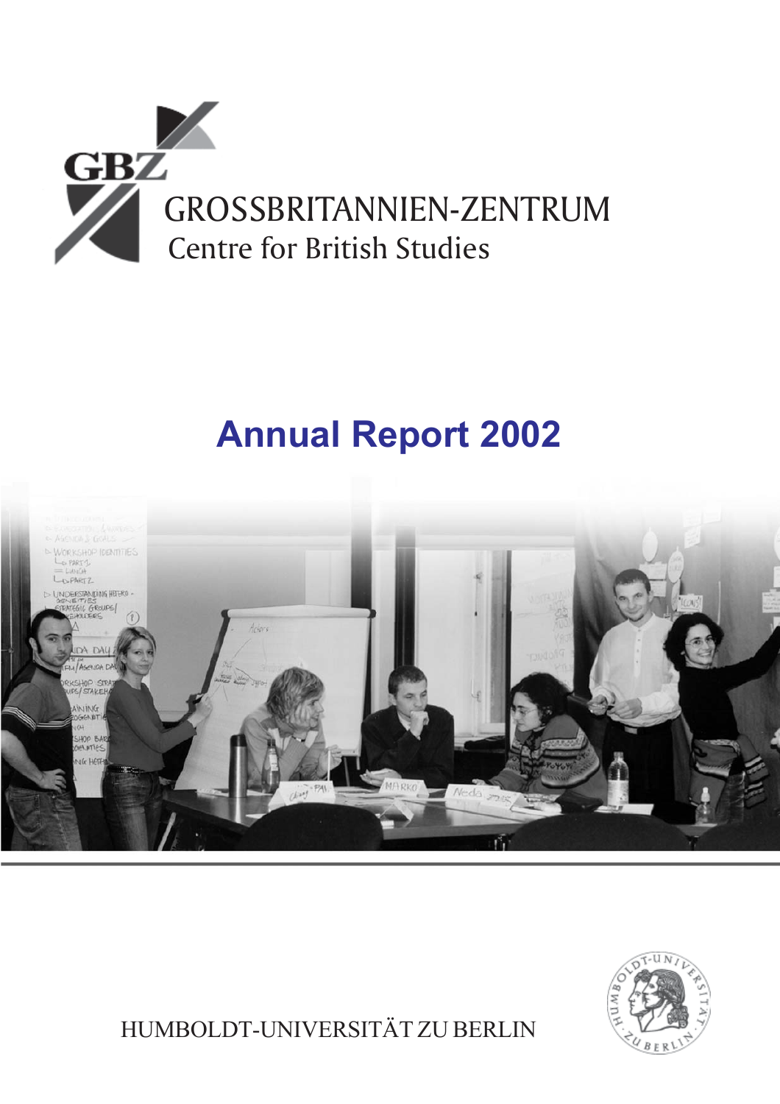

# **Annual Report 2002**





HUMBOLDT-UNIVERSITÄT ZU BERLIN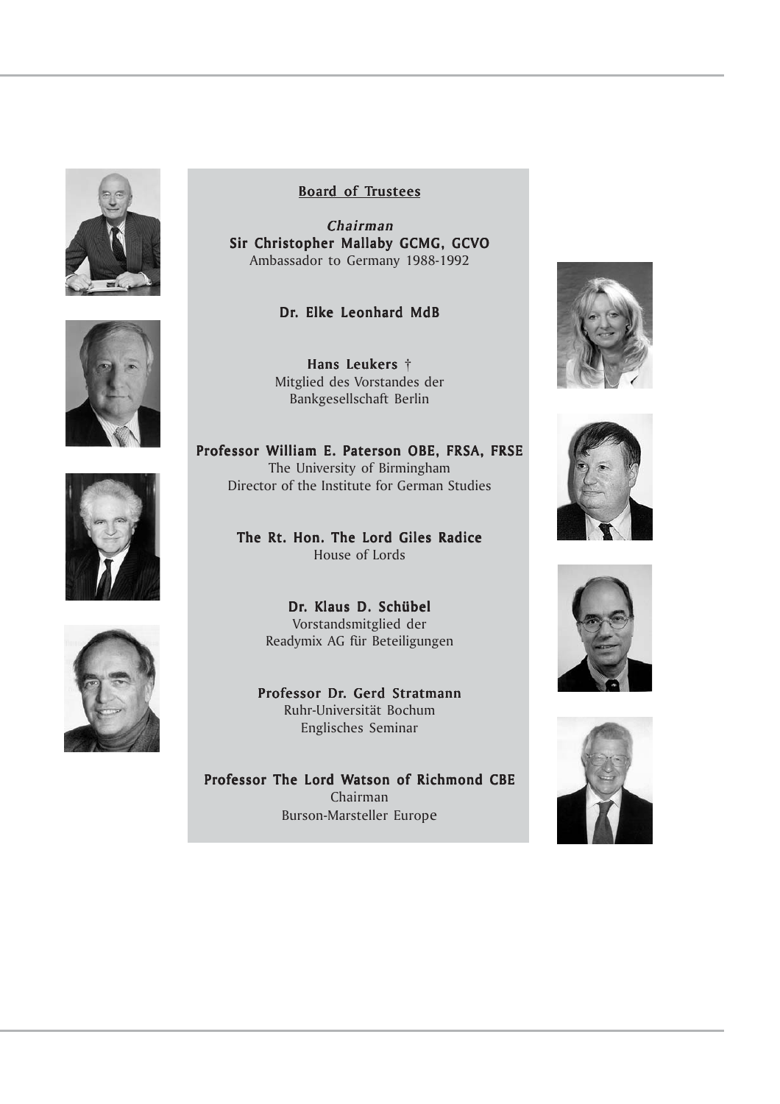







# Board of Trustees

Chairman Sir Christopher Mallaby GCMG, GCVO Ambassador to Germany 1988-1992

# Dr. Elke Leonhard MdB

Hans Leukers  $\dagger$ Mitglied des Vorstandes der Bankgesellschaft Berlin

Professor William E. Paterson OBE, FRSA, FRSE The University of Birmingham Director of the Institute for German Studies

> The Rt. Hon. The Lord Giles Radice House of Lords

> > Dr. Klaus D. Schübel Vorstandsmitglied der Readymix AG für Beteiligungen

Professor Dr. Gerd Stratmann Ruhr-Universität Bochum Englisches Seminar

Professor The Lord Watson of Richmond CBE Chairman Burson-Marsteller Europe







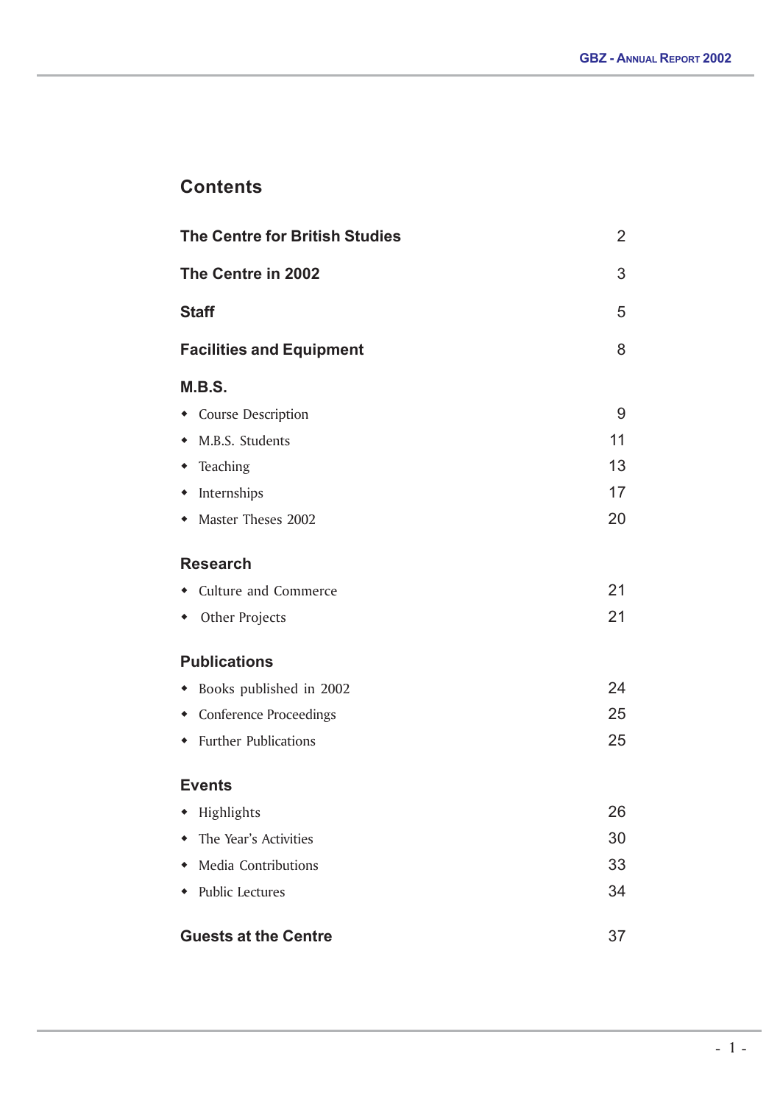# **Contents**

| <b>The Centre for British Studies</b>           |                           | $\overline{2}$ |
|-------------------------------------------------|---------------------------|----------------|
| The Centre in 2002                              |                           |                |
| <b>Staff</b><br><b>Facilities and Equipment</b> |                           | 5              |
|                                                 |                           | 8              |
|                                                 | M.B.S.                    |                |
|                                                 | • Course Description      | 9              |
|                                                 | • M.B.S. Students         | 11             |
|                                                 | • Teaching                | 13             |
|                                                 | • Internships             | 17             |
|                                                 | • Master Theses 2002      | 20             |
|                                                 | <b>Research</b>           |                |
|                                                 | • Culture and Commerce    | 21             |
|                                                 | • Other Projects          | 21             |
|                                                 | <b>Publications</b>       |                |
|                                                 | • Books published in 2002 | 24             |
|                                                 | • Conference Proceedings  | 25             |
|                                                 | • Further Publications    | 25             |
|                                                 | <b>Events</b>             |                |
|                                                 | • Highlights              | 26             |
|                                                 | • The Year's Activities   | 30             |
|                                                 | • Media Contributions     | 33             |
|                                                 | • Public Lectures         | 34             |
| <b>Guests at the Centre</b><br>37               |                           |                |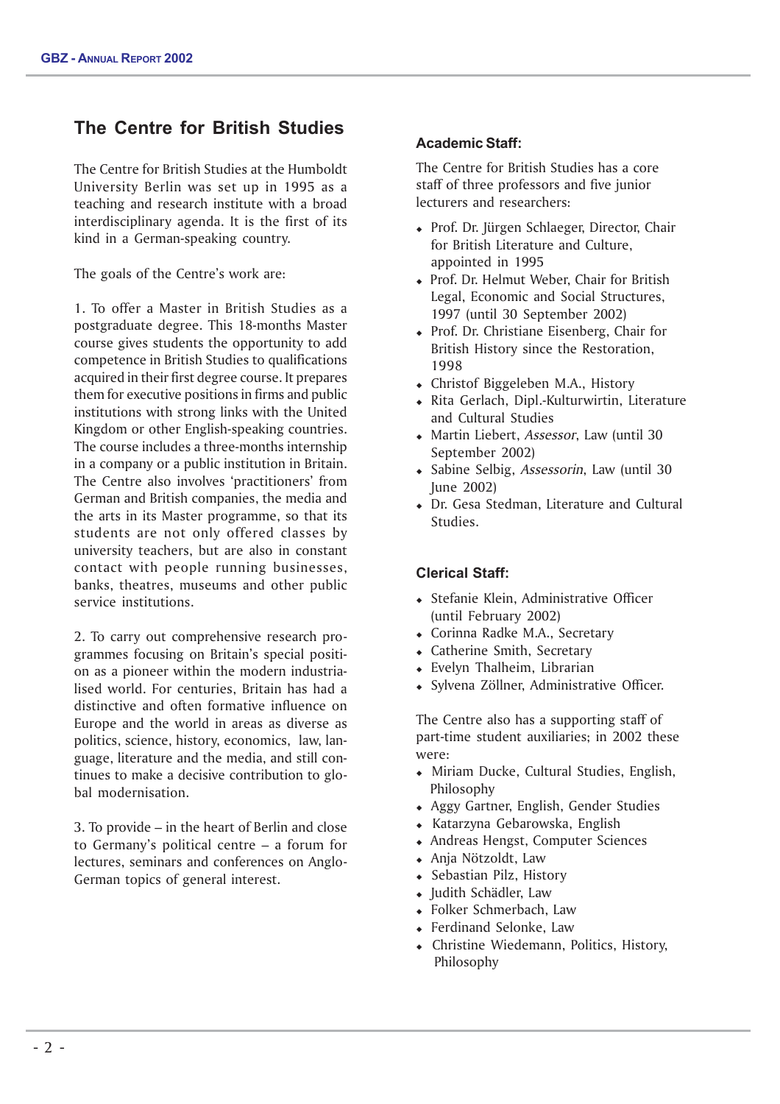# **The Centre for British Studies**

The Centre for British Studies at the Humboldt University Berlin was set up in 1995 as a teaching and research institute with a broad interdisciplinary agenda. It is the first of its kind in a German-speaking country.

The goals of the Centre's work are:

1. To offer a Master in British Studies as a postgraduate degree. This 18-months Master course gives students the opportunity to add competence in British Studies to qualifications acquired in their first degree course. It prepares them for executive positions in firms and public institutions with strong links with the United Kingdom or other English-speaking countries. The course includes a three-months internship in a company or a public institution in Britain. The Centre also involves 'practitioners' from German and British companies, the media and the arts in its Master programme, so that its students are not only offered classes by university teachers, but are also in constant contact with people running businesses, banks, theatres, museums and other public service institutions.

2. To carry out comprehensive research programmes focusing on Britain's special position as a pioneer within the modern industrialised world. For centuries, Britain has had a distinctive and often formative influence on Europe and the world in areas as diverse as politics, science, history, economics, law, language, literature and the media, and still continues to make a decisive contribution to global modernisation.

3. To provide – in the heart of Berlin and close to Germany's political centre – a forum for lectures, seminars and conferences on Anglo-German topics of general interest.

# **Academic Staff:**

The Centre for British Studies has a core staff of three professors and five junior lecturers and researchers:

- Prof. Dr. Jürgen Schlaeger, Director, Chair for British Literature and Culture, appointed in 1995
- Prof. Dr. Helmut Weber, Chair for British Legal, Economic and Social Structures, 1997 (until 30 September 2002)
- Prof. Dr. Christiane Eisenberg, Chair for British History since the Restoration, 1998
- Christof Biggeleben M.A., History
- Rita Gerlach, Dipl.-Kulturwirtin, Literature and Cultural Studies
- Martin Liebert, Assessor, Law (until 30 September 2002)
- Sabine Selbig, Assessorin, Law (until 30 June 2002)
- Dr. Gesa Stedman, Literature and Cultural Studies.

# **Clerical Staff:**

- Stefanie Klein, Administrative Officer (until February 2002)
- Corinna Radke M.A., Secretary
- Catherine Smith, Secretary
- Evelyn Thalheim, Librarian
- Sylvena Zöllner, Administrative Officer.

The Centre also has a supporting staff of part-time student auxiliaries; in 2002 these were:

- Miriam Ducke, Cultural Studies, English, Philosophy
- Aggy Gartner, English, Gender Studies
- Katarzyna Gebarowska, English
- Andreas Hengst, Computer Sciences
- Anja Nötzoldt, Law
- Sebastian Pilz, History
- Judith Schädler, Law
- Folker Schmerbach, Law
- Ferdinand Selonke, Law
- Christine Wiedemann, Politics, History, Philosophy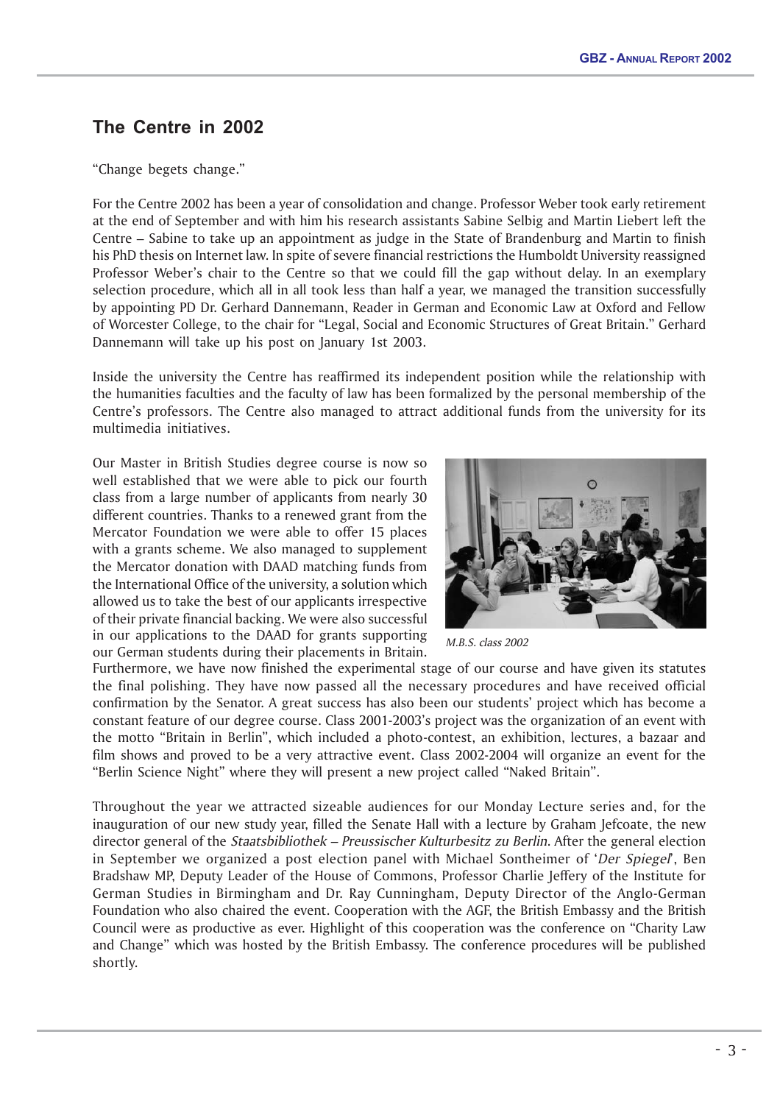# **The Centre in 2002**

"Change begets change."

For the Centre 2002 has been a year of consolidation and change. Professor Weber took early retirement at the end of September and with him his research assistants Sabine Selbig and Martin Liebert left the Centre – Sabine to take up an appointment as judge in the State of Brandenburg and Martin to finish his PhD thesis on Internet law. In spite of severe financial restrictions the Humboldt University reassigned Professor Weber's chair to the Centre so that we could fill the gap without delay. In an exemplary selection procedure, which all in all took less than half a year, we managed the transition successfully by appointing PD Dr. Gerhard Dannemann, Reader in German and Economic Law at Oxford and Fellow of Worcester College, to the chair for "Legal, Social and Economic Structures of Great Britain." Gerhard Dannemann will take up his post on January 1st 2003.

Inside the university the Centre has reaffirmed its independent position while the relationship with the humanities faculties and the faculty of law has been formalized by the personal membership of the Centre's professors. The Centre also managed to attract additional funds from the university for its multimedia initiatives.

Our Master in British Studies degree course is now so well established that we were able to pick our fourth class from a large number of applicants from nearly 30 different countries. Thanks to a renewed grant from the Mercator Foundation we were able to offer 15 places with a grants scheme. We also managed to supplement the Mercator donation with DAAD matching funds from the International Office of the university, a solution which allowed us to take the best of our applicants irrespective of their private financial backing. We were also successful in our applications to the DAAD for grants supporting our German students during their placements in Britain.



M.B.S. class 2002

Furthermore, we have now finished the experimental stage of our course and have given its statutes the final polishing. They have now passed all the necessary procedures and have received official confirmation by the Senator. A great success has also been our students' project which has become a constant feature of our degree course. Class 2001-2003's project was the organization of an event with the motto "Britain in Berlin", which included a photo-contest, an exhibition, lectures, a bazaar and film shows and proved to be a very attractive event. Class 2002-2004 will organize an event for the "Berlin Science Night" where they will present a new project called "Naked Britain".

Throughout the year we attracted sizeable audiences for our Monday Lecture series and, for the inauguration of our new study year, filled the Senate Hall with a lecture by Graham Jefcoate, the new director general of the *Staatsbibliothek – Preussischer Kulturbesitz zu Berlin*. After the general election in September we organized a post election panel with Michael Sontheimer of 'Der Spiegel', Ben Bradshaw MP, Deputy Leader of the House of Commons, Professor Charlie Jeffery of the Institute for German Studies in Birmingham and Dr. Ray Cunningham, Deputy Director of the Anglo-German Foundation who also chaired the event. Cooperation with the AGF, the British Embassy and the British Council were as productive as ever. Highlight of this cooperation was the conference on "Charity Law and Change" which was hosted by the British Embassy. The conference procedures will be published shortly.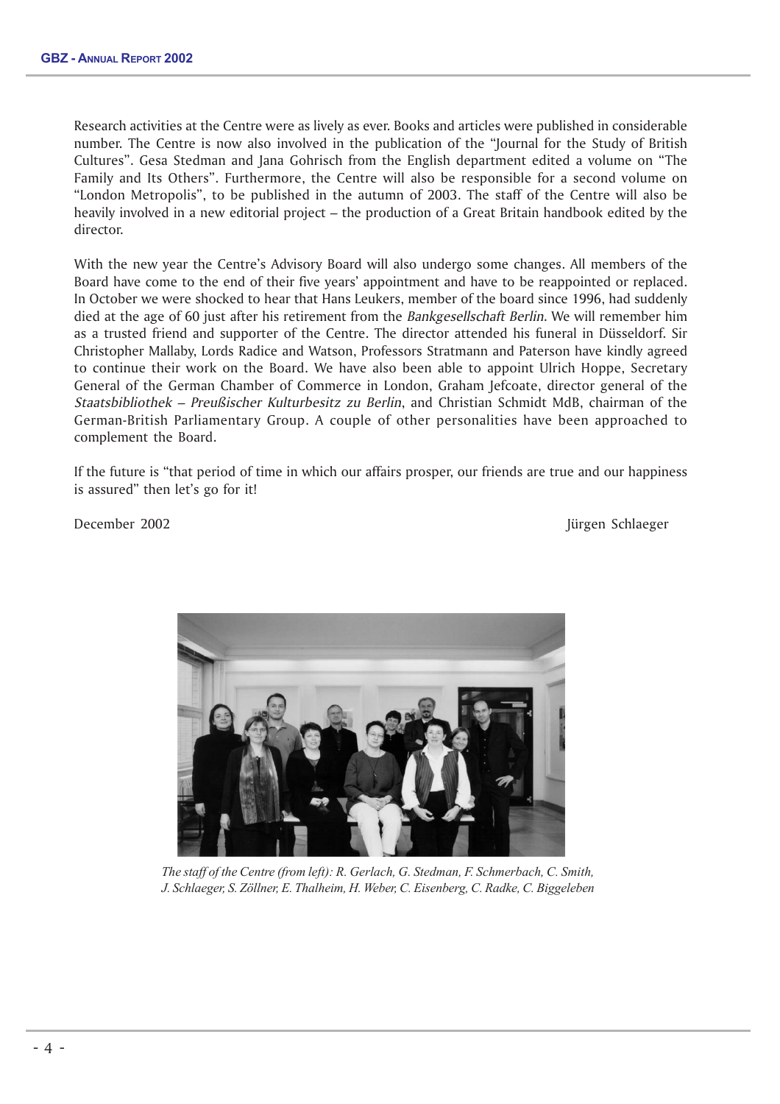Research activities at the Centre were as lively as ever. Books and articles were published in considerable number. The Centre is now also involved in the publication of the "Journal for the Study of British Cultures". Gesa Stedman and Jana Gohrisch from the English department edited a volume on "The Family and Its Others". Furthermore, the Centre will also be responsible for a second volume on "London Metropolis", to be published in the autumn of 2003. The staff of the Centre will also be heavily involved in a new editorial project – the production of a Great Britain handbook edited by the director.

With the new year the Centre's Advisory Board will also undergo some changes. All members of the Board have come to the end of their five years' appointment and have to be reappointed or replaced. In October we were shocked to hear that Hans Leukers, member of the board since 1996, had suddenly died at the age of 60 just after his retirement from the *Bankgesellschaft Berlin*. We will remember him as a trusted friend and supporter of the Centre. The director attended his funeral in Düsseldorf. Sir Christopher Mallaby, Lords Radice and Watson, Professors Stratmann and Paterson have kindly agreed to continue their work on the Board. We have also been able to appoint Ulrich Hoppe, Secretary General of the German Chamber of Commerce in London, Graham Jefcoate, director general of the Staatsbibliothek – Preußischer Kulturbesitz zu Berlin, and Christian Schmidt MdB, chairman of the German-British Parliamentary Group. A couple of other personalities have been approached to complement the Board.

If the future is "that period of time in which our affairs prosper, our friends are true and our happiness is assured" then let's go for it!

December 2002 Jürgen Schlaeger



*The staff of the Centre (from left): R. Gerlach, G. Stedman, F. Schmerbach, C. Smith, J. Schlaeger, S. Zöllner, E. Thalheim, H. Weber, C. Eisenberg, C. Radke, C. Biggeleben*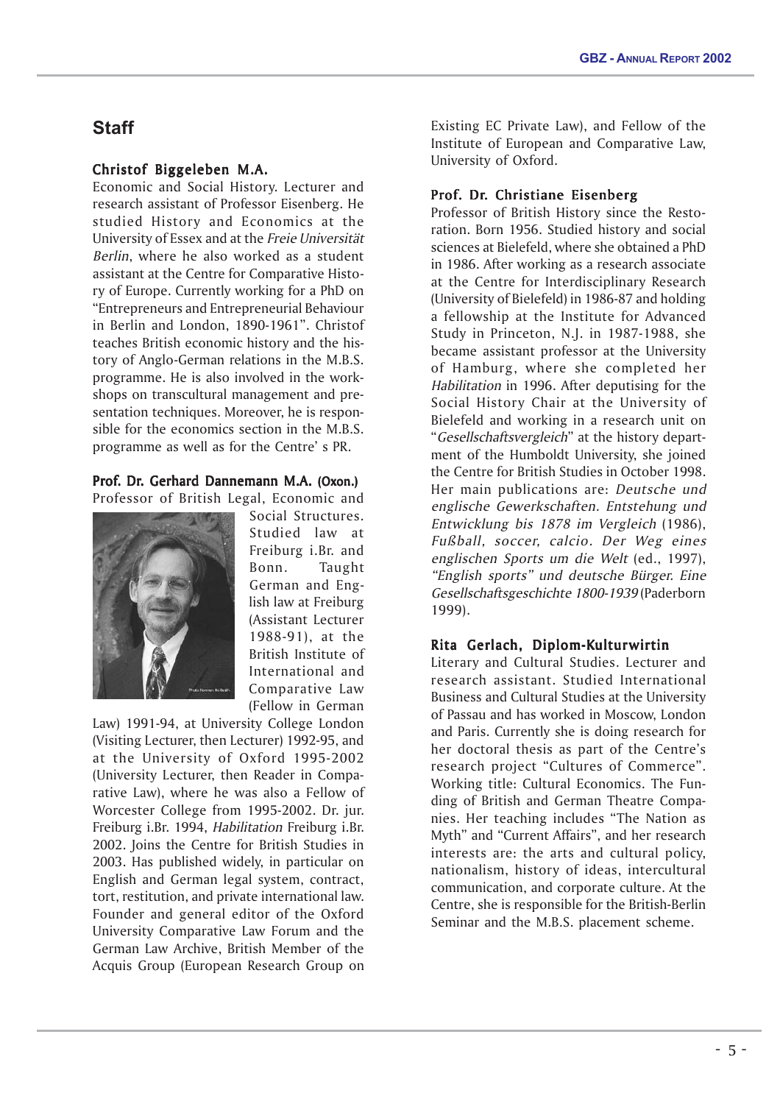# **Staff**

# Christof Biggeleben M.A. Biggeleben M.A.

Economic and Social History. Lecturer and research assistant of Professor Eisenberg. He studied History and Economics at the University of Essex and at the Freie Universität Berlin, where he also worked as a student assistant at the Centre for Comparative History of Europe. Currently working for a PhD on "Entrepreneurs and Entrepreneurial Behaviour in Berlin and London, 1890-1961". Christof teaches British economic history and the history of Anglo-German relations in the M.B.S. programme. He is also involved in the workshops on transcultural management and presentation techniques. Moreover, he is responsible for the economics section in the M.B.S. programme as well as for the Centre' s PR.

# Prof. Dr. Gerhard Dannemann M.A. (Oxon.) Professor of British Legal, Economic and



Social Structures. Studied law at Freiburg i.Br. and Bonn. Taught German and English law at Freiburg (Assistant Lecturer 1988-91), at the British Institute of International and Comparative Law (Fellow in German

Law) 1991-94, at University College London (Visiting Lecturer, then Lecturer) 1992-95, and at the University of Oxford 1995-2002 (University Lecturer, then Reader in Comparative Law), where he was also a Fellow of Worcester College from 1995-2002. Dr. jur. Freiburg i.Br. 1994, Habilitation Freiburg i.Br. 2002. Joins the Centre for British Studies in 2003. Has published widely, in particular on English and German legal system, contract, tort, restitution, and private international law. Founder and general editor of the Oxford University Comparative Law Forum and the German Law Archive, British Member of the Acquis Group (European Research Group on

Existing EC Private Law), and Fellow of the Institute of European and Comparative Law, University of Oxford.

# Prof. Dr. Christiane Eisenberg

Professor of British History since the Restoration. Born 1956. Studied history and social sciences at Bielefeld, where she obtained a PhD in 1986. After working as a research associate at the Centre for Interdisciplinary Research (University of Bielefeld) in 1986-87 and holding a fellowship at the Institute for Advanced Study in Princeton, N.J. in 1987-1988, she became assistant professor at the University of Hamburg, where she completed her Habilitation in 1996. After deputising for the Social History Chair at the University of Bielefeld and working in a research unit on "Gesellschaftsvergleich" at the history department of the Humboldt University, she joined the Centre for British Studies in October 1998. Her main publications are: Deutsche und englische Gewerkschaften. Entstehung und Entwicklung bis 1878 im Vergleich (1986), Fußball, soccer, calcio. Der Weg eines englischen Sports um die Welt (ed., 1997), "English sports" und deutsche Bürger. Eine Gesellschaftsgeschichte 1800-1939 (Paderborn 1999).

# Rita Gerlach, Diplom-Kulturwirtin

Literary and Cultural Studies. Lecturer and research assistant. Studied International Business and Cultural Studies at the University of Passau and has worked in Moscow, London and Paris. Currently she is doing research for her doctoral thesis as part of the Centre's research project "Cultures of Commerce". Working title: Cultural Economics. The Funding of British and German Theatre Companies. Her teaching includes "The Nation as Myth" and "Current Affairs", and her research interests are: the arts and cultural policy, nationalism, history of ideas, intercultural communication, and corporate culture. At the Centre, she is responsible for the British-Berlin Seminar and the M.B.S. placement scheme.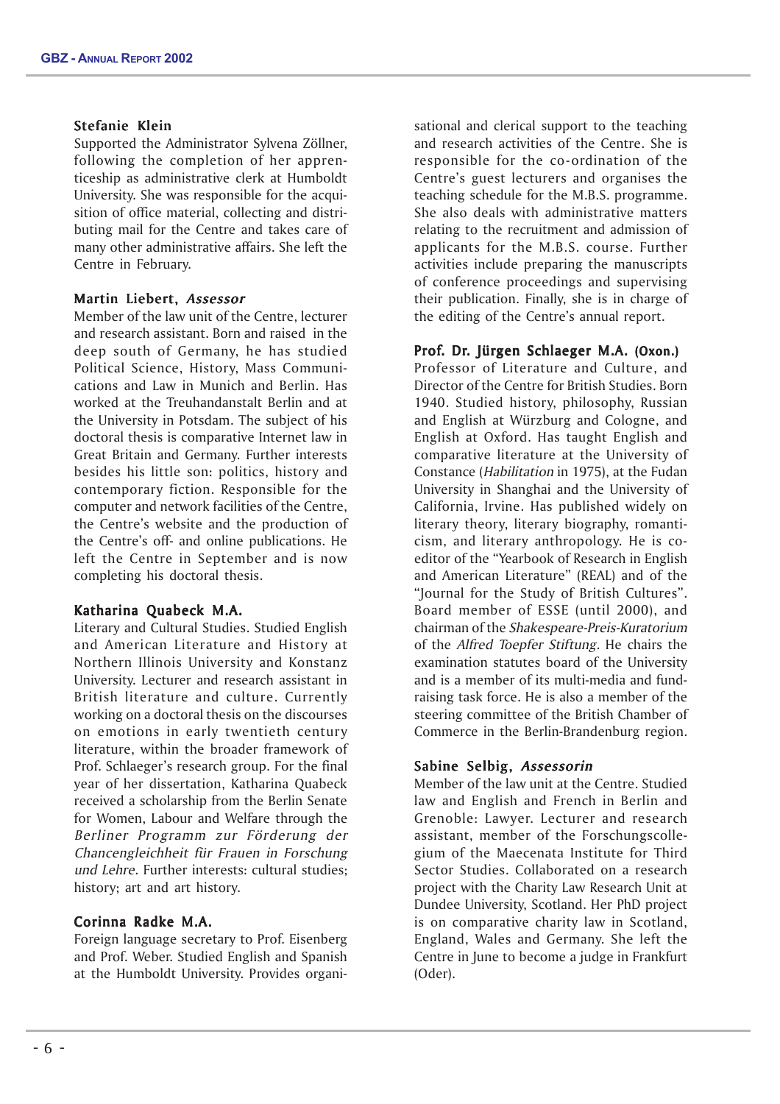# Stefanie Klein

Supported the Administrator Sylvena Zöllner, following the completion of her apprenticeship as administrative clerk at Humboldt University. She was responsible for the acquisition of office material, collecting and distributing mail for the Centre and takes care of many other administrative affairs. She left the Centre in February.

# Martin Liebert, Assessor

Member of the law unit of the Centre, lecturer and research assistant. Born and raised in the deep south of Germany, he has studied Political Science, History, Mass Communications and Law in Munich and Berlin. Has worked at the Treuhandanstalt Berlin and at the University in Potsdam. The subject of his doctoral thesis is comparative Internet law in Great Britain and Germany. Further interests besides his little son: politics, history and contemporary fiction. Responsible for the computer and network facilities of the Centre, the Centre's website and the production of the Centre's off- and online publications. He left the Centre in September and is now completing his doctoral thesis.

# Katharina Quabeck M.A.

Literary and Cultural Studies. Studied English and American Literature and History at Northern Illinois University and Konstanz University. Lecturer and research assistant in British literature and culture. Currently working on a doctoral thesis on the discourses on emotions in early twentieth century literature, within the broader framework of Prof. Schlaeger's research group. For the final year of her dissertation, Katharina Quabeck received a scholarship from the Berlin Senate for Women, Labour and Welfare through the Berliner Programm zur Förderung der Chancengleichheit für Frauen in Forschung und Lehre. Further interests: cultural studies; history; art and art history.

# Corinna Radke M.A.

Foreign language secretary to Prof. Eisenberg and Prof. Weber. Studied English and Spanish at the Humboldt University. Provides organisational and clerical support to the teaching and research activities of the Centre. She is responsible for the co-ordination of the Centre's guest lecturers and organises the teaching schedule for the M.B.S. programme. She also deals with administrative matters relating to the recruitment and admission of applicants for the M.B.S. course. Further activities include preparing the manuscripts of conference proceedings and supervising their publication. Finally, she is in charge of the editing of the Centre's annual report.

# Prof. Dr. Jürgen Schlaeger M.A. (Oxon.)

Professor of Literature and Culture, and Director of the Centre for British Studies. Born 1940. Studied history, philosophy, Russian and English at Würzburg and Cologne, and English at Oxford. Has taught English and comparative literature at the University of Constance (Habilitation in 1975), at the Fudan University in Shanghai and the University of California, Irvine. Has published widely on literary theory, literary biography, romanticism, and literary anthropology. He is coeditor of the "Yearbook of Research in English and American Literature" (REAL) and of the "Journal for the Study of British Cultures". Board member of ESSE (until 2000), and chairman of the Shakespeare-Preis-Kuratorium of the Alfred Toepfer Stiftung. He chairs the examination statutes board of the University and is a member of its multi-media and fundraising task force. He is also a member of the steering committee of the British Chamber of Commerce in the Berlin-Brandenburg region.

# Sabine Selbig, Assessorin

Member of the law unit at the Centre. Studied law and English and French in Berlin and Grenoble: Lawyer. Lecturer and research assistant, member of the Forschungscollegium of the Maecenata Institute for Third Sector Studies. Collaborated on a research project with the Charity Law Research Unit at Dundee University, Scotland. Her PhD project is on comparative charity law in Scotland, England, Wales and Germany. She left the Centre in June to become a judge in Frankfurt (Oder).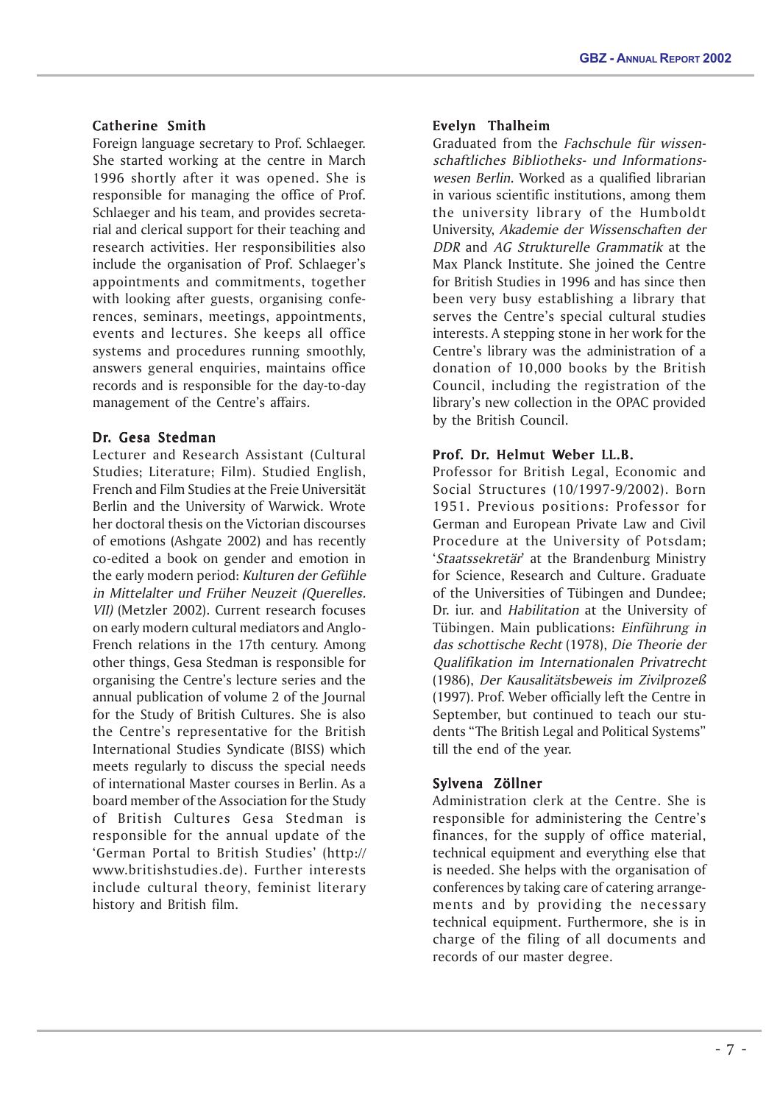# Catherine Smith

Foreign language secretary to Prof. Schlaeger. She started working at the centre in March 1996 shortly after it was opened. She is responsible for managing the office of Prof. Schlaeger and his team, and provides secretarial and clerical support for their teaching and research activities. Her responsibilities also include the organisation of Prof. Schlaeger's appointments and commitments, together with looking after guests, organising conferences, seminars, meetings, appointments, events and lectures. She keeps all office systems and procedures running smoothly, answers general enquiries, maintains office records and is responsible for the day-to-day management of the Centre's affairs.

# Dr. Gesa Stedman

Lecturer and Research Assistant (Cultural Studies; Literature; Film). Studied English, French and Film Studies at the Freie Universität Berlin and the University of Warwick. Wrote her doctoral thesis on the Victorian discourses of emotions (Ashgate 2002) and has recently co-edited a book on gender and emotion in the early modern period: Kulturen der Gefühle in Mittelalter und Früher Neuzeit (Querelles. VII) (Metzler 2002). Current research focuses on early modern cultural mediators and Anglo-French relations in the 17th century. Among other things, Gesa Stedman is responsible for organising the Centre's lecture series and the annual publication of volume 2 of the Journal for the Study of British Cultures. She is also the Centre's representative for the British International Studies Syndicate (BISS) which meets regularly to discuss the special needs of international Master courses in Berlin. As a board member of the Association for the Study of British Cultures Gesa Stedman is responsible for the annual update of the 'German Portal to British Studies' (http:// www.britishstudies.de). Further interests include cultural theory, feminist literary history and British film.

# Evelyn Thalheim

Graduated from the Fachschule für wissenschaftliches Bibliotheks- und Informationswesen Berlin. Worked as a qualified librarian in various scientific institutions, among them the university library of the Humboldt University, Akademie der Wissenschaften der DDR and AG Strukturelle Grammatik at the Max Planck Institute. She joined the Centre for British Studies in 1996 and has since then been very busy establishing a library that serves the Centre's special cultural studies interests. A stepping stone in her work for the Centre's library was the administration of a donation of 10,000 books by the British Council, including the registration of the library's new collection in the OPAC provided by the British Council.

# Prof. Dr. Helmut Weber LL.B.

Professor for British Legal, Economic and Social Structures (10/1997-9/2002). Born 1951. Previous positions: Professor for German and European Private Law and Civil Procedure at the University of Potsdam; 'Staatssekretär' at the Brandenburg Ministry for Science, Research and Culture. Graduate of the Universities of Tübingen and Dundee; Dr. iur. and Habilitation at the University of Tübingen. Main publications: Einführung in das schottische Recht (1978), Die Theorie der Qualifikation im Internationalen Privatrecht (1986), Der Kausalitätsbeweis im Zivilprozeß (1997). Prof. Weber officially left the Centre in September, but continued to teach our students "The British Legal and Political Systems" till the end of the year.

# Sylvena Zöllner

Administration clerk at the Centre. She is responsible for administering the Centre's finances, for the supply of office material, technical equipment and everything else that is needed. She helps with the organisation of conferences by taking care of catering arrangements and by providing the necessary technical equipment. Furthermore, she is in charge of the filing of all documents and records of our master degree.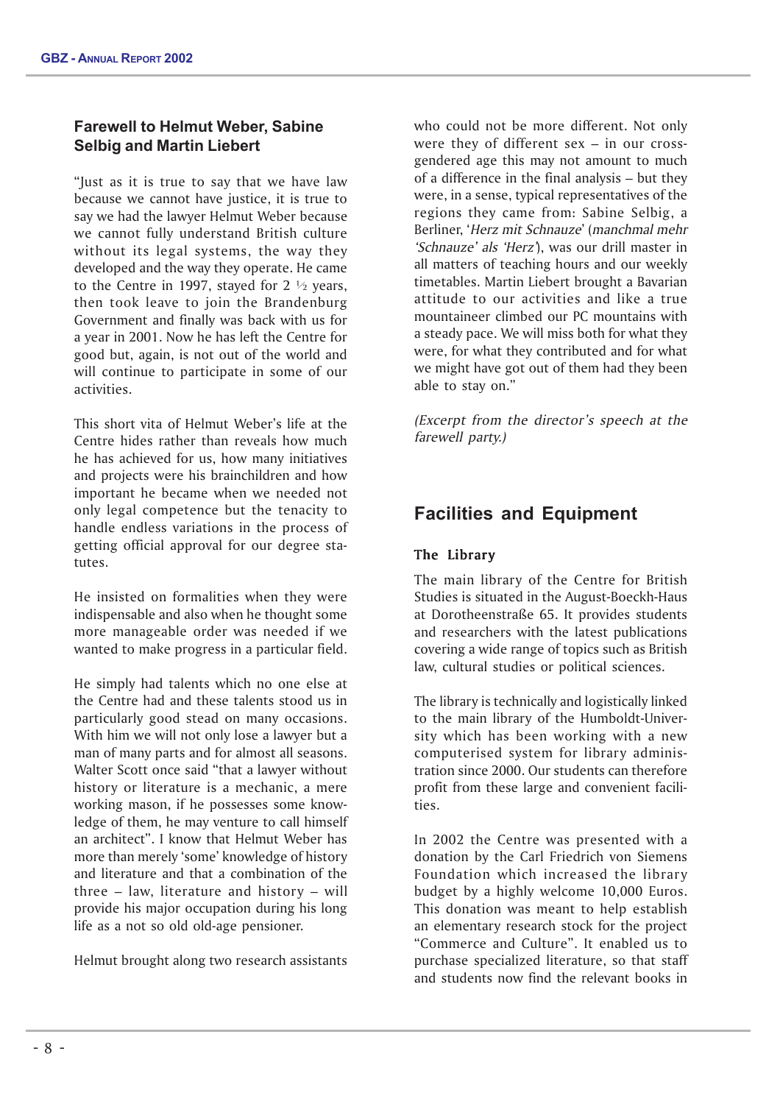# **Farewell to Helmut Weber, Sabine Selbig and Martin Liebert**

"Just as it is true to say that we have law because we cannot have justice, it is true to say we had the lawyer Helmut Weber because we cannot fully understand British culture without its legal systems, the way they developed and the way they operate. He came to the Centre in 1997, stayed for  $2 \frac{1}{2}$  years, then took leave to join the Brandenburg Government and finally was back with us for a year in 2001. Now he has left the Centre for good but, again, is not out of the world and will continue to participate in some of our activities.

This short vita of Helmut Weber's life at the Centre hides rather than reveals how much he has achieved for us, how many initiatives and projects were his brainchildren and how important he became when we needed not only legal competence but the tenacity to handle endless variations in the process of getting official approval for our degree statutes.

He insisted on formalities when they were indispensable and also when he thought some more manageable order was needed if we wanted to make progress in a particular field.

He simply had talents which no one else at the Centre had and these talents stood us in particularly good stead on many occasions. With him we will not only lose a lawyer but a man of many parts and for almost all seasons. Walter Scott once said "that a lawyer without history or literature is a mechanic, a mere working mason, if he possesses some knowledge of them, he may venture to call himself an architect". I know that Helmut Weber has more than merely 'some' knowledge of history and literature and that a combination of the three – law, literature and history – will provide his major occupation during his long life as a not so old old-age pensioner.

Helmut brought along two research assistants

who could not be more different. Not only were they of different sex – in our crossgendered age this may not amount to much of a difference in the final analysis – but they were, in a sense, typical representatives of the regions they came from: Sabine Selbig, a Berliner, 'Herz mit Schnauze' (manchmal mehr 'Schnauze' als 'Herz'), was our drill master in all matters of teaching hours and our weekly timetables. Martin Liebert brought a Bavarian attitude to our activities and like a true mountaineer climbed our PC mountains with a steady pace. We will miss both for what they were, for what they contributed and for what we might have got out of them had they been able to stay on."

(Excerpt from the director's speech at the farewell party.)

# **Facilities and Equipment**

# The Library

The main library of the Centre for British Studies is situated in the August-Boeckh-Haus at Dorotheenstraße 65. It provides students and researchers with the latest publications covering a wide range of topics such as British law, cultural studies or political sciences.

The library is technically and logistically linked to the main library of the Humboldt-University which has been working with a new computerised system for library administration since 2000. Our students can therefore profit from these large and convenient facilities.

In 2002 the Centre was presented with a donation by the Carl Friedrich von Siemens Foundation which increased the library budget by a highly welcome 10,000 Euros. This donation was meant to help establish an elementary research stock for the project "Commerce and Culture". It enabled us to purchase specialized literature, so that staff and students now find the relevant books in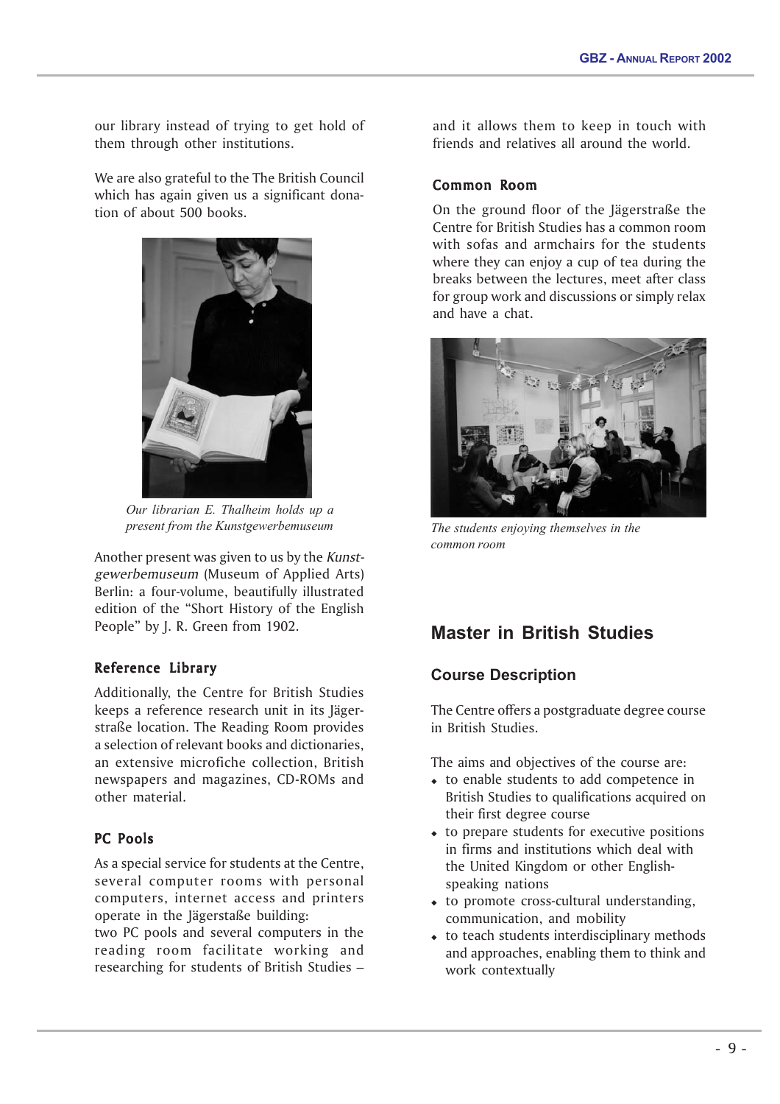our library instead of trying to get hold of them through other institutions.

We are also grateful to the The British Council which has again given us a significant donation of about 500 books.



*Our librarian E. Thalheim holds up a present from the Kunstgewerbemuseum*

Another present was given to us by the Kunstgewerbemuseum (Museum of Applied Arts) Berlin: a four-volume, beautifully illustrated edition of the "Short History of the English People" by J. R. Green from 1902.

# Reference Library

Additionally, the Centre for British Studies keeps a reference research unit in its Jägerstraße location. The Reading Room provides a selection of relevant books and dictionaries, an extensive microfiche collection, British newspapers and magazines, CD-ROMs and other material.

# PC Pools

As a special service for students at the Centre, several computer rooms with personal computers, internet access and printers operate in the Jägerstaße building:

two PC pools and several computers in the reading room facilitate working and researching for students of British Studies –

and it allows them to keep in touch with friends and relatives all around the world.

# Common Room

On the ground floor of the Jägerstraße the Centre for British Studies has a common room with sofas and armchairs for the students where they can enjoy a cup of tea during the breaks between the lectures, meet after class for group work and discussions or simply relax and have a chat.



*The students enjoying themselves in the common room*

# **Master in British Studies**

# **Course Description**

The Centre offers a postgraduate degree course in British Studies.

The aims and objectives of the course are:

- to enable students to add competence in British Studies to qualifications acquired on their first degree course
- to prepare students for executive positions in firms and institutions which deal with the United Kingdom or other Englishspeaking nations
- to promote cross-cultural understanding, communication, and mobility
- to teach students interdisciplinary methods and approaches, enabling them to think and work contextually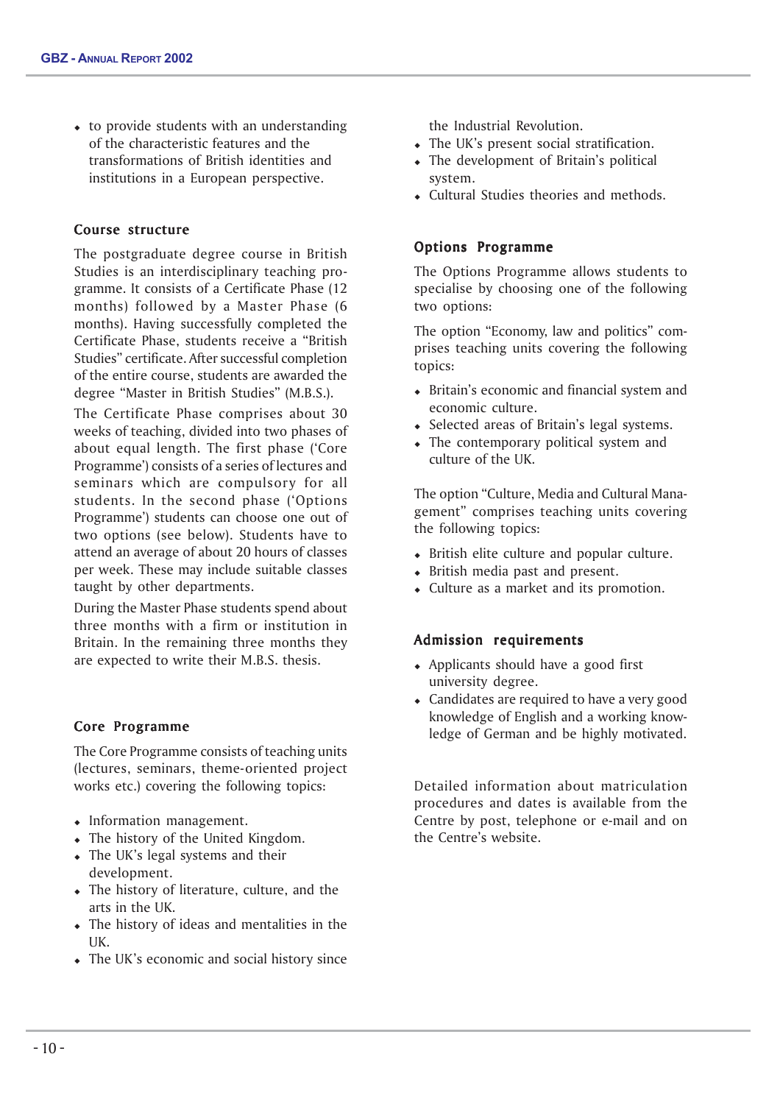to provide students with an understanding of the characteristic features and the transformations of British identities and institutions in a European perspective.

# Course structure

The postgraduate degree course in British Studies is an interdisciplinary teaching programme. It consists of a Certificate Phase (12 months) followed by a Master Phase (6 months). Having successfully completed the Certificate Phase, students receive a "British Studies" certificate. After successful completion of the entire course, students are awarded the degree "Master in British Studies" (M.B.S.).

The Certificate Phase comprises about 30 weeks of teaching, divided into two phases of about equal length. The first phase ('Core Programme') consists of a series of lectures and seminars which are compulsory for all students. In the second phase ('Options Programme') students can choose one out of two options (see below). Students have to attend an average of about 20 hours of classes per week. These may include suitable classes taught by other departments.

During the Master Phase students spend about three months with a firm or institution in Britain. In the remaining three months they are expected to write their M.B.S. thesis.

# Core Programme

The Core Programme consists of teaching units (lectures, seminars, theme-oriented project works etc.) covering the following topics:

- Information management.
- The history of the United Kingdom.
- The UK's legal systems and their development.
- The history of literature, culture, and the arts in the UK.
- The history of ideas and mentalities in the UK.
- The UK's economic and social history since

the Industrial Revolution.

- The UK's present social stratification.
- The development of Britain's political system.
- Cultural Studies theories and methods.

# Options Programme

The Options Programme allows students to specialise by choosing one of the following two options:

The option "Economy, law and politics" comprises teaching units covering the following topics:

- Britain's economic and financial system and economic culture.
- Selected areas of Britain's legal systems.
- The contemporary political system and culture of the UK.

The option "Culture, Media and Cultural Management" comprises teaching units covering the following topics:

- British elite culture and popular culture.
- British media past and present.
- Culture as a market and its promotion.

# Admission requirements

- Applicants should have a good first university degree.
- Candidates are required to have a very good knowledge of English and a working knowledge of German and be highly motivated.

Detailed information about matriculation procedures and dates is available from the Centre by post, telephone or e-mail and on the Centre's website.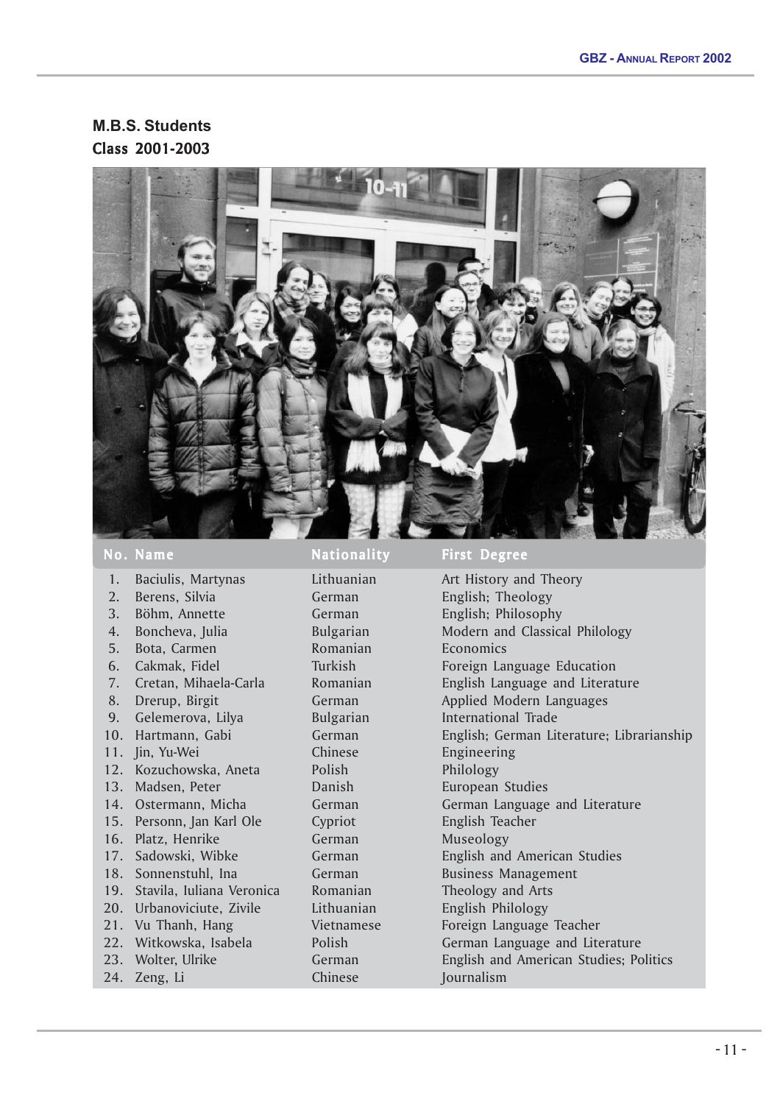**M.B.S. Students** Class 2001-2003



- 1. Baciulis, Martynas Lithuanian Art History and Theory
- 
- 
- 
- 
- 
- 
- 
- 
- 
- 
- 12. Kozuchowska, Aneta Polish Philology
- 
- 
- 
- 
- 
- 
- 20. Urbanoviciute, Zivile Lithuanian English Philology
- 
- 
- 
- 24. Zeng, Li Chinese Journalism

No. Name Nationality First Degree

2. Berens, Silvia **German** German English; Theology 3. Böhm, Annette German English; Philosophy 4. Boncheva, Julia Bulgarian Modern and Classical Philology 5. Bota, Carmen Romanian Economics 6. Cakmak, Fidel Turkish Foreign Language Education 7. Cretan, Mihaela-Carla Romanian English Language and Literature 8. Drerup, Birgit **German** German Applied Modern Languages 9. Gelemerova, Lilya Bulgarian Bultarian International Trade 10. Hartmann, Gabi German English; German Literature; Librarianship 11. Jin, Yu-Wei Chinese Engineering 13. Madsen, Peter Danish European Studies 14. Ostermann, Micha German German Language and Literature 15. Personn, Jan Karl Ole Cypriot English Teacher 16. Platz, Henrike German Museology 17. Sadowski, Wibke **German German** English and American Studies 18. Sonnenstuhl, Ina German Business Management 19. Stavila, Iuliana Veronica Romanian Theology and Arts 21. Vu Thanh, Hang **Vietnamese** Foreign Language Teacher 22. Witkowska, Isabela Polish German Language and Literature 23. Wolter, Ulrike **German** German English and American Studies; Politics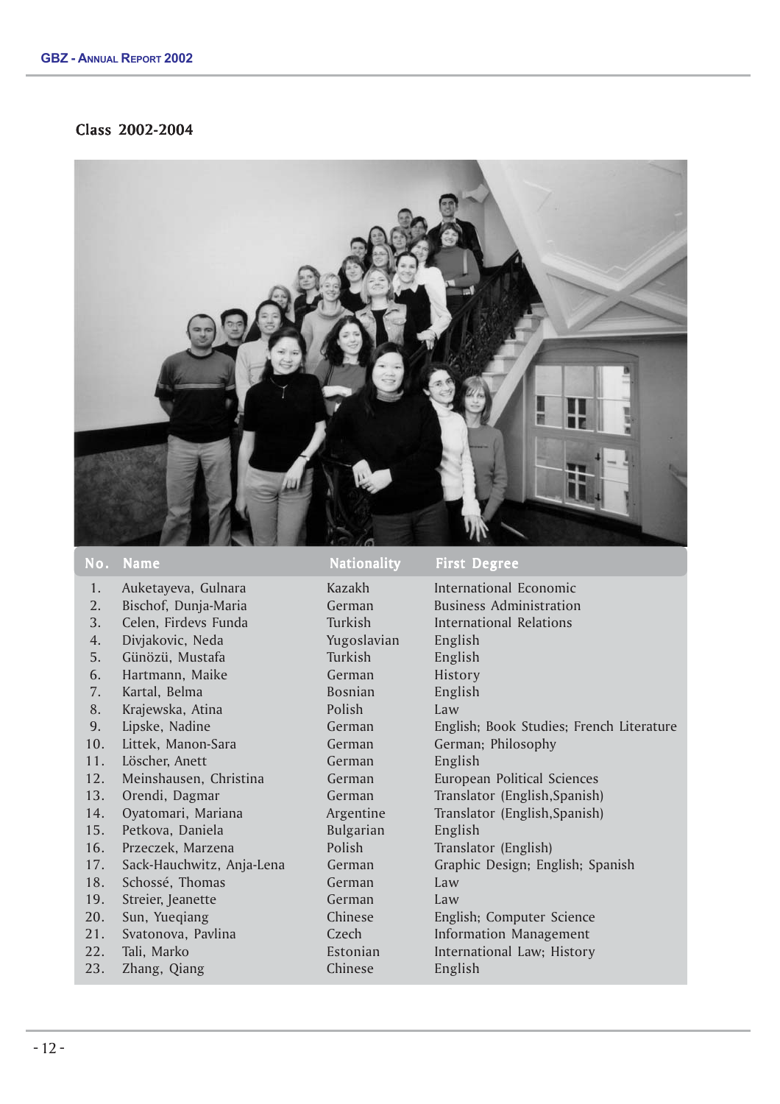# Class 2002-2004



| 1.  | Auketayeva, Gulnara       | Kazakh         | Inte        |
|-----|---------------------------|----------------|-------------|
| 2.  | Bischof, Dunja-Maria      | German         | <b>Busi</b> |
| 3.  | Celen, Firdevs Funda      | Turkish        | Inte        |
| 4.  | Divjakovic, Neda          | Yugoslavian    | Eng         |
| 5.  | Günözü, Mustafa           | Turkish        | Eng         |
| 6.  | Hartmann, Maike           | German         | Hist        |
| 7.  | Kartal, Belma             | <b>Bosnian</b> | Eng         |
| 8.  | Krajewska, Atina          | Polish         | Law         |
| 9.  | Lipske, Nadine            | German         | Engl        |
| 10. | Littek, Manon-Sara        | German         | Geri        |
| 11. | Löscher, Anett            | German         | Eng         |
| 12. | Meinshausen, Christina    | German         | Euro        |
| 13. | Orendi, Dagmar            | German         | Tran        |
| 14. | Oyatomari, Mariana        | Argentine      | Tran        |
| 15. | Petkova, Daniela          | Bulgarian      | Eng         |
| 16. | Przeczek, Marzena         | Polish         | Tran        |
| 17. | Sack-Hauchwitz, Anja-Lena | German         | Graj        |
| 18. | Schossé, Thomas           | German         | Law         |
| 19. | Streier, Jeanette         | German         | Law         |
| 20. | Sun, Yueqiang             | Chinese        | Engl        |
| 21. | Svatonova, Pavlina        | Czech          | Info        |
| 22. | Tali, Marko               | Estonian       | Inte        |
|     |                           |                |             |

#### No. Name Nationality First Degree

Yugoslavian English Turkish English German History Bosnian English German English Bulgarian English 18. Serman Law 19. Strengthendorff German Law 23. Zhang, Qiang Chinese English

 1. Auketayeva, Gulnara Kazakh International Economic German Business Administration 3. Celen, Firdevs Funda Turkish International Relations German English; Book Studies; French Literature German German; Philosophy a 12. Mers German European Political Sciences German Translator (English,Spanish) Argentine Translator (English,Spanish) Polish Translator (English) 17. Lena German Graphic Design; English; Spanish Chinese English; Computer Science Czech Information Management Estonian International Law; History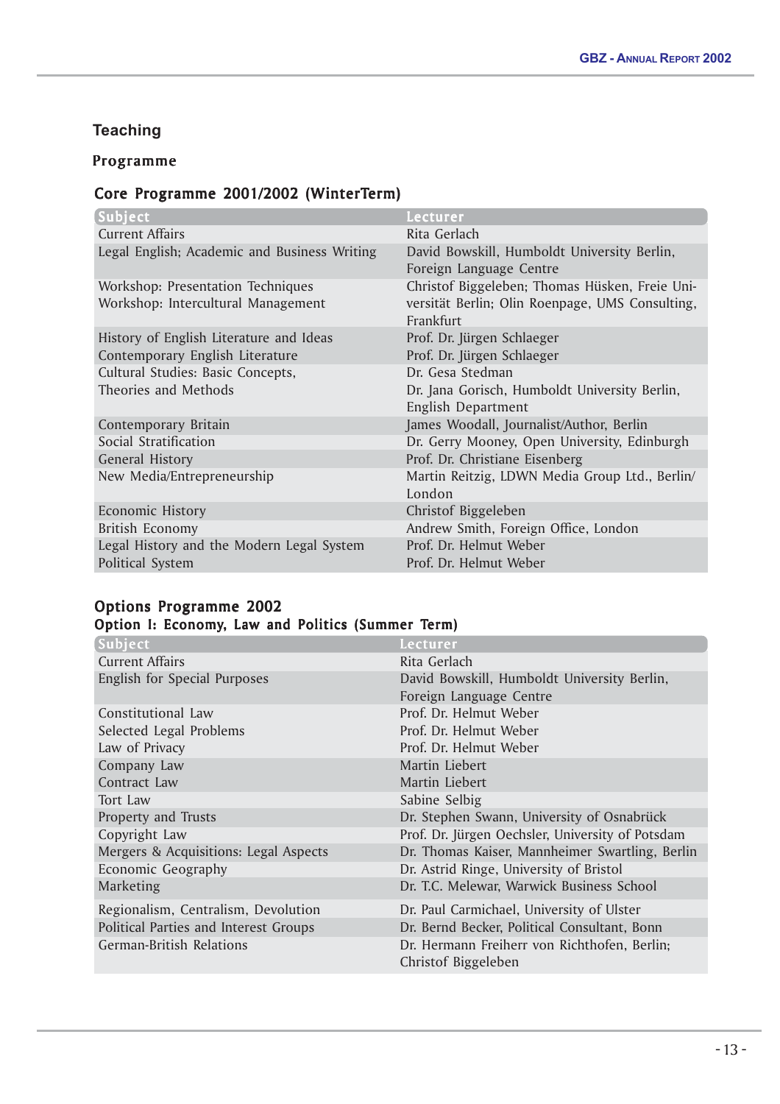# **Teaching**

# Programme

# Core Programme 2001/2002 (WinterTerm)

| Subject                                                                    | Lecturer                                                                                                       |
|----------------------------------------------------------------------------|----------------------------------------------------------------------------------------------------------------|
| <b>Current Affairs</b>                                                     | Rita Gerlach                                                                                                   |
| Legal English; Academic and Business Writing                               | David Bowskill, Humboldt University Berlin,<br>Foreign Language Centre                                         |
| Workshop: Presentation Techniques<br>Workshop: Intercultural Management    | Christof Biggeleben; Thomas Hüsken, Freie Uni-<br>versität Berlin; Olin Roenpage, UMS Consulting,<br>Frankfurt |
| History of English Literature and Ideas<br>Contemporary English Literature | Prof. Dr. Jürgen Schlaeger<br>Prof. Dr. Jürgen Schlaeger                                                       |
| Cultural Studies: Basic Concepts,<br>Theories and Methods                  | Dr. Gesa Stedman<br>Dr. Jana Gorisch, Humboldt University Berlin,<br><b>English Department</b>                 |
| Contemporary Britain                                                       | James Woodall, Journalist/Author, Berlin                                                                       |
| Social Stratification                                                      | Dr. Gerry Mooney, Open University, Edinburgh                                                                   |
| <b>General History</b>                                                     | Prof. Dr. Christiane Eisenberg                                                                                 |
| New Media/Entrepreneurship                                                 | Martin Reitzig, LDWN Media Group Ltd., Berlin/<br>London                                                       |
| <b>Economic History</b>                                                    | Christof Biggeleben                                                                                            |
| British Economy                                                            | Andrew Smith, Foreign Office, London                                                                           |
| Legal History and the Modern Legal System<br>Political System              | Prof. Dr. Helmut Weber<br>Prof. Dr. Helmut Weber                                                               |

# Options Programme 2002

# Option I: Economy, Law and Politics (Summer Term)

| Subject                               | Lecturer                                                            |
|---------------------------------------|---------------------------------------------------------------------|
| <b>Current Affairs</b>                | Rita Gerlach                                                        |
| English for Special Purposes          | David Bowskill, Humboldt University Berlin,                         |
|                                       | Foreign Language Centre                                             |
| Constitutional Law                    | Prof. Dr. Helmut Weber                                              |
| Selected Legal Problems               | Prof. Dr. Helmut Weber                                              |
| Law of Privacy                        | Prof. Dr. Helmut Weber                                              |
| Company Law                           | Martin Liebert                                                      |
| Contract Law                          | Martin Liebert                                                      |
| Tort Law                              | Sabine Selbig                                                       |
| Property and Trusts                   | Dr. Stephen Swann, University of Osnabrück                          |
| Copyright Law                         | Prof. Dr. Jürgen Oechsler, University of Potsdam                    |
| Mergers & Acquisitions: Legal Aspects | Dr. Thomas Kaiser, Mannheimer Swartling, Berlin                     |
| Economic Geography                    | Dr. Astrid Ringe, University of Bristol                             |
| Marketing                             | Dr. T.C. Melewar, Warwick Business School                           |
| Regionalism, Centralism, Devolution   | Dr. Paul Carmichael, University of Ulster                           |
| Political Parties and Interest Groups | Dr. Bernd Becker, Political Consultant, Bonn                        |
| <b>German-British Relations</b>       | Dr. Hermann Freiherr von Richthofen, Berlin;<br>Christof Biggeleben |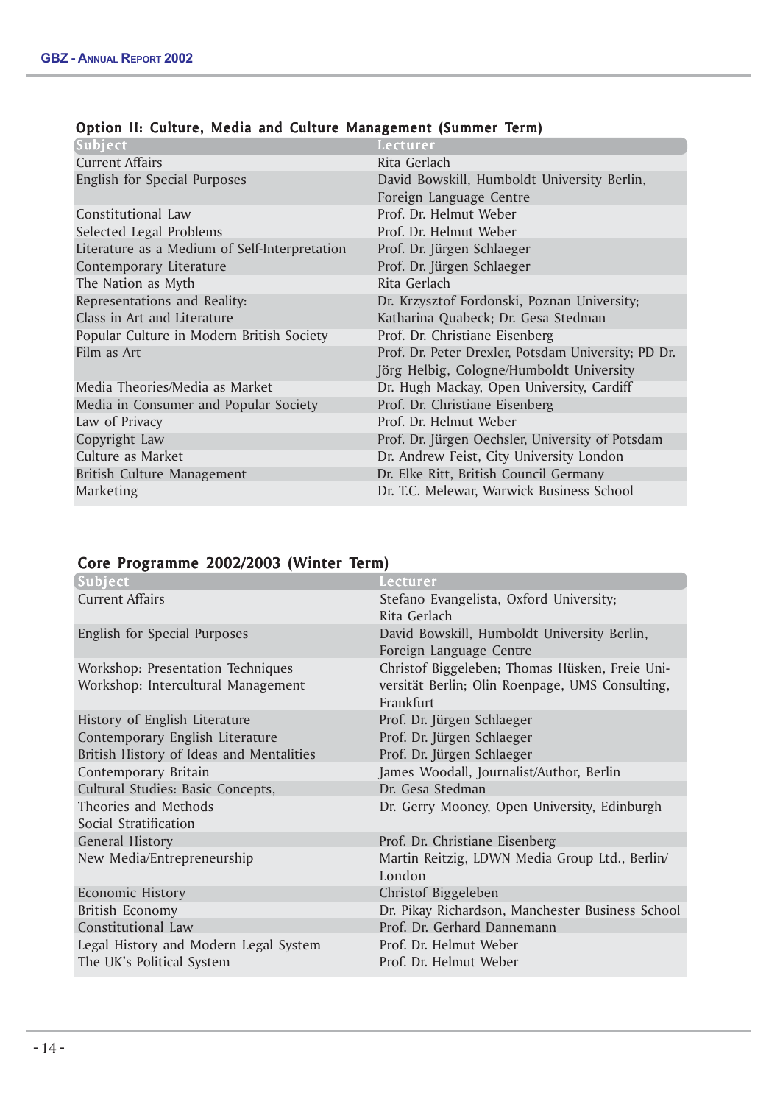| Subject                                       | Lecturer                                            |
|-----------------------------------------------|-----------------------------------------------------|
| <b>Current Affairs</b>                        | Rita Gerlach                                        |
| English for Special Purposes                  | David Bowskill, Humboldt University Berlin,         |
|                                               | Foreign Language Centre                             |
| Constitutional Law                            | Prof. Dr. Helmut Weber                              |
| Selected Legal Problems                       | Prof. Dr. Helmut Weber                              |
| Literature as a Medium of Self-Interpretation | Prof. Dr. Jürgen Schlaeger                          |
| Contemporary Literature                       | Prof. Dr. Jürgen Schlaeger                          |
| The Nation as Myth                            | Rita Gerlach                                        |
| Representations and Reality:                  | Dr. Krzysztof Fordonski, Poznan University;         |
| Class in Art and Literature                   | Katharina Quabeck; Dr. Gesa Stedman                 |
| Popular Culture in Modern British Society     | Prof. Dr. Christiane Eisenberg                      |
| Film as Art                                   | Prof. Dr. Peter Drexler, Potsdam University; PD Dr. |
|                                               | Jörg Helbig, Cologne/Humboldt University            |
| Media Theories/Media as Market                | Dr. Hugh Mackay, Open University, Cardiff           |
| Media in Consumer and Popular Society         | Prof. Dr. Christiane Eisenberg                      |
| Law of Privacy                                | Prof. Dr. Helmut Weber                              |
| Copyright Law                                 | Prof. Dr. Jürgen Oechsler, University of Potsdam    |
| Culture as Market                             | Dr. Andrew Feist, City University London            |
| British Culture Management                    | Dr. Elke Ritt, British Council Germany              |
| Marketing                                     | Dr. T.C. Melewar, Warwick Business School           |
|                                               |                                                     |

# Option II: Culture, Media and Culture Management (Summer Term)

# Core Programme 2002/2003 (Winter Term)

| Subject                                                                 | Lecturer                                                                                                       |
|-------------------------------------------------------------------------|----------------------------------------------------------------------------------------------------------------|
| <b>Current Affairs</b>                                                  | Stefano Evangelista, Oxford University;<br>Rita Gerlach                                                        |
| English for Special Purposes                                            | David Bowskill, Humboldt University Berlin,<br>Foreign Language Centre                                         |
| Workshop: Presentation Techniques<br>Workshop: Intercultural Management | Christof Biggeleben; Thomas Hüsken, Freie Uni-<br>versität Berlin; Olin Roenpage, UMS Consulting,<br>Frankfurt |
| History of English Literature<br>Contemporary English Literature        | Prof. Dr. Jürgen Schlaeger<br>Prof. Dr. Jürgen Schlaeger                                                       |
| British History of Ideas and Mentalities<br>Contemporary Britain        | Prof. Dr. Jürgen Schlaeger<br>James Woodall, Journalist/Author, Berlin                                         |
| Cultural Studies: Basic Concepts,                                       | Dr. Gesa Stedman                                                                                               |
| Theories and Methods<br>Social Stratification                           | Dr. Gerry Mooney, Open University, Edinburgh                                                                   |
| <b>General History</b>                                                  | Prof. Dr. Christiane Eisenberg                                                                                 |
| New Media/Entrepreneurship                                              | Martin Reitzig, LDWN Media Group Ltd., Berlin/<br>London                                                       |
| Economic History                                                        | Christof Biggeleben                                                                                            |
| <b>British Economy</b>                                                  | Dr. Pikay Richardson, Manchester Business School                                                               |
| Constitutional Law                                                      | Prof. Dr. Gerhard Dannemann                                                                                    |
| Legal History and Modern Legal System<br>The UK's Political System      | Prof. Dr. Helmut Weber<br>Prof. Dr. Helmut Weber                                                               |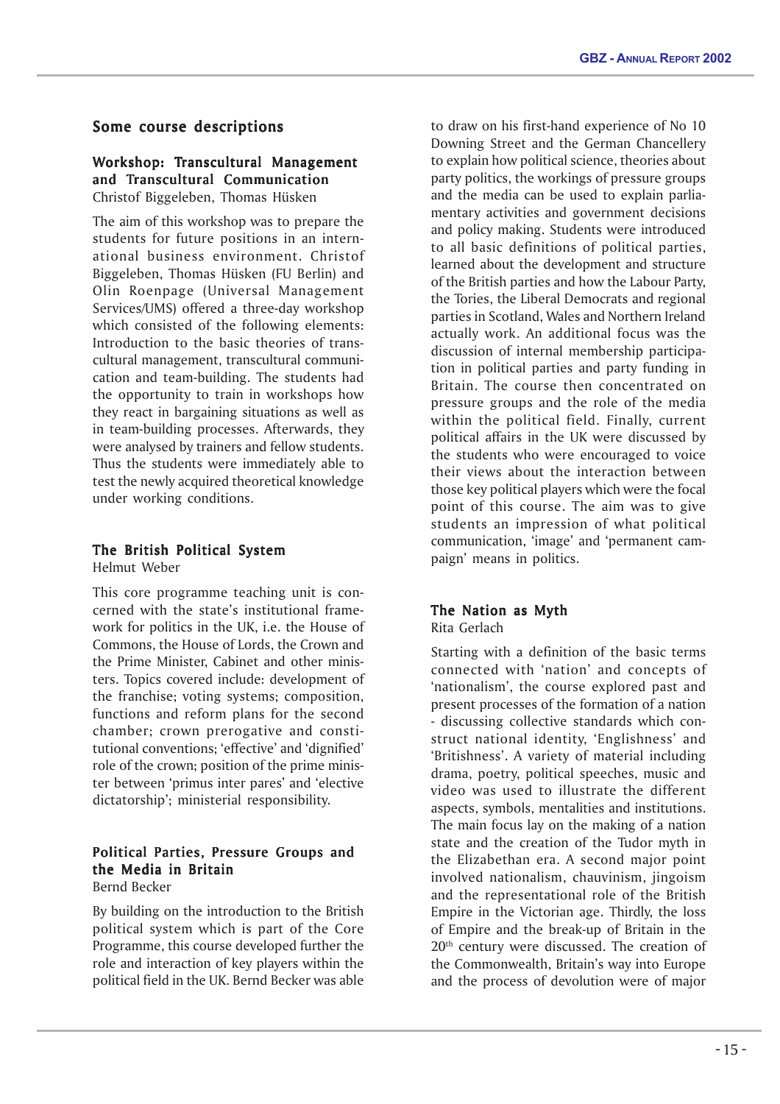# Some course descriptions

# Workshop: Transcultural Management and Transcultural Communication Christof Biggeleben, Thomas Hüsken

The aim of this workshop was to prepare the students for future positions in an international business environment. Christof Biggeleben, Thomas Hüsken (FU Berlin) and Olin Roenpage (Universal Management Services/UMS) offered a three-day workshop which consisted of the following elements: Introduction to the basic theories of transcultural management, transcultural communication and team-building. The students had the opportunity to train in workshops how they react in bargaining situations as well as in team-building processes. Afterwards, they were analysed by trainers and fellow students. Thus the students were immediately able to test the newly acquired theoretical knowledge under working conditions.

#### The British Political System Helmut Weber

This core programme teaching unit is concerned with the state's institutional framework for politics in the UK, i.e. the House of Commons, the House of Lords, the Crown and the Prime Minister, Cabinet and other ministers. Topics covered include: development of the franchise; voting systems; composition, functions and reform plans for the second chamber; crown prerogative and constitutional conventions; 'effective' and 'dignified' role of the crown; position of the prime minister between 'primus inter pares' and 'elective dictatorship'; ministerial responsibility.

# Political Parties, Pressure Groups and the Media in Britain

Bernd Becker

By building on the introduction to the British political system which is part of the Core Programme, this course developed further the role and interaction of key players within the political field in the UK. Bernd Becker was able

to draw on his first-hand experience of No 10 Downing Street and the German Chancellery to explain how political science, theories about party politics, the workings of pressure groups and the media can be used to explain parliamentary activities and government decisions and policy making. Students were introduced to all basic definitions of political parties, learned about the development and structure of the British parties and how the Labour Party, the Tories, the Liberal Democrats and regional parties in Scotland, Wales and Northern Ireland actually work. An additional focus was the discussion of internal membership participation in political parties and party funding in Britain. The course then concentrated on pressure groups and the role of the media within the political field. Finally, current political affairs in the UK were discussed by the students who were encouraged to voice their views about the interaction between those key political players which were the focal point of this course. The aim was to give students an impression of what political communication, 'image' and 'permanent campaign' means in politics.

#### The Nation as Myth Rita Gerlach

Starting with a definition of the basic terms connected with 'nation' and concepts of 'nationalism', the course explored past and present processes of the formation of a nation - discussing collective standards which construct national identity, 'Englishness' and 'Britishness'. A variety of material including drama, poetry, political speeches, music and video was used to illustrate the different aspects, symbols, mentalities and institutions. The main focus lay on the making of a nation state and the creation of the Tudor myth in the Elizabethan era. A second major point involved nationalism, chauvinism, jingoism and the representational role of the British Empire in the Victorian age. Thirdly, the loss of Empire and the break-up of Britain in the 20<sup>th</sup> century were discussed. The creation of the Commonwealth, Britain's way into Europe and the process of devolution were of major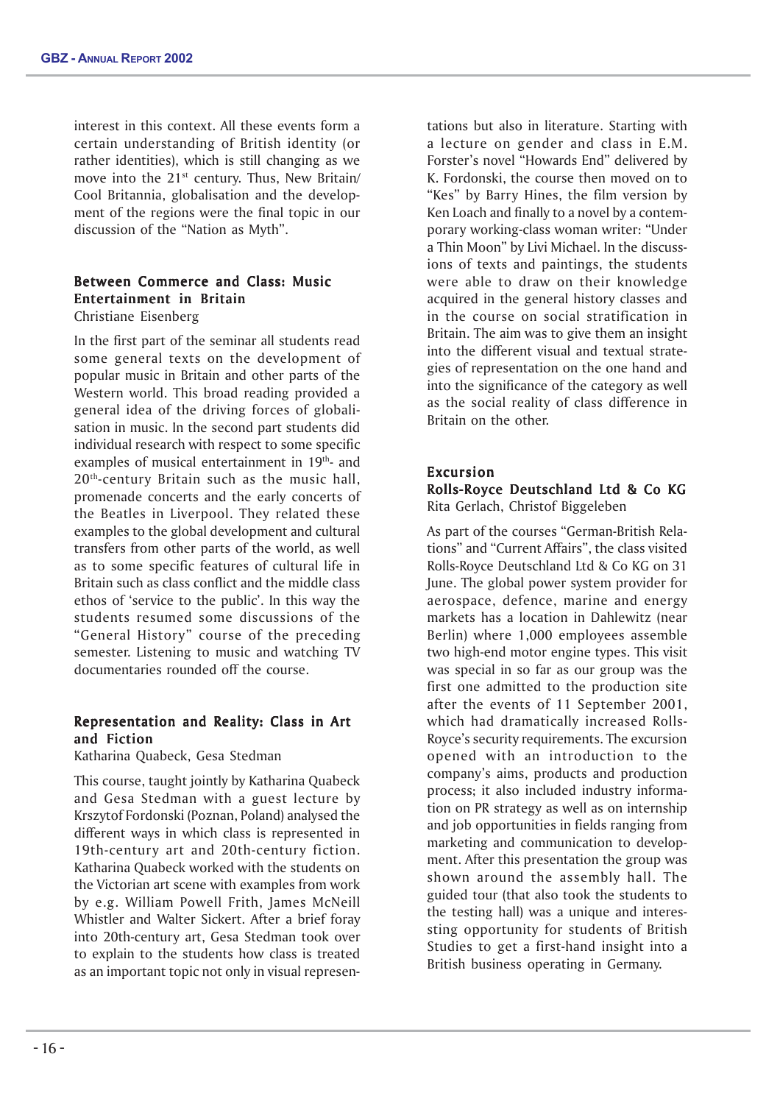interest in this context. All these events form a certain understanding of British identity (or rather identities), which is still changing as we move into the  $21^{st}$  century. Thus, New Britain/ Cool Britannia, globalisation and the development of the regions were the final topic in our discussion of the "Nation as Myth".

# Between Commerce and Class: Music Entertainment in Britain Christiane Eisenberg

In the first part of the seminar all students read some general texts on the development of popular music in Britain and other parts of the Western world. This broad reading provided a general idea of the driving forces of globalisation in music. In the second part students did individual research with respect to some specific examples of musical entertainment in 19<sup>th</sup>- and 20<sup>th</sup>-century Britain such as the music hall, promenade concerts and the early concerts of the Beatles in Liverpool. They related these examples to the global development and cultural transfers from other parts of the world, as well as to some specific features of cultural life in Britain such as class conflict and the middle class ethos of 'service to the public'. In this way the students resumed some discussions of the "General History" course of the preceding semester. Listening to music and watching TV documentaries rounded off the course.

# Representation and Reality: Class in Art and Fiction

Katharina Quabeck, Gesa Stedman

This course, taught jointly by Katharina Quabeck and Gesa Stedman with a guest lecture by Krszytof Fordonski (Poznan, Poland) analysed the different ways in which class is represented in 19th-century art and 20th-century fiction. Katharina Quabeck worked with the students on the Victorian art scene with examples from work by e.g. William Powell Frith, James McNeill Whistler and Walter Sickert. After a brief foray into 20th-century art, Gesa Stedman took over to explain to the students how class is treated as an important topic not only in visual representations but also in literature. Starting with a lecture on gender and class in E.M. Forster's novel "Howards End" delivered by K. Fordonski, the course then moved on to "Kes" by Barry Hines, the film version by Ken Loach and finally to a novel by a contemporary working-class woman writer: "Under a Thin Moon" by Livi Michael. In the discussions of texts and paintings, the students were able to draw on their knowledge acquired in the general history classes and in the course on social stratification in Britain. The aim was to give them an insight into the different visual and textual strategies of representation on the one hand and into the significance of the category as well as the social reality of class difference in Britain on the other.

# Excursion

Rolls-Royce Deutschland Ltd & Co KG Rita Gerlach, Christof Biggeleben

As part of the courses "German-British Relations" and "Current Affairs", the class visited Rolls-Royce Deutschland Ltd & Co KG on 31 June. The global power system provider for aerospace, defence, marine and energy markets has a location in Dahlewitz (near Berlin) where 1,000 employees assemble two high-end motor engine types. This visit was special in so far as our group was the first one admitted to the production site after the events of 11 September 2001, which had dramatically increased Rolls-Royce's security requirements. The excursion opened with an introduction to the company's aims, products and production process; it also included industry information on PR strategy as well as on internship and job opportunities in fields ranging from marketing and communication to development. After this presentation the group was shown around the assembly hall. The guided tour (that also took the students to the testing hall) was a unique and interessting opportunity for students of British Studies to get a first-hand insight into a British business operating in Germany.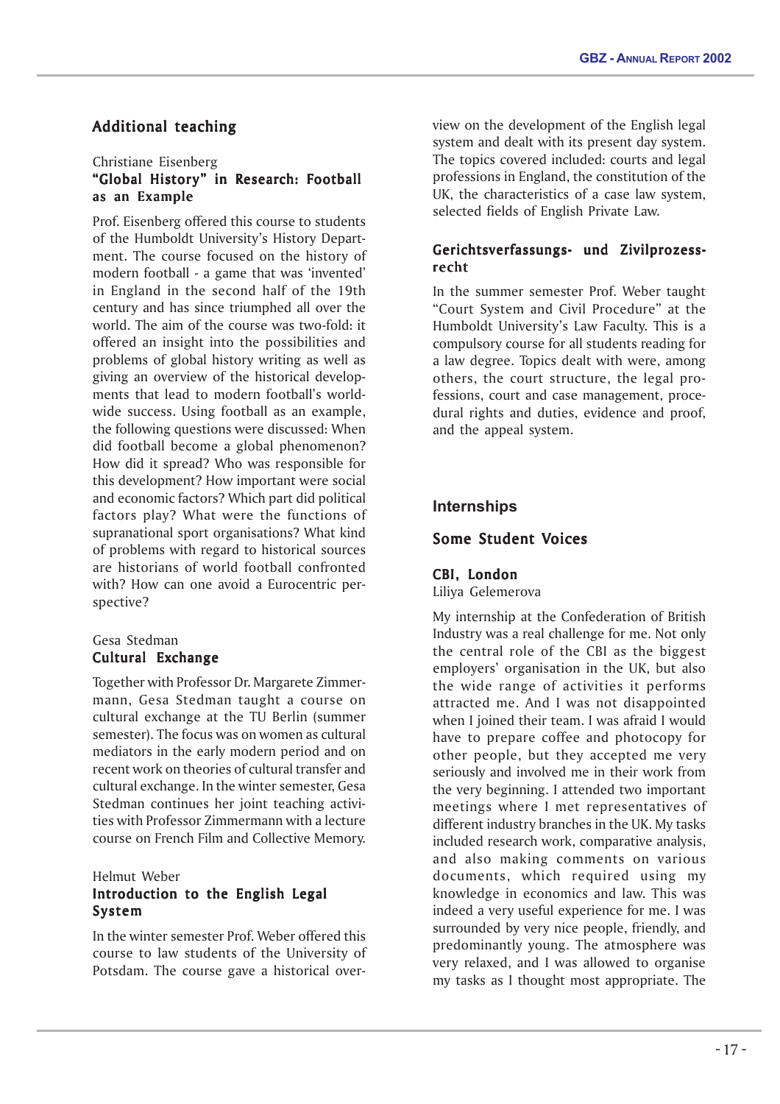# Additional teaching

# Christiane Eisenberg "Global History" in Research: Football as an Example

Prof. Eisenberg offered this course to students of the Humboldt University's History Department. The course focused on the history of modern football - a game that was 'invented' in England in the second half of the 19th century and has since triumphed all over the world. The aim of the course was two-fold: it offered an insight into the possibilities and problems of global history writing as well as giving an overview of the historical developments that lead to modern football's worldwide success. Using football as an example, the following questions were discussed: When did football become a global phenomenon? How did it spread? Who was responsible for this development? How important were social and economic factors? Which part did political factors play? What were the functions of supranational sport organisations? What kind of problems with regard to historical sources are historians of world football confronted with? How can one avoid a Eurocentric perspective?

# Gesa Stedman Cultural Exchange

Together with Professor Dr. Margarete Zimmermann, Gesa Stedman taught a course on cultural exchange at the TU Berlin (summer semester). The focus was on women as cultural mediators in the early modern period and on recent work on theories of cultural transfer and cultural exchange. In the winter semester, Gesa Stedman continues her joint teaching activities with Professor Zimmermann with a lecture course on French Film and Collective Memory.

# Helmut Weber Introduction to the English Legal System

In the winter semester Prof. Weber offered this course to law students of the University of Potsdam. The course gave a historical overview on the development of the English legal system and dealt with its present day system. The topics covered included: courts and legal professions in England, the constitution of the UK, the characteristics of a case law system, selected fields of English Private Law.

# Gerichtsverfassungs- und Zivilprozessrecht

In the summer semester Prof. Weber taught "Court System and Civil Procedure" at the Humboldt University's Law Faculty. This is a compulsory course for all students reading for a law degree. Topics dealt with were, among others, the court structure, the legal professions, court and case management, procedural rights and duties, evidence and proof, and the appeal system.

# **Internships**

# Some Student Voices

# CBI, London

Liliya Gelemerova

My internship at the Confederation of British Industry was a real challenge for me. Not only the central role of the CBI as the biggest employers' organisation in the UK, but also the wide range of activities it performs attracted me. And I was not disappointed when I joined their team. I was afraid I would have to prepare coffee and photocopy for other people, but they accepted me very seriously and involved me in their work from the very beginning. I attended two important meetings where I met representatives of different industry branches in the UK. My tasks included research work, comparative analysis, and also making comments on various documents, which required using my knowledge in economics and law. This was indeed a very useful experience for me. I was surrounded by very nice people, friendly, and predominantly young. The atmosphere was very relaxed, and I was allowed to organise my tasks as I thought most appropriate. The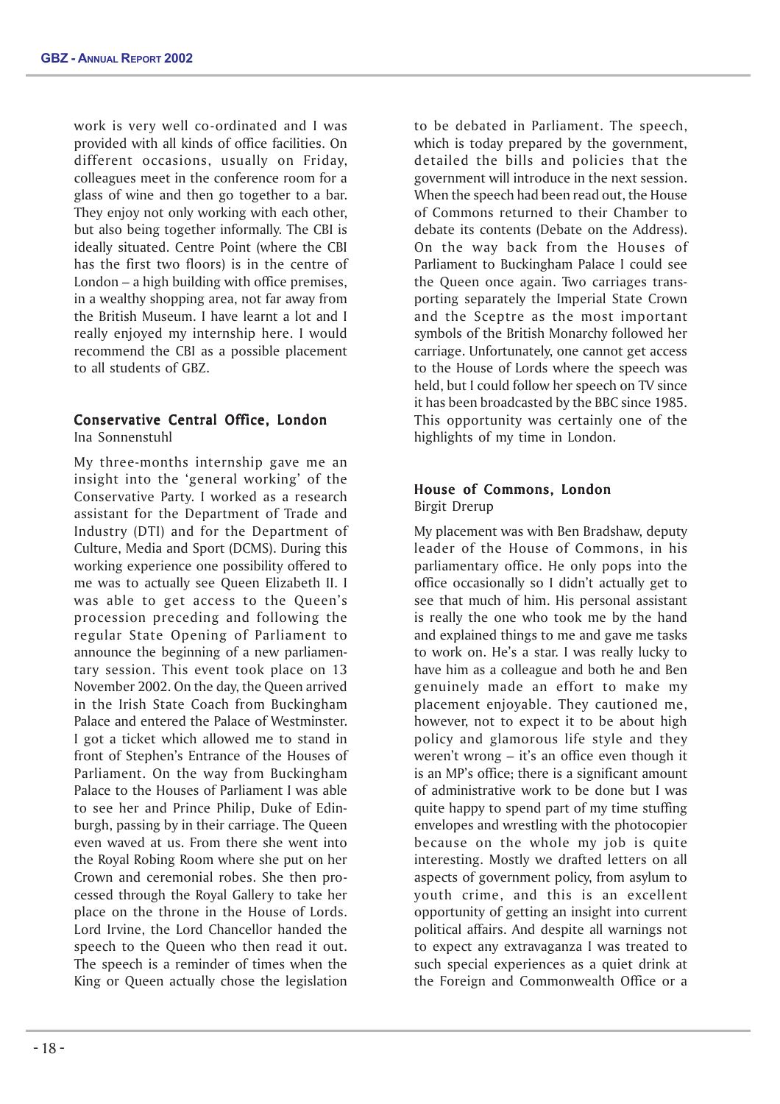work is very well co-ordinated and I was provided with all kinds of office facilities. On different occasions, usually on Friday, colleagues meet in the conference room for a glass of wine and then go together to a bar. They enjoy not only working with each other, but also being together informally. The CBI is ideally situated. Centre Point (where the CBI has the first two floors) is in the centre of London – a high building with office premises, in a wealthy shopping area, not far away from the British Museum. I have learnt a lot and I really enjoyed my internship here. I would recommend the CBI as a possible placement to all students of GBZ.

#### Conservative Central Office, London Ina Sonnenstuhl

My three-months internship gave me an insight into the 'general working' of the Conservative Party. I worked as a research assistant for the Department of Trade and Industry (DTI) and for the Department of Culture, Media and Sport (DCMS). During this working experience one possibility offered to me was to actually see Queen Elizabeth II. I was able to get access to the Queen's procession preceding and following the regular State Opening of Parliament to announce the beginning of a new parliamentary session. This event took place on 13 November 2002. On the day, the Queen arrived in the Irish State Coach from Buckingham Palace and entered the Palace of Westminster. I got a ticket which allowed me to stand in front of Stephen's Entrance of the Houses of Parliament. On the way from Buckingham Palace to the Houses of Parliament I was able to see her and Prince Philip, Duke of Edinburgh, passing by in their carriage. The Queen even waved at us. From there she went into the Royal Robing Room where she put on her Crown and ceremonial robes. She then processed through the Royal Gallery to take her place on the throne in the House of Lords. Lord Irvine, the Lord Chancellor handed the speech to the Queen who then read it out. The speech is a reminder of times when the King or Queen actually chose the legislation

to be debated in Parliament. The speech, which is today prepared by the government, detailed the bills and policies that the government will introduce in the next session. When the speech had been read out, the House of Commons returned to their Chamber to debate its contents (Debate on the Address). On the way back from the Houses of Parliament to Buckingham Palace I could see the Queen once again. Two carriages transporting separately the Imperial State Crown and the Sceptre as the most important symbols of the British Monarchy followed her carriage. Unfortunately, one cannot get access to the House of Lords where the speech was held, but I could follow her speech on TV since it has been broadcasted by the BBC since 1985. This opportunity was certainly one of the highlights of my time in London.

# House of Commons, London Birgit Drerup

My placement was with Ben Bradshaw, deputy leader of the House of Commons, in his parliamentary office. He only pops into the office occasionally so I didn't actually get to see that much of him. His personal assistant is really the one who took me by the hand and explained things to me and gave me tasks to work on. He's a star. I was really lucky to have him as a colleague and both he and Ben genuinely made an effort to make my placement enjoyable. They cautioned me, however, not to expect it to be about high policy and glamorous life style and they weren't wrong – it's an office even though it is an MP's office; there is a significant amount of administrative work to be done but I was quite happy to spend part of my time stuffing envelopes and wrestling with the photocopier because on the whole my job is quite interesting. Mostly we drafted letters on all aspects of government policy, from asylum to youth crime, and this is an excellent opportunity of getting an insight into current political affairs. And despite all warnings not to expect any extravaganza I was treated to such special experiences as a quiet drink at the Foreign and Commonwealth Office or a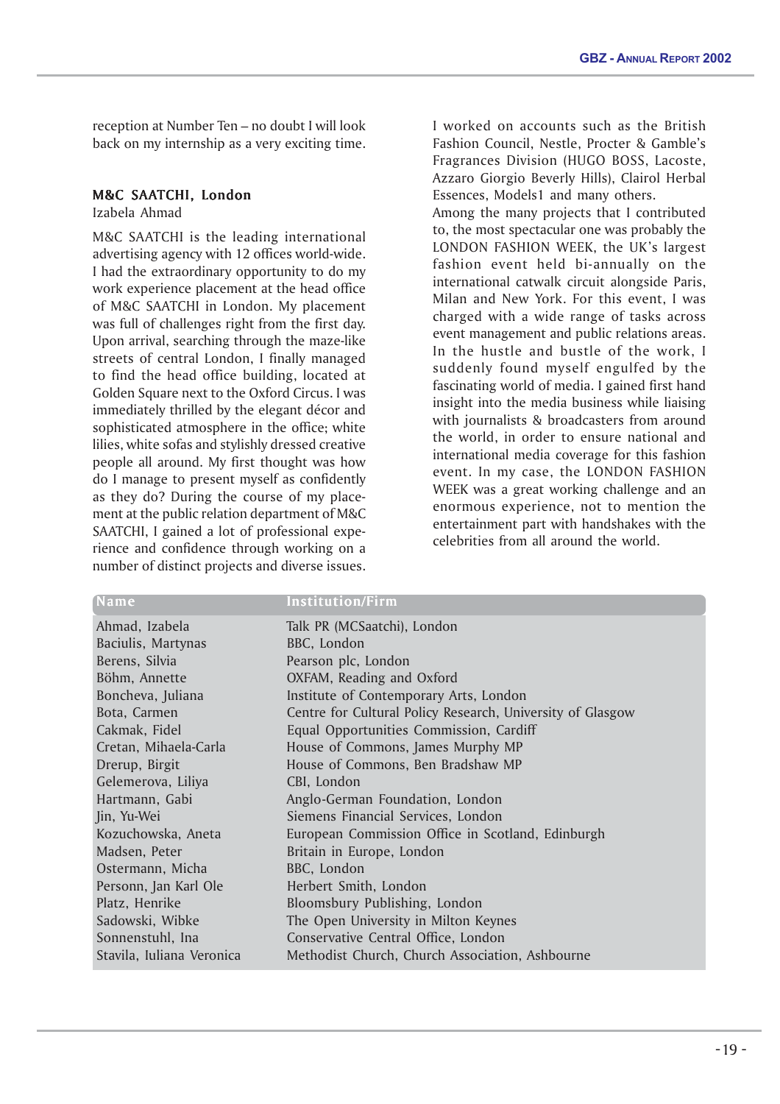reception at Number Ten – no doubt I will look back on my internship as a very exciting time.

# M&C SAATCHI, London

Izabela Ahmad

M&C SAATCHI is the leading international advertising agency with 12 offices world-wide. I had the extraordinary opportunity to do my work experience placement at the head office of M&C SAATCHI in London. My placement was full of challenges right from the first day. Upon arrival, searching through the maze-like streets of central London, I finally managed to find the head office building, located at Golden Square next to the Oxford Circus. I was immediately thrilled by the elegant décor and sophisticated atmosphere in the office; white lilies, white sofas and stylishly dressed creative people all around. My first thought was how do I manage to present myself as confidently as they do? During the course of my placement at the public relation department of M&C SAATCHI, I gained a lot of professional experience and confidence through working on a number of distinct projects and diverse issues.

I worked on accounts such as the British Fashion Council, Nestle, Procter & Gamble's Fragrances Division (HUGO BOSS, Lacoste, Azzaro Giorgio Beverly Hills), Clairol Herbal Essences, Models1 and many others.

Among the many projects that I contributed to, the most spectacular one was probably the LONDON FASHION WEEK, the UK's largest fashion event held bi-annually on the international catwalk circuit alongside Paris, Milan and New York. For this event, I was charged with a wide range of tasks across event management and public relations areas. In the hustle and bustle of the work, I suddenly found myself engulfed by the fascinating world of media. I gained first hand insight into the media business while liaising with journalists & broadcasters from around the world, in order to ensure national and international media coverage for this fashion event. In my case, the LONDON FASHION WEEK was a great working challenge and an enormous experience, not to mention the entertainment part with handshakes with the celebrities from all around the world.

| Name                      | <b>Institution/Firm</b>                                    |
|---------------------------|------------------------------------------------------------|
| Ahmad, Izabela            | Talk PR (MCSaatchi), London                                |
| Baciulis, Martynas        | BBC, London                                                |
| Berens, Silvia            | Pearson plc, London                                        |
| Böhm, Annette             | OXFAM, Reading and Oxford                                  |
| Boncheva, Juliana         | Institute of Contemporary Arts, London                     |
| Bota, Carmen              | Centre for Cultural Policy Research, University of Glasgow |
| Cakmak, Fidel             | Equal Opportunities Commission, Cardiff                    |
| Cretan, Mihaela-Carla     | House of Commons, James Murphy MP                          |
| Drerup, Birgit            | House of Commons, Ben Bradshaw MP                          |
| Gelemerova, Liliya        | CBI, London                                                |
| Hartmann, Gabi            | Anglo-German Foundation, London                            |
| Jin, Yu-Wei               | Siemens Financial Services, London                         |
| Kozuchowska, Aneta        | European Commission Office in Scotland, Edinburgh          |
| Madsen, Peter             | Britain in Europe, London                                  |
| Ostermann, Micha          | BBC, London                                                |
| Personn, Jan Karl Ole     | Herbert Smith, London                                      |
| Platz, Henrike            | Bloomsbury Publishing, London                              |
| Sadowski, Wibke           | The Open University in Milton Keynes                       |
| Sonnenstuhl, Ina          | Conservative Central Office, London                        |
| Stavila, Iuliana Veronica | Methodist Church, Church Association, Ashbourne            |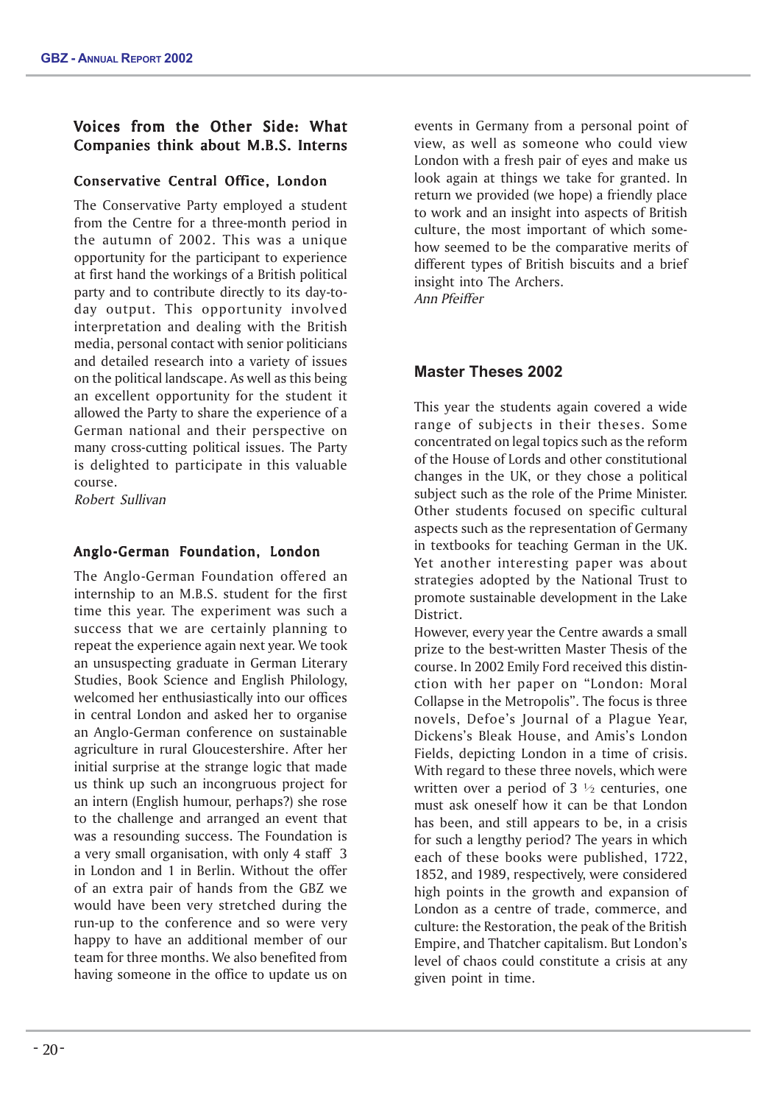# Voices from the Other Side: What Companies think about M.B.S. Interns

# Conservative Central Office, London

The Conservative Party employed a student from the Centre for a three-month period in the autumn of 2002. This was a unique opportunity for the participant to experience at first hand the workings of a British political party and to contribute directly to its day-today output. This opportunity involved interpretation and dealing with the British media, personal contact with senior politicians and detailed research into a variety of issues on the political landscape. As well as this being an excellent opportunity for the student it allowed the Party to share the experience of a German national and their perspective on many cross-cutting political issues. The Party is delighted to participate in this valuable course.

Robert Sullivan

# Anglo-German Foundation, London

The Anglo-German Foundation offered an internship to an M.B.S. student for the first time this year. The experiment was such a success that we are certainly planning to repeat the experience again next year. We took an unsuspecting graduate in German Literary Studies, Book Science and English Philology, welcomed her enthusiastically into our offices in central London and asked her to organise an Anglo-German conference on sustainable agriculture in rural Gloucestershire. After her initial surprise at the strange logic that made us think up such an incongruous project for an intern (English humour, perhaps?) she rose to the challenge and arranged an event that was a resounding success. The Foundation is a very small organisation, with only 4 staff 3 in London and 1 in Berlin. Without the offer of an extra pair of hands from the GBZ we would have been very stretched during the run-up to the conference and so were very happy to have an additional member of our team for three months. We also benefited from having someone in the office to update us on

events in Germany from a personal point of view, as well as someone who could view London with a fresh pair of eyes and make us look again at things we take for granted. In return we provided (we hope) a friendly place to work and an insight into aspects of British culture, the most important of which somehow seemed to be the comparative merits of different types of British biscuits and a brief insight into The Archers.

Ann Pfeiffer

# **Master Theses 2002**

This year the students again covered a wide range of subjects in their theses. Some concentrated on legal topics such as the reform of the House of Lords and other constitutional changes in the UK, or they chose a political subject such as the role of the Prime Minister. Other students focused on specific cultural aspects such as the representation of Germany in textbooks for teaching German in the UK. Yet another interesting paper was about strategies adopted by the National Trust to promote sustainable development in the Lake District.

However, every year the Centre awards a small prize to the best-written Master Thesis of the course. In 2002 Emily Ford received this distinction with her paper on "London: Moral Collapse in the Metropolis". The focus is three novels, Defoe's Journal of a Plague Year, Dickens's Bleak House, and Amis's London Fields, depicting London in a time of crisis. With regard to these three novels, which were written over a period of  $3\frac{1}{2}$  centuries, one must ask oneself how it can be that London has been, and still appears to be, in a crisis for such a lengthy period? The years in which each of these books were published, 1722, 1852, and 1989, respectively, were considered high points in the growth and expansion of London as a centre of trade, commerce, and culture: the Restoration, the peak of the British Empire, and Thatcher capitalism. But London's level of chaos could constitute a crisis at any given point in time.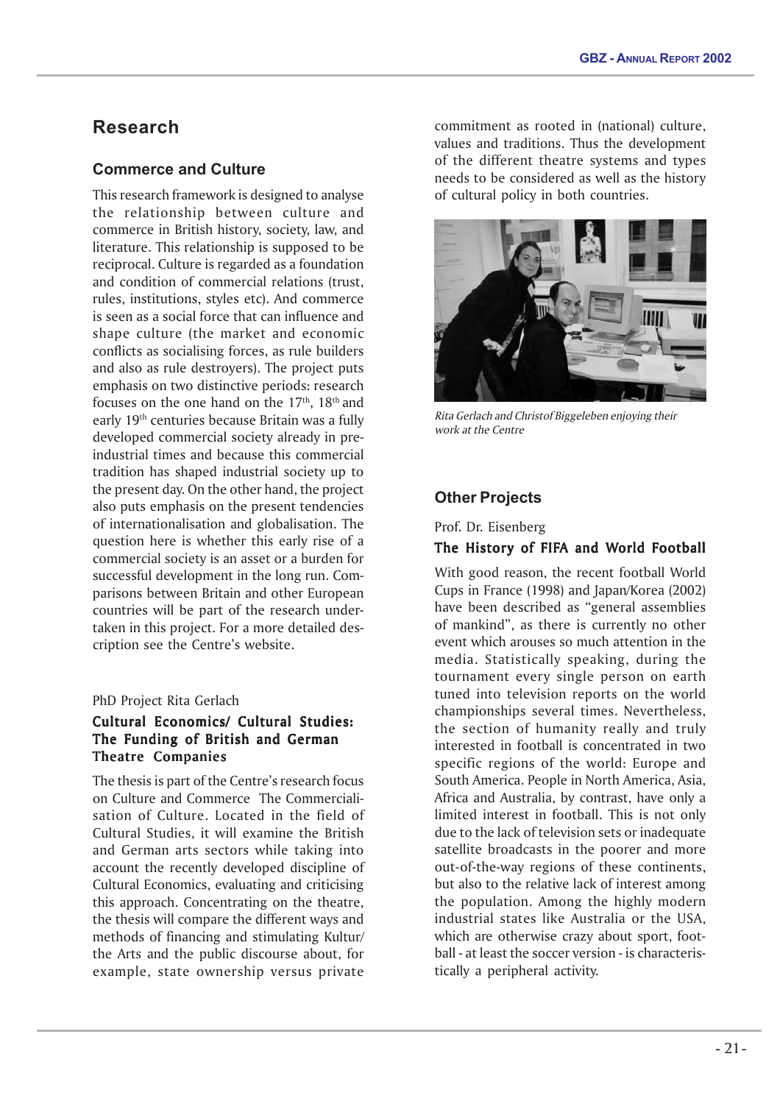# **Research**

# **Commerce and Culture**

This research framework is designed to analyse the relationship between culture and commerce in British history, society, law, and literature. This relationship is supposed to be reciprocal. Culture is regarded as a foundation and condition of commercial relations (trust, rules, institutions, styles etc). And commerce is seen as a social force that can influence and shape culture (the market and economic conflicts as socialising forces, as rule builders and also as rule destroyers). The project puts emphasis on two distinctive periods: research focuses on the one hand on the  $17<sup>th</sup>$ ,  $18<sup>th</sup>$  and early 19th centuries because Britain was a fully developed commercial society already in preindustrial times and because this commercial tradition has shaped industrial society up to the present day. On the other hand, the project also puts emphasis on the present tendencies of internationalisation and globalisation. The question here is whether this early rise of a commercial society is an asset or a burden for successful development in the long run. Comparisons between Britain and other European countries will be part of the research undertaken in this project. For a more detailed description see the Centre's website.

# PhD Project Rita Gerlach

# Cultural Economics/ Cultural Studies: The Funding of British and German Theatre Companies

The thesis is part of the Centre's research focus on Culture and Commerce The Commercialisation of Culture. Located in the field of Cultural Studies, it will examine the British and German arts sectors while taking into account the recently developed discipline of Cultural Economics, evaluating and criticising this approach. Concentrating on the theatre, the thesis will compare the different ways and methods of financing and stimulating Kultur/ the Arts and the public discourse about, for example, state ownership versus private

commitment as rooted in (national) culture, values and traditions. Thus the development of the different theatre systems and types needs to be considered as well as the history of cultural policy in both countries.



Rita Gerlach and Christof Biggeleben enjoying their work at the Centre

# **Other Projects**

Prof. Dr. Eisenberg

# The History of FIFA and World Football

With good reason, the recent football World Cups in France (1998) and Japan/Korea (2002) have been described as "general assemblies of mankind", as there is currently no other event which arouses so much attention in the media. Statistically speaking, during the tournament every single person on earth tuned into television reports on the world championships several times. Nevertheless, the section of humanity really and truly interested in football is concentrated in two specific regions of the world: Europe and South America. People in North America, Asia, Africa and Australia, by contrast, have only a limited interest in football. This is not only due to the lack of television sets or inadequate satellite broadcasts in the poorer and more out-of-the-way regions of these continents, but also to the relative lack of interest among the population. Among the highly modern industrial states like Australia or the USA, which are otherwise crazy about sport, football - at least the soccer version - is characteristically a peripheral activity.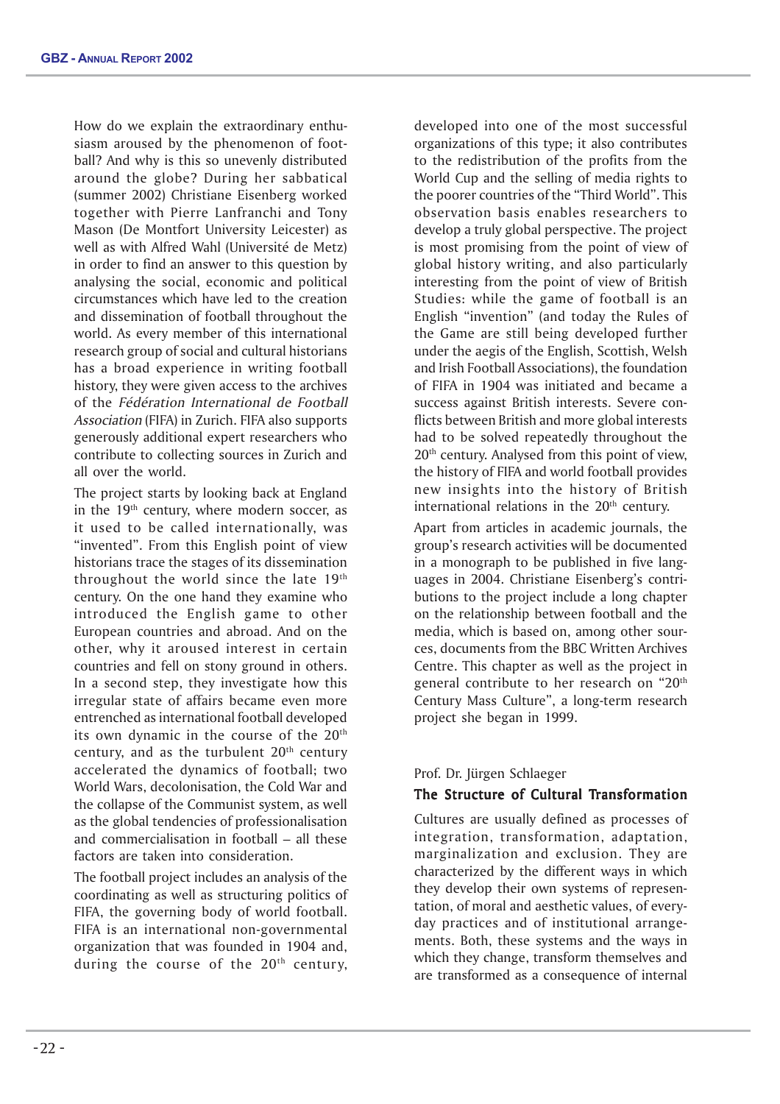How do we explain the extraordinary enthusiasm aroused by the phenomenon of football? And why is this so unevenly distributed around the globe? During her sabbatical (summer 2002) Christiane Eisenberg worked together with Pierre Lanfranchi and Tony Mason (De Montfort University Leicester) as well as with Alfred Wahl (Université de Metz) in order to find an answer to this question by analysing the social, economic and political circumstances which have led to the creation and dissemination of football throughout the world. As every member of this international research group of social and cultural historians has a broad experience in writing football history, they were given access to the archives of the Fédération International de Football Association (FIFA) in Zurich. FIFA also supports generously additional expert researchers who contribute to collecting sources in Zurich and all over the world.

The project starts by looking back at England in the 19<sup>th</sup> century, where modern soccer, as it used to be called internationally, was "invented". From this English point of view historians trace the stages of its dissemination throughout the world since the late 19th century. On the one hand they examine who introduced the English game to other European countries and abroad. And on the other, why it aroused interest in certain countries and fell on stony ground in others. In a second step, they investigate how this irregular state of affairs became even more entrenched as international football developed its own dynamic in the course of the 20<sup>th</sup> century, and as the turbulent 20<sup>th</sup> century accelerated the dynamics of football; two World Wars, decolonisation, the Cold War and the collapse of the Communist system, as well as the global tendencies of professionalisation and commercialisation in football – all these factors are taken into consideration.

The football project includes an analysis of the coordinating as well as structuring politics of FIFA, the governing body of world football. FIFA is an international non-governmental organization that was founded in 1904 and, during the course of the  $20<sup>th</sup>$  century,

developed into one of the most successful organizations of this type; it also contributes to the redistribution of the profits from the World Cup and the selling of media rights to the poorer countries of the "Third World". This observation basis enables researchers to develop a truly global perspective. The project is most promising from the point of view of global history writing, and also particularly interesting from the point of view of British Studies: while the game of football is an English "invention" (and today the Rules of the Game are still being developed further under the aegis of the English, Scottish, Welsh and Irish Football Associations), the foundation of FIFA in 1904 was initiated and became a success against British interests. Severe conflicts between British and more global interests had to be solved repeatedly throughout the 20<sup>th</sup> century. Analysed from this point of view, the history of FIFA and world football provides new insights into the history of British international relations in the  $20<sup>th</sup>$  century.

Apart from articles in academic journals, the group's research activities will be documented in a monograph to be published in five languages in 2004. Christiane Eisenberg's contributions to the project include a long chapter on the relationship between football and the media, which is based on, among other sources, documents from the BBC Written Archives Centre. This chapter as well as the project in general contribute to her research on "20<sup>th</sup> Century Mass Culture", a long-term research project she began in 1999.

#### Prof. Dr. Jürgen Schlaeger

# The Structure of Cultural Transformation

Cultures are usually defined as processes of integration, transformation, adaptation, marginalization and exclusion. They are characterized by the different ways in which they develop their own systems of representation, of moral and aesthetic values, of everyday practices and of institutional arrangements. Both, these systems and the ways in which they change, transform themselves and are transformed as a consequence of internal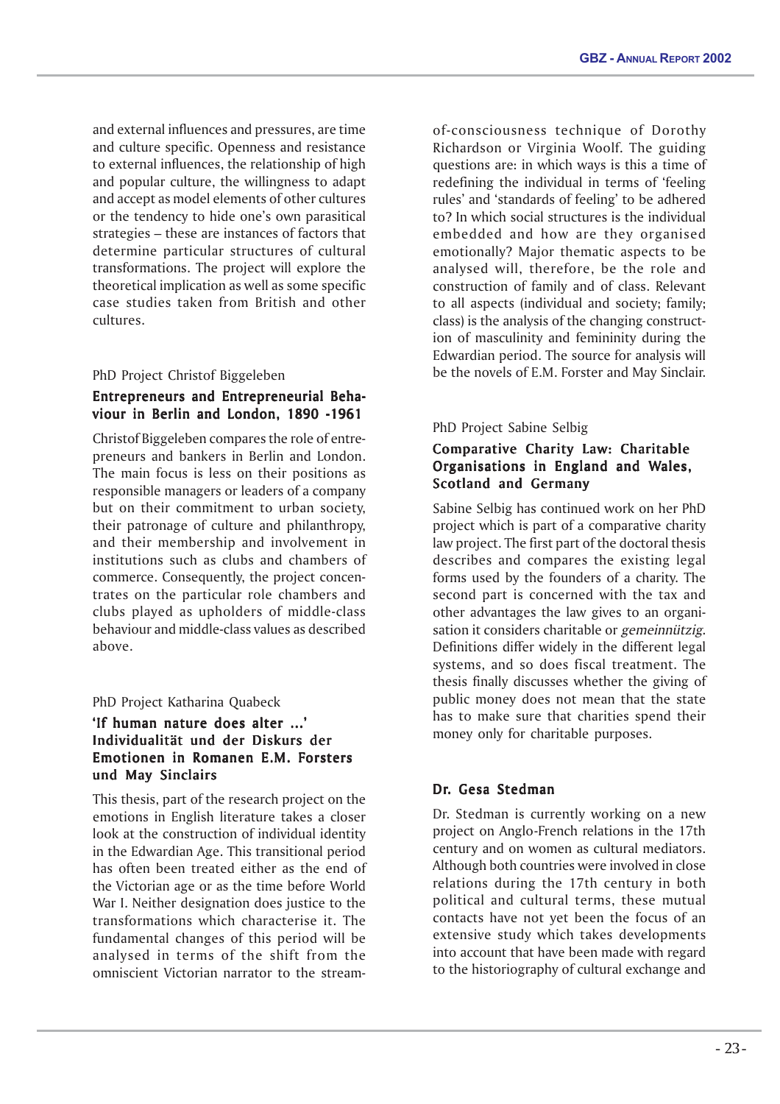and external influences and pressures, are time and culture specific. Openness and resistance to external influences, the relationship of high and popular culture, the willingness to adapt and accept as model elements of other cultures or the tendency to hide one's own parasitical strategies – these are instances of factors that determine particular structures of cultural transformations. The project will explore the theoretical implication as well as some specific case studies taken from British and other cultures.

# PhD Project Christof Biggeleben

# Entrepreneurs and Entrepreneurial Behaviour in Berlin and London, 1890 -1961

Christof Biggeleben compares the role of entrepreneurs and bankers in Berlin and London. The main focus is less on their positions as responsible managers or leaders of a company but on their commitment to urban society, their patronage of culture and philanthropy, and their membership and involvement in institutions such as clubs and chambers of commerce. Consequently, the project concentrates on the particular role chambers and clubs played as upholders of middle-class behaviour and middle-class values as described above.

# PhD Project Katharina Quabeck

# 'If human nature does alter ...' Individualität und der Diskurs der Emotionen in Romanen E.M. Forsters und May Sinclairs

This thesis, part of the research project on the emotions in English literature takes a closer look at the construction of individual identity in the Edwardian Age. This transitional period has often been treated either as the end of the Victorian age or as the time before World War I. Neither designation does justice to the transformations which characterise it. The fundamental changes of this period will be analysed in terms of the shift from the omniscient Victorian narrator to the streamof-consciousness technique of Dorothy Richardson or Virginia Woolf. The guiding questions are: in which ways is this a time of redefining the individual in terms of 'feeling rules' and 'standards of feeling' to be adhered to? In which social structures is the individual embedded and how are they organised emotionally? Major thematic aspects to be analysed will, therefore, be the role and construction of family and of class. Relevant to all aspects (individual and society; family; class) is the analysis of the changing construction of masculinity and femininity during the Edwardian period. The source for analysis will be the novels of E.M. Forster and May Sinclair.

# PhD Project Sabine Selbig

# Comparative Charity Law: Charitable Organisations in England and Wales, Scotland and Germany

Sabine Selbig has continued work on her PhD project which is part of a comparative charity law project. The first part of the doctoral thesis describes and compares the existing legal forms used by the founders of a charity. The second part is concerned with the tax and other advantages the law gives to an organisation it considers charitable or gemeinnützig. Definitions differ widely in the different legal systems, and so does fiscal treatment. The thesis finally discusses whether the giving of public money does not mean that the state has to make sure that charities spend their money only for charitable purposes.

# Dr. Gesa Stedman

Dr. Stedman is currently working on a new project on Anglo-French relations in the 17th century and on women as cultural mediators. Although both countries were involved in close relations during the 17th century in both political and cultural terms, these mutual contacts have not yet been the focus of an extensive study which takes developments into account that have been made with regard to the historiography of cultural exchange and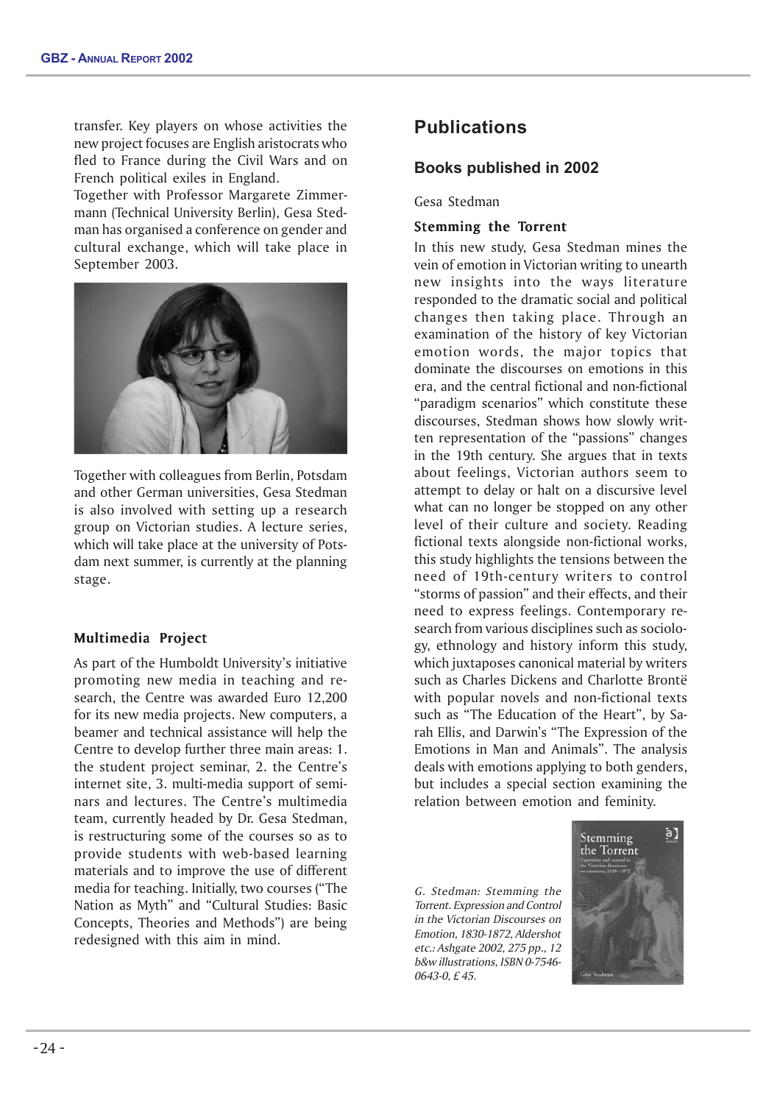transfer. Key players on whose activities the new project focuses are English aristocrats who fled to France during the Civil Wars and on French political exiles in England.

Together with Professor Margarete Zimmermann (Technical University Berlin), Gesa Stedman has organised a conference on gender and cultural exchange, which will take place in September 2003.



Together with colleagues from Berlin, Potsdam and other German universities, Gesa Stedman is also involved with setting up a research group on Victorian studies. A lecture series, which will take place at the university of Potsdam next summer, is currently at the planning stage.

# Multimedia Project

As part of the Humboldt University's initiative promoting new media in teaching and research, the Centre was awarded Euro 12,200 for its new media projects. New computers, a beamer and technical assistance will help the Centre to develop further three main areas: 1. the student project seminar, 2. the Centre's internet site, 3. multi-media support of seminars and lectures. The Centre's multimedia team, currently headed by Dr. Gesa Stedman, is restructuring some of the courses so as to provide students with web-based learning materials and to improve the use of different media for teaching. Initially, two courses ("The Nation as Myth" and "Cultural Studies: Basic Concepts, Theories and Methods") are being redesigned with this aim in mind.

# **Publications**

# **Books published in 2002**

Gesa Stedman

#### Stemming the Torrent

In this new study, Gesa Stedman mines the vein of emotion in Victorian writing to unearth new insights into the ways literature responded to the dramatic social and political changes then taking place. Through an examination of the history of key Victorian emotion words, the major topics that dominate the discourses on emotions in this era, and the central fictional and non-fictional "paradigm scenarios" which constitute these discourses, Stedman shows how slowly written representation of the "passions" changes in the 19th century. She argues that in texts about feelings, Victorian authors seem to attempt to delay or halt on a discursive level what can no longer be stopped on any other level of their culture and society. Reading fictional texts alongside non-fictional works, this study highlights the tensions between the need of 19th-century writers to control "storms of passion" and their effects, and their need to express feelings. Contemporary research from various disciplines such as sociology, ethnology and history inform this study, which juxtaposes canonical material by writers such as Charles Dickens and Charlotte Brontë with popular novels and non-fictional texts such as "The Education of the Heart", by Sarah Ellis, and Darwin's "The Expression of the Emotions in Man and Animals". The analysis deals with emotions applying to both genders, but includes a special section examining the relation between emotion and feminity.

G. Stedman: Stemming the Torrent. Expression and Control in the Victorian Discourses on Emotion, 1830-1872, Aldershot etc.: Ashgate 2002, 275 pp., 12 b&w illustrations, ISBN 0-7546- 0643-0, £ 45.

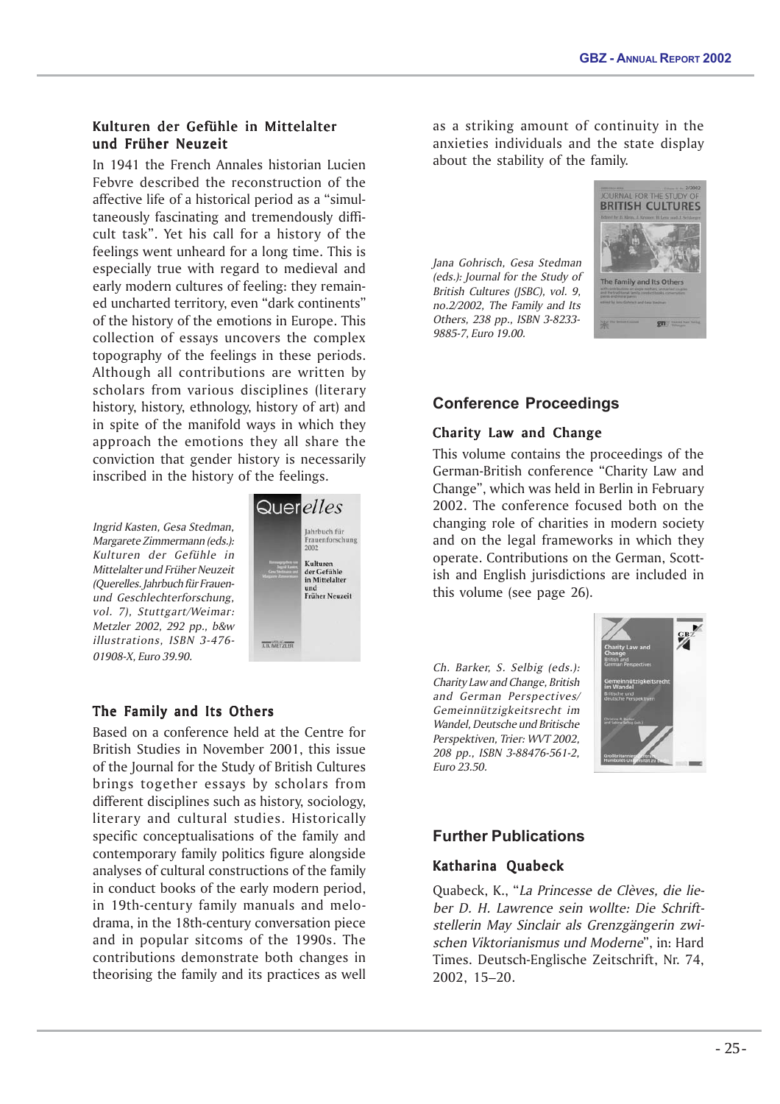# Kulturen der Gefühle in Mittelalter und Früher Neuzeit

In 1941 the French Annales historian Lucien Febvre described the reconstruction of the affective life of a historical period as a "simultaneously fascinating and tremendously difficult task". Yet his call for a history of the feelings went unheard for a long time. This is especially true with regard to medieval and early modern cultures of feeling: they remained uncharted territory, even "dark continents" of the history of the emotions in Europe. This collection of essays uncovers the complex topography of the feelings in these periods. Although all contributions are written by scholars from various disciplines (literary history, history, ethnology, history of art) and in spite of the manifold ways in which they approach the emotions they all share the conviction that gender history is necessarily inscribed in the history of the feelings.

Ingrid Kasten, Gesa Stedman, Margarete Zimmermann (eds.): Kulturen der Gefühle in Mittelalter und Früher Neuzeit (Querelles. Jahrbuch für Frauenund Geschlechterforschung, vol. 7), Stuttgart/Weimar: Metzler 2002, 292 pp., b&w illustrations, ISBN 3-476- 01908-X, Euro 39.90.



# The Family and Its Others

Based on a conference held at the Centre for British Studies in November 2001, this issue of the Journal for the Study of British Cultures brings together essays by scholars from different disciplines such as history, sociology, literary and cultural studies. Historically specific conceptualisations of the family and contemporary family politics figure alongside analyses of cultural constructions of the family in conduct books of the early modern period, in 19th-century family manuals and melodrama, in the 18th-century conversation piece and in popular sitcoms of the 1990s. The contributions demonstrate both changes in theorising the family and its practices as well

as a striking amount of continuity in the anxieties individuals and the state display about the stability of the family.

Jana Gohrisch, Gesa Stedman (eds.): Journal for the Study of British Cultures (JSBC), vol. 9, no.2/2002, The Family and Its Others, 238 pp., ISBN 3-8233- 9885-7, Euro 19.00.



# **Conference Proceedings**

# Charity Law and Change

This volume contains the proceedings of the German-British conference "Charity Law and Change", which was held in Berlin in February 2002. The conference focused both on the changing role of charities in modern society and on the legal frameworks in which they operate. Contributions on the German, Scottish and English jurisdictions are included in this volume (see page 26).

Ch. Barker, S. Selbig (eds.): Charity Law and Change, British and German Perspectives/ Gemeinnützigkeitsrecht im Wandel, Deutsche und Britische Perspektiven, Trier: WVT 2002, 208 pp., ISBN 3-88476-561-2, Euro 23.50.



# **Further Publications**

# Katharina Quabeck

Quabeck, K., "La Princesse de Clèves, die lieber D. H. Lawrence sein wollte: Die Schriftstellerin May Sinclair als Grenzgängerin zwischen Viktorianismus und Moderne", in: Hard Times. Deutsch-Englische Zeitschrift, Nr. 74, 2002, 15–20.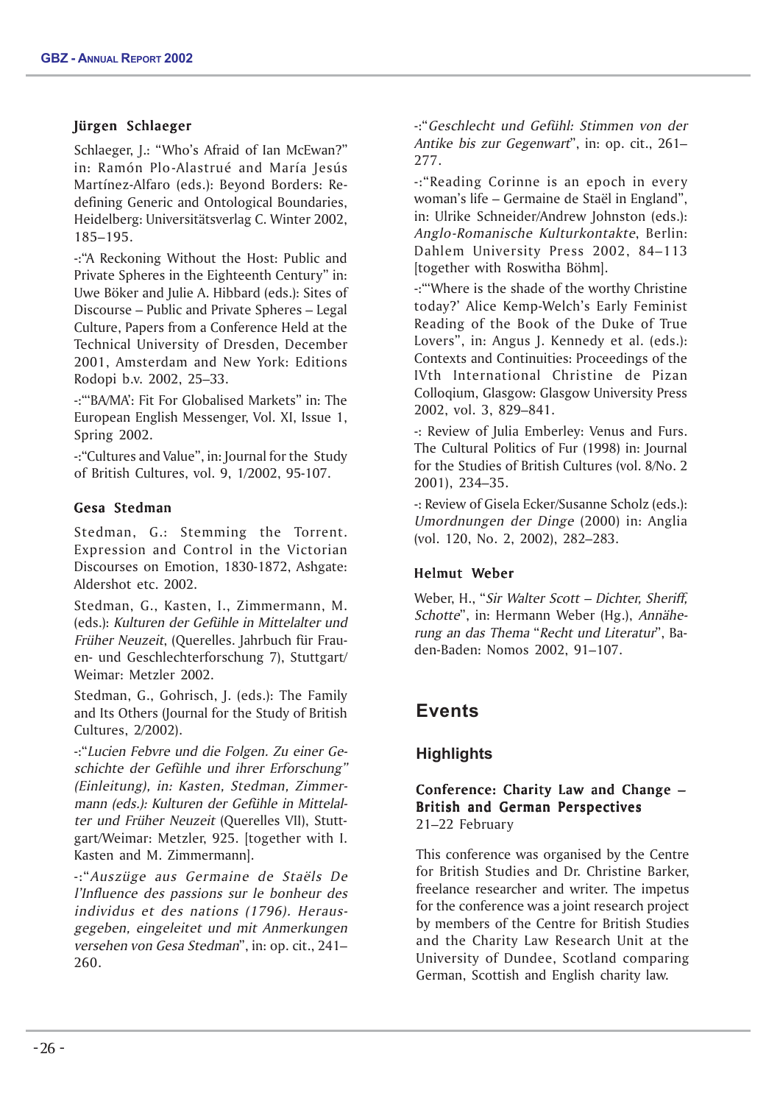# Jürgen Schlaeger

Schlaeger, J.: "Who's Afraid of Ian McEwan?" in: Ramón Plo-Alastrué and María Jesús Martínez-Alfaro (eds.): Beyond Borders: Redefining Generic and Ontological Boundaries, Heidelberg: Universitätsverlag C. Winter 2002, 185–195.

-:"A Reckoning Without the Host: Public and Private Spheres in the Eighteenth Century" in: Uwe Böker and Julie A. Hibbard (eds.): Sites of Discourse – Public and Private Spheres – Legal Culture, Papers from a Conference Held at the Technical University of Dresden, December 2001, Amsterdam and New York: Editions Rodopi b.v. 2002, 25–33.

-:"'BA/MA': Fit For Globalised Markets" in: The European English Messenger, Vol. XI, Issue 1, Spring 2002.

-:"Cultures and Value", in: Journal for the Study of British Cultures, vol. 9, 1/2002, 95-107.

# Gesa Stedman

Stedman, G.: Stemming the Torrent. Expression and Control in the Victorian Discourses on Emotion, 1830-1872, Ashgate: Aldershot etc. 2002.

Stedman, G., Kasten, I., Zimmermann, M. (eds.): Kulturen der Gefühle in Mittelalter und Früher Neuzeit, (Querelles. Jahrbuch für Frauen- und Geschlechterforschung 7), Stuttgart/ Weimar: Metzler 2002.

Stedman, G., Gohrisch, J. (eds.): The Family and Its Others (Journal for the Study of British Cultures, 2/2002).

-:"Lucien Febvre und die Folgen. Zu einer Geschichte der Gefühle und ihrer Erforschung" (Einleitung), in: Kasten, Stedman, Zimmermann (eds.): Kulturen der Gefühle in Mittelalter und Früher Neuzeit (Querelles VII), Stuttgart/Weimar: Metzler, 925. [together with I. Kasten and M. Zimmermann].

-:"Auszüge aus Germaine de Staëls De l'Influence des passions sur le bonheur des individus et des nations (1796). Herausgegeben, eingeleitet und mit Anmerkungen versehen von Gesa Stedman", in: op. cit., 241– 260.

-:"Geschlecht und Gefühl: Stimmen von der Antike bis zur Gegenwart", in: op. cit., 261– 277.

-:"Reading Corinne is an epoch in every woman's life – Germaine de Staël in England", in: Ulrike Schneider/Andrew Johnston (eds.): Anglo-Romanische Kulturkontakte, Berlin: Dahlem University Press 2002, 84–113 [together with Roswitha Böhm].

-:"'Where is the shade of the worthy Christine today?' Alice Kemp-Welch's Early Feminist Reading of the Book of the Duke of True Lovers", in: Angus J. Kennedy et al. (eds.): Contexts and Continuities: Proceedings of the IVth International Christine de Pizan Colloqium, Glasgow: Glasgow University Press 2002, vol. 3, 829–841.

-: Review of Julia Emberley: Venus and Furs. The Cultural Politics of Fur (1998) in: Journal for the Studies of British Cultures (vol. 8/No. 2 2001), 234–35.

-: Review of Gisela Ecker/Susanne Scholz (eds.): Umordnungen der Dinge (2000) in: Anglia (vol. 120, No. 2, 2002), 282–283.

# Helmut Weber

Weber, H., "Sir Walter Scott - Dichter, Sheriff, Schotte", in: Hermann Weber (Hg.), Annäherung an das Thema "Recht und Literatur", Baden-Baden: Nomos 2002, 91–107.

# **Events**

# **Highlights**

# Conference: Charity Law and Change – British and German Perspectives 21–22 February

This conference was organised by the Centre for British Studies and Dr. Christine Barker, freelance researcher and writer. The impetus for the conference was a joint research project by members of the Centre for British Studies and the Charity Law Research Unit at the University of Dundee, Scotland comparing German, Scottish and English charity law.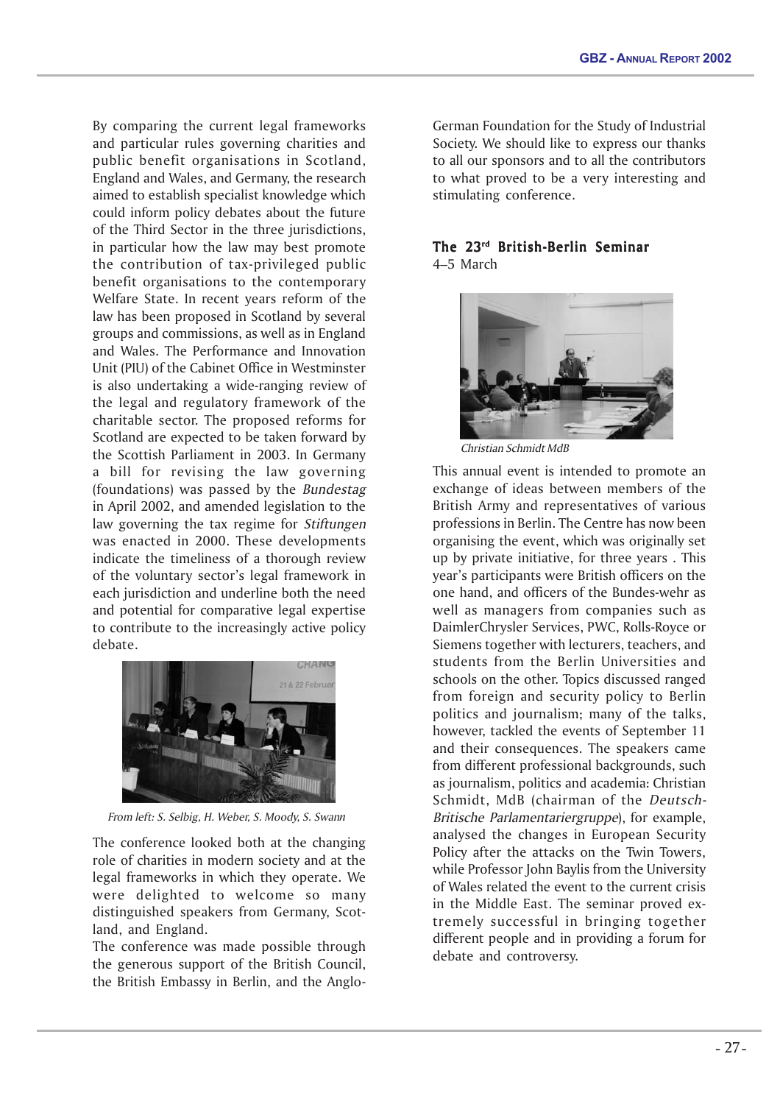By comparing the current legal frameworks and particular rules governing charities and public benefit organisations in Scotland, England and Wales, and Germany, the research aimed to establish specialist knowledge which could inform policy debates about the future of the Third Sector in the three jurisdictions, in particular how the law may best promote the contribution of tax-privileged public benefit organisations to the contemporary Welfare State. In recent years reform of the law has been proposed in Scotland by several groups and commissions, as well as in England and Wales. The Performance and Innovation Unit (PIU) of the Cabinet Office in Westminster is also undertaking a wide-ranging review of the legal and regulatory framework of the charitable sector. The proposed reforms for Scotland are expected to be taken forward by the Scottish Parliament in 2003. In Germany a bill for revising the law governing (foundations) was passed by the Bundestag in April 2002, and amended legislation to the law governing the tax regime for *Stiftungen* was enacted in 2000. These developments indicate the timeliness of a thorough review of the voluntary sector's legal framework in each jurisdiction and underline both the need and potential for comparative legal expertise to contribute to the increasingly active policy debate.



From left: S. Selbig, H. Weber, S. Moody, S. Swan*n*

The conference looked both at the changing role of charities in modern society and at the legal frameworks in which they operate. We were delighted to welcome so many distinguished speakers from Germany, Scotland, and England.

The conference was made possible through the generous support of the British Council, the British Embassy in Berlin, and the AngloGerman Foundation for the Study of Industrial Society. We should like to express our thanks to all our sponsors and to all the contributors to what proved to be a very interesting and stimulating conference.

# The  $23<sup>rd</sup>$  British-Berlin Seminar 4–5 March



Christian Schmidt MdB

This annual event is intended to promote an exchange of ideas between members of the British Army and representatives of various professions in Berlin. The Centre has now been organising the event, which was originally set up by private initiative, for three years . This year's participants were British officers on the one hand, and officers of the Bundes-wehr as well as managers from companies such as DaimlerChrysler Services, PWC, Rolls-Royce or Siemens together with lecturers, teachers, and students from the Berlin Universities and schools on the other. Topics discussed ranged from foreign and security policy to Berlin politics and journalism; many of the talks, however, tackled the events of September 11 and their consequences. The speakers came from different professional backgrounds, such as journalism, politics and academia: Christian Schmidt, MdB (chairman of the Deutsch-Britische Parlamentariergruppe), for example, analysed the changes in European Security Policy after the attacks on the Twin Towers, while Professor John Baylis from the University of Wales related the event to the current crisis in the Middle East. The seminar proved extremely successful in bringing together different people and in providing a forum for debate and controversy.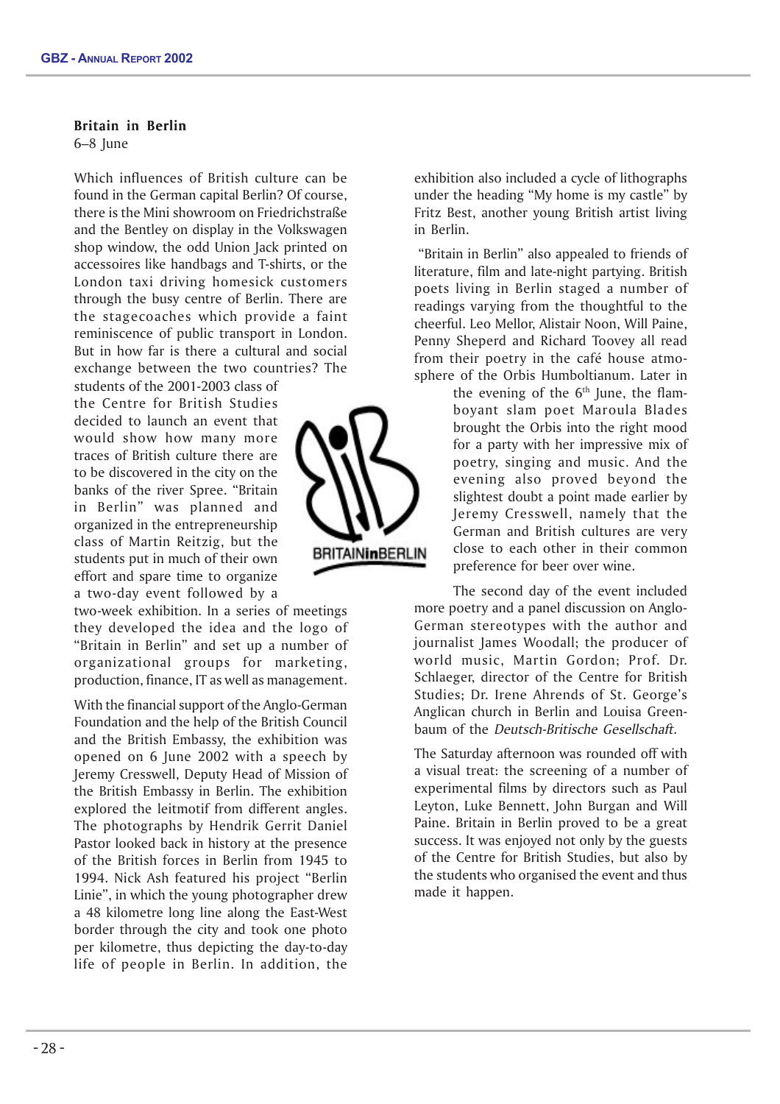# Britain in Berlin

6–8 June

Which influences of British culture can be found in the German capital Berlin? Of course, there is the Mini showroom on Friedrichstraße and the Bentley on display in the Volkswagen shop window, the odd Union Jack printed on accessoires like handbags and T-shirts, or the London taxi driving homesick customers through the busy centre of Berlin. There are the stagecoaches which provide a faint reminiscence of public transport in London. But in how far is there a cultural and social exchange between the two countries? The

students of the 2001-2003 class of the Centre for British Studies decided to launch an event that would show how many more traces of British culture there are to be discovered in the city on the banks of the river Spree. "Britain in Berlin" was planned and organized in the entrepreneurship class of Martin Reitzig, but the students put in much of their own effort and spare time to organize a two-day event followed by a

two-week exhibition. In a series of meetings they developed the idea and the logo of "Britain in Berlin" and set up a number of organizational groups for marketing, production, finance, IT as well as management.

With the financial support of the Anglo-German Foundation and the help of the British Council and the British Embassy, the exhibition was opened on 6 June 2002 with a speech by Jeremy Cresswell, Deputy Head of Mission of the British Embassy in Berlin. The exhibition explored the leitmotif from different angles. The photographs by Hendrik Gerrit Daniel Pastor looked back in history at the presence of the British forces in Berlin from 1945 to 1994. Nick Ash featured his project "Berlin Linie", in which the young photographer drew a 48 kilometre long line along the East-West border through the city and took one photo per kilometre, thus depicting the day-to-day life of people in Berlin. In addition, the



exhibition also included a cycle of lithographs under the heading "My home is my castle" by Fritz Best, another young British artist living in Berlin.

 "Britain in Berlin" also appealed to friends of literature, film and late-night partying. British poets living in Berlin staged a number of readings varying from the thoughtful to the cheerful. Leo Mellor, Alistair Noon, Will Paine, Penny Sheperd and Richard Toovey all read from their poetry in the café house atmosphere of the Orbis Humboltianum. Later in

> the evening of the  $6<sup>th</sup>$  June, the flamboyant slam poet Maroula Blades brought the Orbis into the right mood for a party with her impressive mix of poetry, singing and music. And the evening also proved beyond the slightest doubt a point made earlier by Jeremy Cresswell, namely that the German and British cultures are very close to each other in their common preference for beer over wine.

The second day of the event included more poetry and a panel discussion on Anglo-German stereotypes with the author and journalist James Woodall; the producer of world music, Martin Gordon; Prof. Dr. Schlaeger, director of the Centre for British Studies; Dr. Irene Ahrends of St. George's Anglican church in Berlin and Louisa Greenbaum of the Deutsch-Britische Gesellschaft.

The Saturday afternoon was rounded off with a visual treat: the screening of a number of experimental films by directors such as Paul Leyton, Luke Bennett, John Burgan and Will Paine. Britain in Berlin proved to be a great success. It was enjoyed not only by the guests of the Centre for British Studies, but also by the students who organised the event and thus made it happen.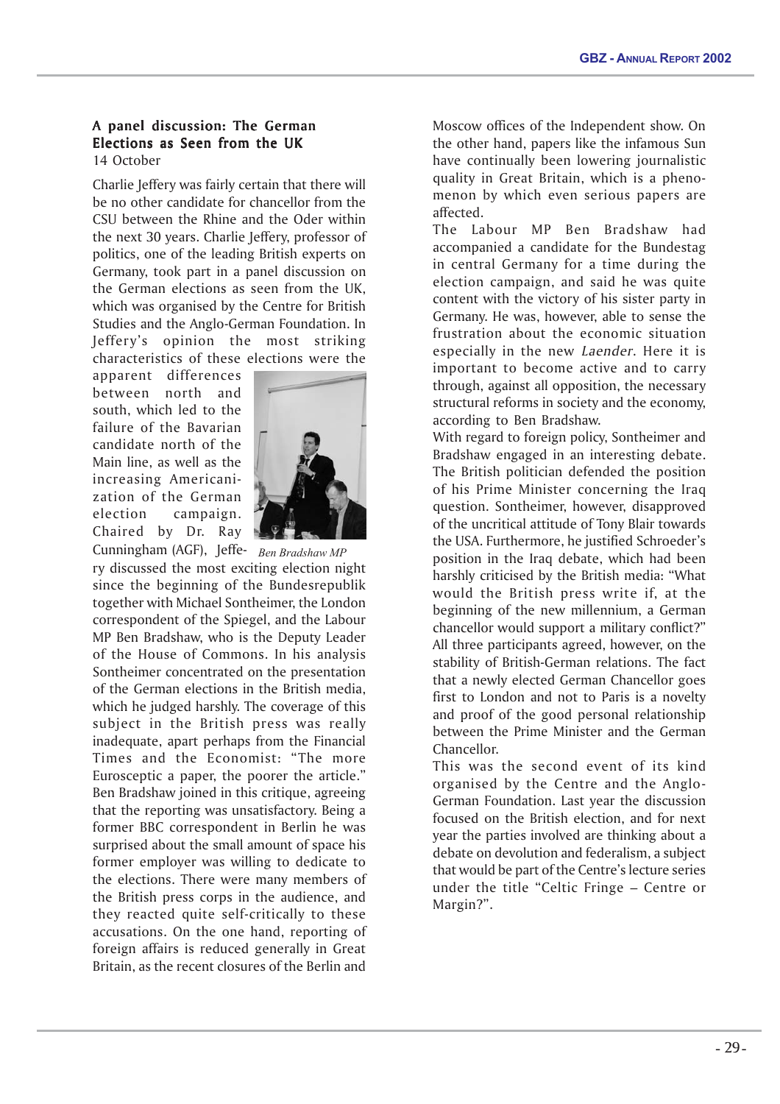# A panel discussion: The German Elections as Seen from the UK 14 October

Charlie Jeffery was fairly certain that there will be no other candidate for chancellor from the CSU between the Rhine and the Oder within the next 30 years. Charlie Jeffery, professor of politics, one of the leading British experts on Germany, took part in a panel discussion on the German elections as seen from the UK, which was organised by the Centre for British Studies and the Anglo-German Foundation. In Jeffery's opinion the most striking characteristics of these elections were the

apparent differences between north and south, which led to the failure of the Bavarian candidate north of the Main line, as well as the increasing Americanization of the German election campaign. Chaired by Dr. Ray



*Ben Bradshaw MP* Cunningham (AGF), Jeffery discussed the most exciting election night since the beginning of the Bundesrepublik together with Michael Sontheimer, the London correspondent of the Spiegel, and the Labour MP Ben Bradshaw, who is the Deputy Leader of the House of Commons. In his analysis Sontheimer concentrated on the presentation of the German elections in the British media, which he judged harshly. The coverage of this subject in the British press was really inadequate, apart perhaps from the Financial Times and the Economist: "The more Eurosceptic a paper, the poorer the article." Ben Bradshaw joined in this critique, agreeing that the reporting was unsatisfactory. Being a former BBC correspondent in Berlin he was surprised about the small amount of space his former employer was willing to dedicate to the elections. There were many members of the British press corps in the audience, and they reacted quite self-critically to these accusations. On the one hand, reporting of foreign affairs is reduced generally in Great Britain, as the recent closures of the Berlin and

Moscow offices of the Independent show. On the other hand, papers like the infamous Sun have continually been lowering journalistic quality in Great Britain, which is a phenomenon by which even serious papers are affected.

The Labour MP Ben Bradshaw had accompanied a candidate for the Bundestag in central Germany for a time during the election campaign, and said he was quite content with the victory of his sister party in Germany. He was, however, able to sense the frustration about the economic situation especially in the new Laender. Here it is important to become active and to carry through, against all opposition, the necessary structural reforms in society and the economy, according to Ben Bradshaw.

With regard to foreign policy, Sontheimer and Bradshaw engaged in an interesting debate. The British politician defended the position of his Prime Minister concerning the Iraq question. Sontheimer, however, disapproved of the uncritical attitude of Tony Blair towards the USA. Furthermore, he justified Schroeder's position in the Iraq debate, which had been harshly criticised by the British media: "What would the British press write if, at the beginning of the new millennium, a German chancellor would support a military conflict?" All three participants agreed, however, on the stability of British-German relations. The fact that a newly elected German Chancellor goes first to London and not to Paris is a novelty and proof of the good personal relationship between the Prime Minister and the German Chancellor.

This was the second event of its kind organised by the Centre and the Anglo-German Foundation. Last year the discussion focused on the British election, and for next year the parties involved are thinking about a debate on devolution and federalism, a subject that would be part of the Centre's lecture series under the title "Celtic Fringe – Centre or Margin?".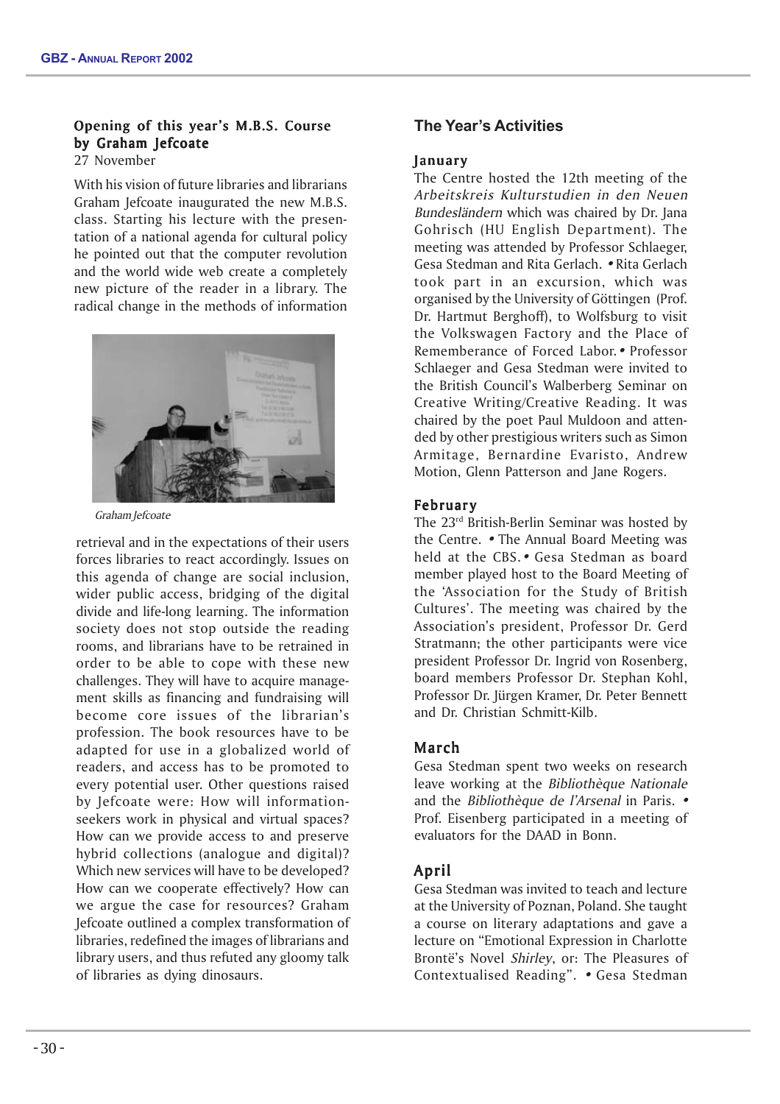# Opening of this year's M.B.S. Course by Graham Jefcoate

27 November

With his vision of future libraries and librarians Graham Jefcoate inaugurated the new M.B.S. class. Starting his lecture with the presentation of a national agenda for cultural policy he pointed out that the computer revolution and the world wide web create a completely new picture of the reader in a library. The radical change in the methods of information



Graham Jefcoate

retrieval and in the expectations of their users forces libraries to react accordingly. Issues on this agenda of change are social inclusion, wider public access, bridging of the digital divide and life-long learning. The information society does not stop outside the reading rooms, and librarians have to be retrained in order to be able to cope with these new challenges. They will have to acquire management skills as financing and fundraising will become core issues of the librarian's profession. The book resources have to be adapted for use in a globalized world of readers, and access has to be promoted to every potential user. Other questions raised by Jefcoate were: How will informationseekers work in physical and virtual spaces? How can we provide access to and preserve hybrid collections (analogue and digital)? Which new services will have to be developed? How can we cooperate effectively? How can we argue the case for resources? Graham Jefcoate outlined a complex transformation of libraries, redefined the images of librarians and library users, and thus refuted any gloomy talk of libraries as dying dinosaurs.

# **The Year's Activities**

# **January**

The Centre hosted the 12th meeting of the Arbeitskreis Kulturstudien in den Neuen Bundesländern which was chaired by Dr. Jana Gohrisch (HU English Department). The meeting was attended by Professor Schlaeger, Gesa Stedman and Rita Gerlach. • Rita Gerlach took part in an excursion, which was organised by the University of Göttingen (Prof. Dr. Hartmut Berghoff), to Wolfsburg to visit the Volkswagen Factory and the Place of Rememberance of Forced Labor.• Professor Schlaeger and Gesa Stedman were invited to the British Council's Walberberg Seminar on Creative Writing/Creative Reading. It was chaired by the poet Paul Muldoon and attended by other prestigious writers such as Simon Armitage, Bernardine Evaristo, Andrew Motion, Glenn Patterson and Jane Rogers.

# **February**

The 23rd British-Berlin Seminar was hosted by the Centre. • The Annual Board Meeting was held at the CBS.• Gesa Stedman as board member played host to the Board Meeting of the 'Association for the Study of British Cultures'. The meeting was chaired by the Association's president, Professor Dr. Gerd Stratmann; the other participants were vice president Professor Dr. Ingrid von Rosenberg, board members Professor Dr. Stephan Kohl, Professor Dr. Jürgen Kramer, Dr. Peter Bennett and Dr. Christian Schmitt-Kilb.

# March

Gesa Stedman spent two weeks on research leave working at the *Bibliothèque Nationale* and the Bibliothèque de l'Arsenal in Paris. • Prof. Eisenberg participated in a meeting of evaluators for the DAAD in Bonn.

# April

Gesa Stedman was invited to teach and lecture at the University of Poznan, Poland. She taught a course on literary adaptations and gave a lecture on "Emotional Expression in Charlotte Brontë's Novel Shirley, or: The Pleasures of Contextualised Reading". • Gesa Stedman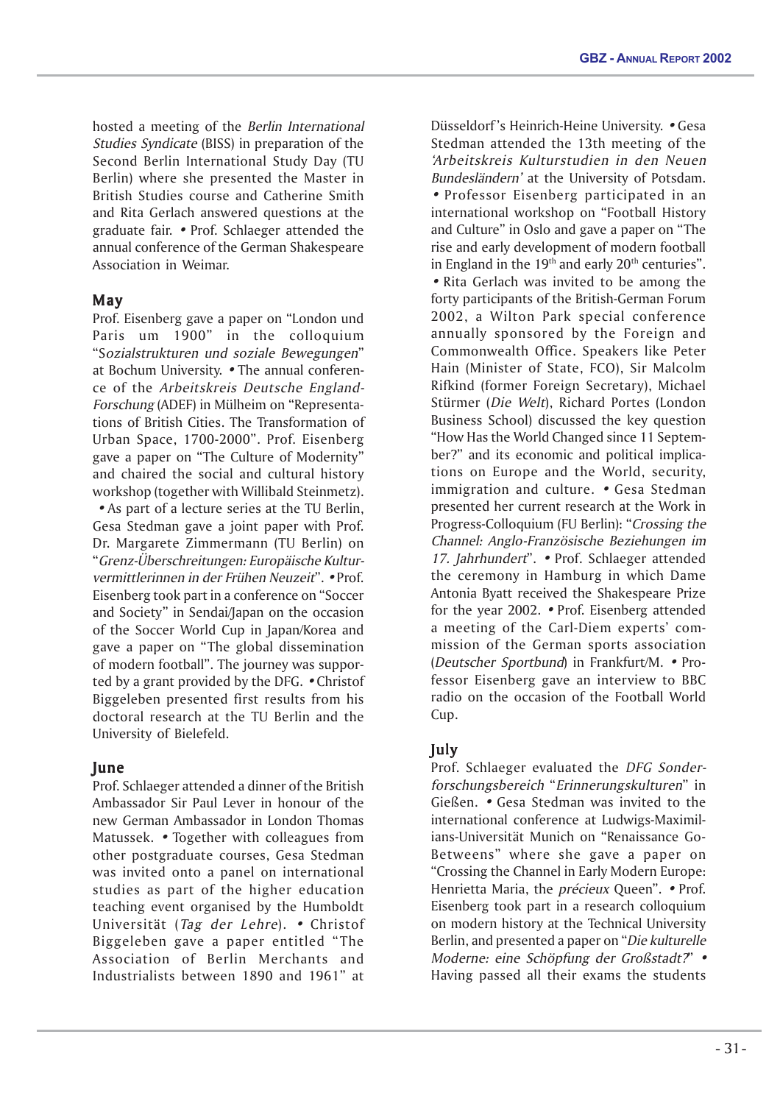hosted a meeting of the Berlin International Studies Syndicate (BISS) in preparation of the Second Berlin International Study Day (TU Berlin) where she presented the Master in British Studies course and Catherine Smith and Rita Gerlach answered questions at the graduate fair. • Prof. Schlaeger attended the annual conference of the German Shakespeare Association in Weimar.

# May

Prof. Eisenberg gave a paper on "London und Paris um 1900" in the colloquium "Sozialstrukturen und soziale Bewegungen" at Bochum University. • The annual conference of the Arbeitskreis Deutsche England-Forschung (ADEF) in Mülheim on "Representations of British Cities. The Transformation of Urban Space, 1700-2000". Prof. Eisenberg gave a paper on "The Culture of Modernity" and chaired the social and cultural history workshop (together with Willibald Steinmetz). • As part of a lecture series at the TU Berlin, Gesa Stedman gave a joint paper with Prof. Dr. Margarete Zimmermann (TU Berlin) on "Grenz-Überschreitungen: Europäische Kulturvermittlerinnen in der Frühen Neuzeit". • Prof. Eisenberg took part in a conference on "Soccer and Society" in Sendai/Japan on the occasion of the Soccer World Cup in Japan/Korea and gave a paper on "The global dissemination of modern football". The journey was supported by a grant provided by the DFG. • Christof Biggeleben presented first results from his doctoral research at the TU Berlin and the University of Bielefeld.

# June

Prof. Schlaeger attended a dinner of the British Ambassador Sir Paul Lever in honour of the new German Ambassador in London Thomas Matussek. • Together with colleagues from other postgraduate courses, Gesa Stedman was invited onto a panel on international studies as part of the higher education teaching event organised by the Humboldt Universität (Tag der Lehre). • Christof Biggeleben gave a paper entitled "The Association of Berlin Merchants and Industrialists between 1890 and 1961" at

Düsseldorf 's Heinrich-Heine University. • Gesa Stedman attended the 13th meeting of the 'Arbeitskreis Kulturstudien in den Neuen Bundesländern' at the University of Potsdam. • Professor Eisenberg participated in an international workshop on "Football History and Culture" in Oslo and gave a paper on "The rise and early development of modern football in England in the  $19<sup>th</sup>$  and early  $20<sup>th</sup>$  centuries". • Rita Gerlach was invited to be among the forty participants of the British-German Forum 2002, a Wilton Park special conference annually sponsored by the Foreign and Commonwealth Office. Speakers like Peter Hain (Minister of State, FCO), Sir Malcolm Rifkind (former Foreign Secretary), Michael Stürmer (Die Welt), Richard Portes (London Business School) discussed the key question "How Has the World Changed since 11 September?" and its economic and political implications on Europe and the World, security, immigration and culture. • Gesa Stedman presented her current research at the Work in Progress-Colloquium (FU Berlin): "Crossing the Channel: Anglo-Französische Beziehungen im 17. Jahrhundert". • Prof. Schlaeger attended the ceremony in Hamburg in which Dame Antonia Byatt received the Shakespeare Prize for the year 2002. • Prof. Eisenberg attended a meeting of the Carl-Diem experts' commission of the German sports association (Deutscher Sportbund) in Frankfurt/M. • Professor Eisenberg gave an interview to BBC radio on the occasion of the Football World Cup.

# July

Prof. Schlaeger evaluated the DFG Sonderforschungsbereich "Erinnerungskulturen" in Gießen. • Gesa Stedman was invited to the international conference at Ludwigs-Maximilians-Universität Munich on "Renaissance Go-Betweens" where she gave a paper on "Crossing the Channel in Early Modern Europe: Henrietta Maria, the *précieux* Queen". • Prof. Eisenberg took part in a research colloquium on modern history at the Technical University Berlin, and presented a paper on "Die kulturelle Moderne: eine Schöpfung der Großstadt?" • Having passed all their exams the students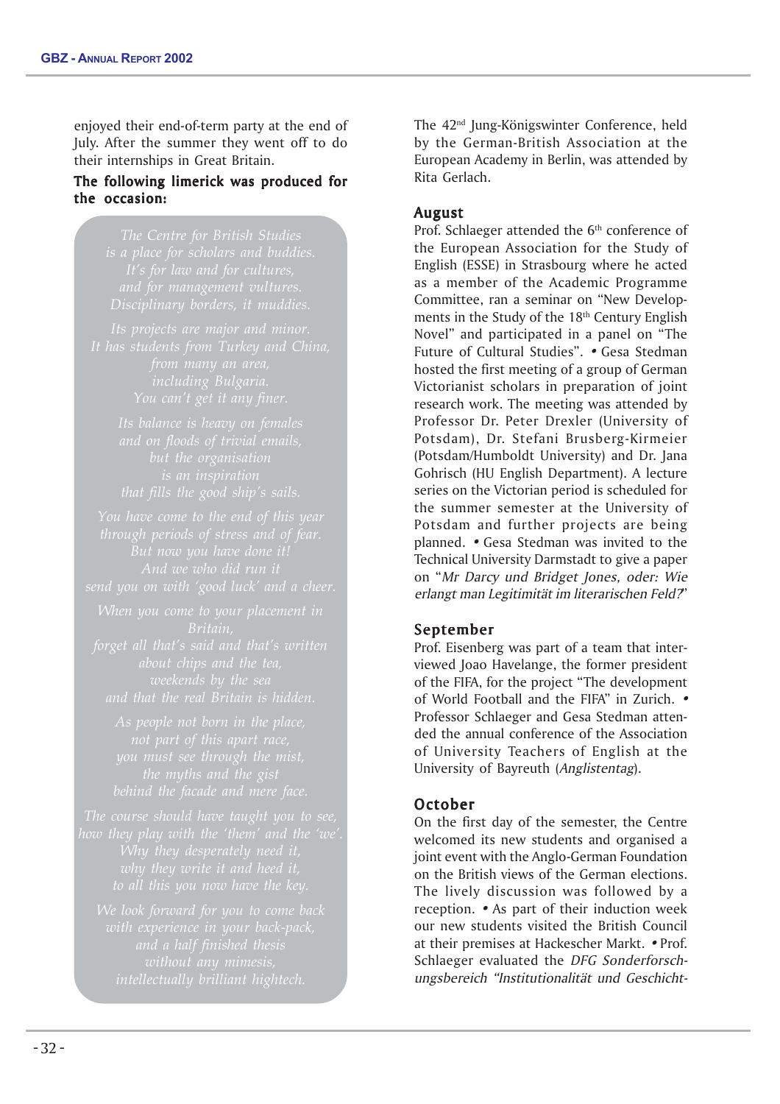enjoyed their end-of-term party at the end of July. After the summer they went off to do their internships in Great Britain.

# The following limerick was produced for the occasion: the occasion:

*Its projects are major and minor.*

The 42<sup>nd</sup> Jung-Königswinter Conference, held by the German-British Association at the European Academy in Berlin, was attended by Rita Gerlach.

# August

Prof. Schlaeger attended the 6<sup>th</sup> conference of the European Association for the Study of English (ESSE) in Strasbourg where he acted as a member of the Academic Programme Committee, ran a seminar on "New Developments in the Study of the 18<sup>th</sup> Century English Novel" and participated in a panel on "The Future of Cultural Studies". • Gesa Stedman hosted the first meeting of a group of German Victorianist scholars in preparation of joint research work. The meeting was attended by Professor Dr. Peter Drexler (University of Potsdam), Dr. Stefani Brusberg-Kirmeier (Potsdam/Humboldt University) and Dr. Jana Gohrisch (HU English Department). A lecture series on the Victorian period is scheduled for the summer semester at the University of Potsdam and further projects are being planned. • Gesa Stedman was invited to the Technical University Darmstadt to give a paper on "Mr Darcy und Bridget Jones, oder: Wie erlangt man Legitimität im literarischen Feld?"

# September

Prof. Eisenberg was part of a team that interviewed Joao Havelange, the former president of the FIFA, for the project "The development of World Football and the FIFA" in Zurich. • Professor Schlaeger and Gesa Stedman attended the annual conference of the Association of University Teachers of English at the University of Bayreuth (Anglistentag).

# October

On the first day of the semester, the Centre welcomed its new students and organised a joint event with the Anglo-German Foundation on the British views of the German elections. The lively discussion was followed by a reception. • As part of their induction week our new students visited the British Council at their premises at Hackescher Markt. • Prof. Schlaeger evaluated the DFG Sonderforschungsbereich "Institutionalität und Geschicht-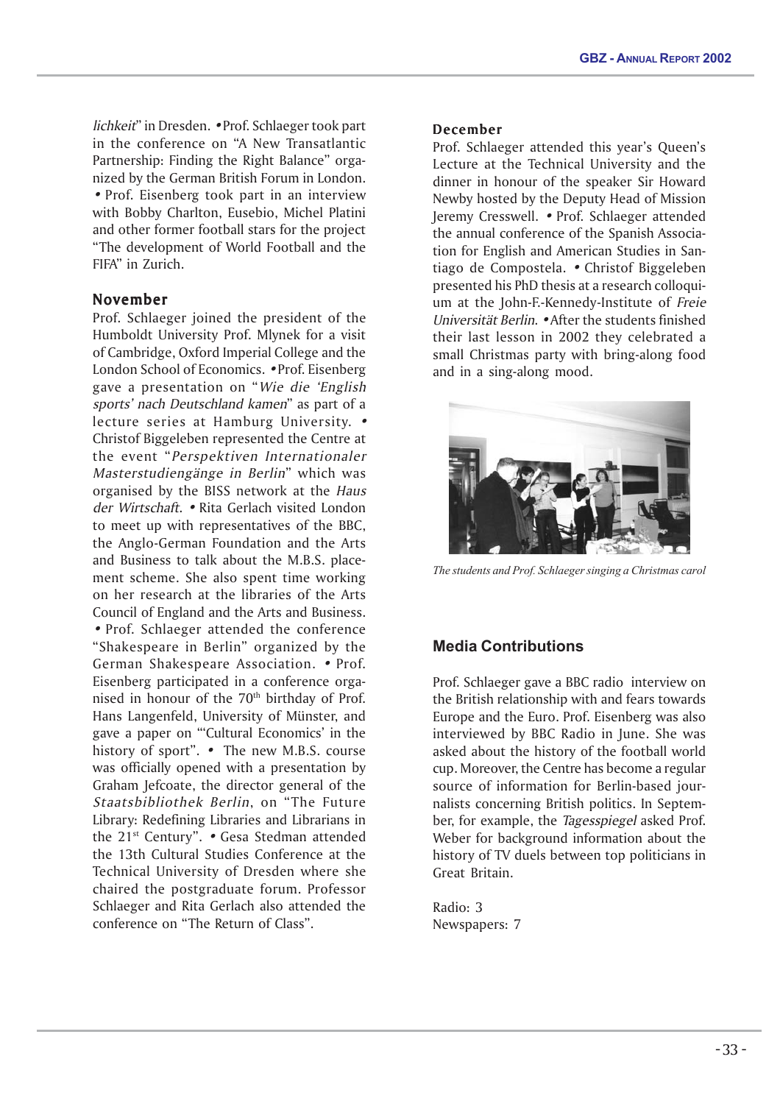lichkeit" in Dresden. • Prof. Schlaeger took part in the conference on "A New Transatlantic Partnership: Finding the Right Balance" organized by the German British Forum in London. • Prof. Eisenberg took part in an interview with Bobby Charlton, Eusebio, Michel Platini and other former football stars for the project "The development of World Football and the FIFA" in Zurich.

# November

Prof. Schlaeger joined the president of the Humboldt University Prof. Mlynek for a visit of Cambridge, Oxford Imperial College and the London School of Economics. • Prof. Eisenberg gave a presentation on "Wie die 'English sports' nach Deutschland kamen" as part of a lecture series at Hamburg University. • Christof Biggeleben represented the Centre at the event "Perspektiven Internationaler Masterstudiengänge in Berlin" which was organised by the BISS network at the Haus der Wirtschaft. • Rita Gerlach visited London to meet up with representatives of the BBC, the Anglo-German Foundation and the Arts and Business to talk about the M.B.S. placement scheme. She also spent time working on her research at the libraries of the Arts Council of England and the Arts and Business. • Prof. Schlaeger attended the conference "Shakespeare in Berlin" organized by the German Shakespeare Association. • Prof. Eisenberg participated in a conference organised in honour of the  $70<sup>th</sup>$  birthday of Prof. Hans Langenfeld, University of Münster, and gave a paper on "'Cultural Economics' in the history of sport". • The new M.B.S. course was officially opened with a presentation by Graham Jefcoate, the director general of the Staatsbibliothek Berlin, on "The Future Library: Redefining Libraries and Librarians in the 21<sup>st</sup> Century". • Gesa Stedman attended the 13th Cultural Studies Conference at the Technical University of Dresden where she chaired the postgraduate forum. Professor Schlaeger and Rita Gerlach also attended the conference on "The Return of Class".

### December

Prof. Schlaeger attended this year's Queen's Lecture at the Technical University and the dinner in honour of the speaker Sir Howard Newby hosted by the Deputy Head of Mission Jeremy Cresswell. • Prof. Schlaeger attended the annual conference of the Spanish Association for English and American Studies in Santiago de Compostela. • Christof Biggeleben presented his PhD thesis at a research colloquium at the John-F.-Kennedy-Institute of Freie Universität Berlin. • After the students finished their last lesson in 2002 they celebrated a small Christmas party with bring-along food and in a sing-along mood.



*The students and Prof. Schlaeger singing a Christmas carol*

# **Media Contributions**

Prof. Schlaeger gave a BBC radio interview on the British relationship with and fears towards Europe and the Euro. Prof. Eisenberg was also interviewed by BBC Radio in June. She was asked about the history of the football world cup. Moreover, the Centre has become a regular source of information for Berlin-based journalists concerning British politics. In September, for example, the Tagesspiegel asked Prof. Weber for background information about the history of TV duels between top politicians in Great Britain.

Radio: 3 Newspapers: 7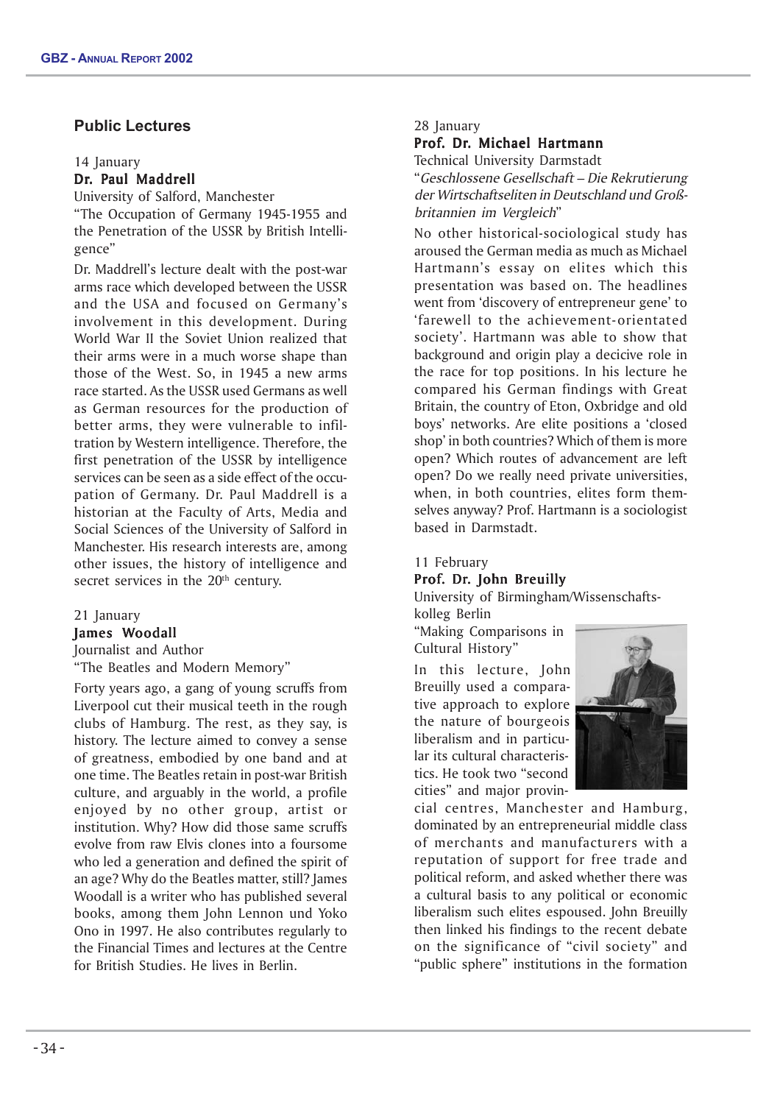# **Public Lectures**

#### 14 January

# Dr. Paul Maddrell

University of Salford, Manchester "The Occupation of Germany 1945-1955 and the Penetration of the USSR by British Intelligence"

Dr. Maddrell's lecture dealt with the post-war arms race which developed between the USSR and the USA and focused on Germany's involvement in this development. During World War II the Soviet Union realized that their arms were in a much worse shape than those of the West. So, in 1945 a new arms race started. As the USSR used Germans as well as German resources for the production of better arms, they were vulnerable to infiltration by Western intelligence. Therefore, the first penetration of the USSR by intelligence services can be seen as a side effect of the occupation of Germany. Dr. Paul Maddrell is a historian at the Faculty of Arts, Media and Social Sciences of the University of Salford in Manchester. His research interests are, among other issues, the history of intelligence and secret services in the 20<sup>th</sup> century.

# 21 January

# James Woodall

Journalist and Author "The Beatles and Modern Memory"

Forty years ago, a gang of young scruffs from Liverpool cut their musical teeth in the rough clubs of Hamburg. The rest, as they say, is history. The lecture aimed to convey a sense of greatness, embodied by one band and at one time. The Beatles retain in post-war British culture, and arguably in the world, a profile enjoyed by no other group, artist or institution. Why? How did those same scruffs evolve from raw Elvis clones into a foursome who led a generation and defined the spirit of an age? Why do the Beatles matter, still? James Woodall is a writer who has published several books, among them John Lennon und Yoko Ono in 1997. He also contributes regularly to the Financial Times and lectures at the Centre for British Studies. He lives in Berlin.

# 28 January Prof. Dr. Michael Hartmann

Technical University Darmstadt "Geschlossene Gesellschaft – Die Rekrutierung der Wirtschaftseliten in Deutschland und Großbritannien im Vergleich"

No other historical-sociological study has aroused the German media as much as Michael Hartmann's essay on elites which this presentation was based on. The headlines went from 'discovery of entrepreneur gene' to 'farewell to the achievement-orientated society'. Hartmann was able to show that background and origin play a decicive role in the race for top positions. In his lecture he compared his German findings with Great Britain, the country of Eton, Oxbridge and old boys' networks. Are elite positions a 'closed shop' in both countries? Which of them is more open? Which routes of advancement are left open? Do we really need private universities, when, in both countries, elites form themselves anyway? Prof. Hartmann is a sociologist based in Darmstadt.

# 11 February Prof. Dr. John Breuilly

University of Birmingham/Wissenschaftskolleg Berlin

"Making Comparisons in Cultural History"

In this lecture, John Breuilly used a comparative approach to explore the nature of bourgeois liberalism and in particular its cultural characteristics. He took two "second cities" and major provin-



cial centres, Manchester and Hamburg, dominated by an entrepreneurial middle class of merchants and manufacturers with a reputation of support for free trade and political reform, and asked whether there was a cultural basis to any political or economic liberalism such elites espoused. John Breuilly then linked his findings to the recent debate on the significance of "civil society" and "public sphere" institutions in the formation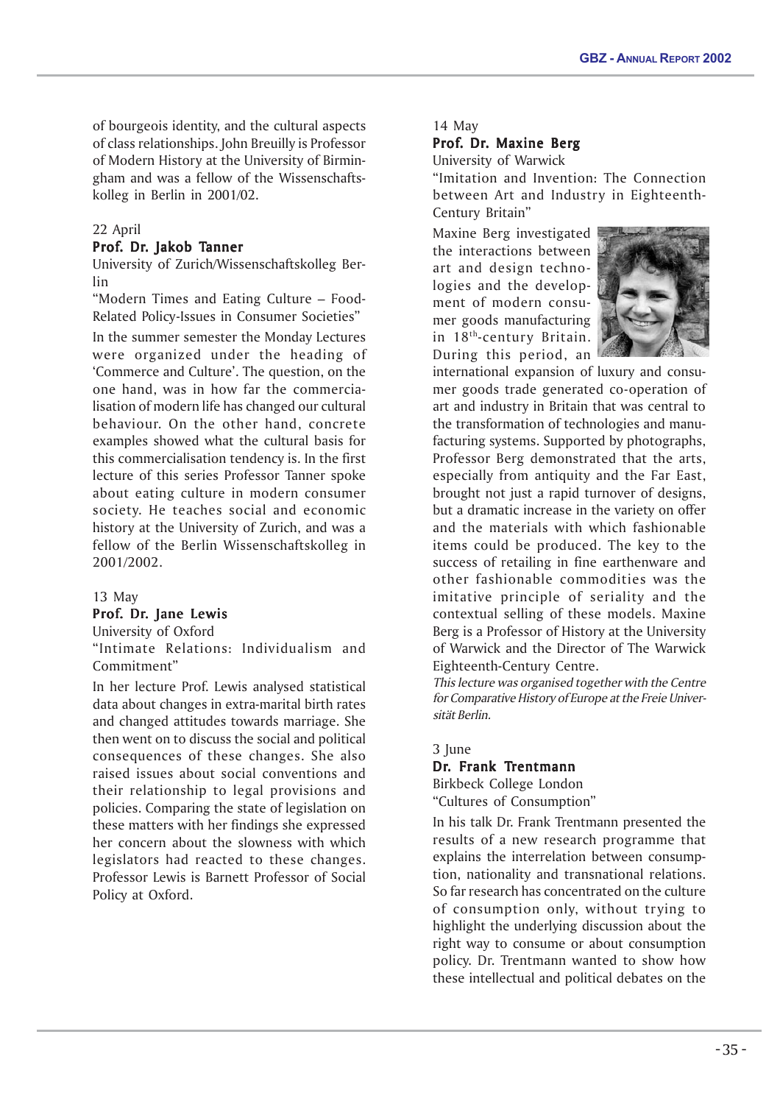of bourgeois identity, and the cultural aspects of class relationships. John Breuilly is Professor of Modern History at the University of Birmingham and was a fellow of the Wissenschaftskolleg in Berlin in 2001/02.

# 22 April

# Prof. Dr. Jakob Tanner

University of Zurich/Wissenschaftskolleg Berlin

"Modern Times and Eating Culture – Food-Related Policy-Issues in Consumer Societies"

In the summer semester the Monday Lectures were organized under the heading of 'Commerce and Culture'. The question, on the one hand, was in how far the commercialisation of modern life has changed our cultural behaviour. On the other hand, concrete examples showed what the cultural basis for this commercialisation tendency is. In the first lecture of this series Professor Tanner spoke about eating culture in modern consumer society. He teaches social and economic history at the University of Zurich, and was a fellow of the Berlin Wissenschaftskolleg in 2001/2002.

# 13 May

# Prof. Dr. Jane Lewis

University of Oxford

"Intimate Relations: Individualism and Commitment"

In her lecture Prof. Lewis analysed statistical data about changes in extra-marital birth rates and changed attitudes towards marriage. She then went on to discuss the social and political consequences of these changes. She also raised issues about social conventions and their relationship to legal provisions and policies. Comparing the state of legislation on these matters with her findings she expressed her concern about the slowness with which legislators had reacted to these changes. Professor Lewis is Barnett Professor of Social Policy at Oxford.

#### 14 May

# Prof. Dr. Maxine Berg

University of Warwick

"Imitation and Invention: The Connection between Art and Industry in Eighteenth-Century Britain"

Maxine Berg investigated the interactions between art and design technologies and the development of modern consumer goods manufacturing in 18th-century Britain. During this period, an



international expansion of luxury and consumer goods trade generated co-operation of art and industry in Britain that was central to the transformation of technologies and manufacturing systems. Supported by photographs, Professor Berg demonstrated that the arts, especially from antiquity and the Far East, brought not just a rapid turnover of designs, but a dramatic increase in the variety on offer and the materials with which fashionable items could be produced. The key to the success of retailing in fine earthenware and other fashionable commodities was the imitative principle of seriality and the contextual selling of these models. Maxine Berg is a Professor of History at the University of Warwick and the Director of The Warwick Eighteenth-Century Centre.

This lecture was organised together with the Centre for Comparative History of Europe at the Freie Universität Berlin.

3 June

# Dr. Frank Trentmann

Birkbeck College London "Cultures of Consumption"

In his talk Dr. Frank Trentmann presented the results of a new research programme that explains the interrelation between consumption, nationality and transnational relations. So far research has concentrated on the culture of consumption only, without trying to highlight the underlying discussion about the right way to consume or about consumption policy. Dr. Trentmann wanted to show how these intellectual and political debates on the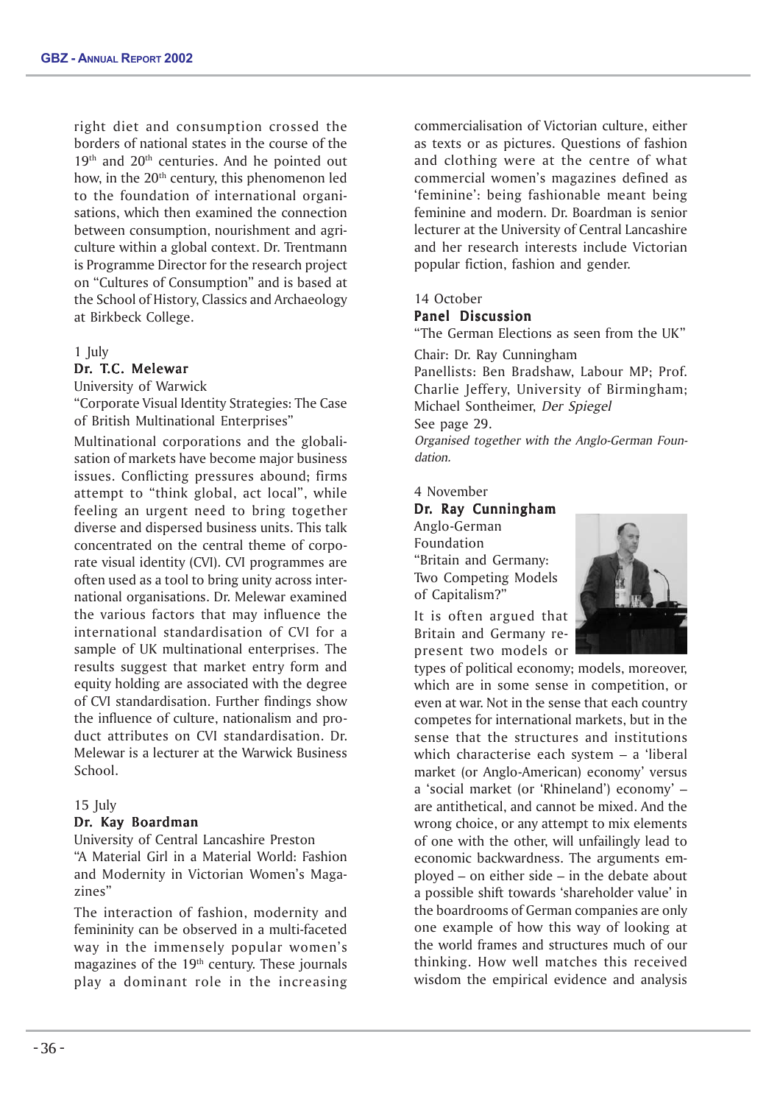right diet and consumption crossed the borders of national states in the course of the  $19<sup>th</sup>$  and  $20<sup>th</sup>$  centuries. And he pointed out how, in the  $20<sup>th</sup>$  century, this phenomenon led to the foundation of international organisations, which then examined the connection between consumption, nourishment and agriculture within a global context. Dr. Trentmann is Programme Director for the research project on "Cultures of Consumption" and is based at the School of History, Classics and Archaeology at Birkbeck College.

#### 1 July

#### Dr. T.C. Melewar

University of Warwick

"Corporate Visual Identity Strategies: The Case of British Multinational Enterprises"

Multinational corporations and the globalisation of markets have become major business issues. Conflicting pressures abound; firms attempt to "think global, act local", while feeling an urgent need to bring together diverse and dispersed business units. This talk concentrated on the central theme of corporate visual identity (CVI). CVI programmes are often used as a tool to bring unity across international organisations. Dr. Melewar examined the various factors that may influence the international standardisation of CVI for a sample of UK multinational enterprises. The results suggest that market entry form and equity holding are associated with the degree of CVI standardisation. Further findings show the influence of culture, nationalism and product attributes on CVI standardisation. Dr. Melewar is a lecturer at the Warwick Business School.

#### 15 July

#### Dr. Kay Boardman

University of Central Lancashire Preston "A Material Girl in a Material World: Fashion and Modernity in Victorian Women's Magazines"

The interaction of fashion, modernity and femininity can be observed in a multi-faceted way in the immensely popular women's magazines of the 19<sup>th</sup> century. These journals play a dominant role in the increasing commercialisation of Victorian culture, either as texts or as pictures. Questions of fashion and clothing were at the centre of what commercial women's magazines defined as 'feminine': being fashionable meant being feminine and modern. Dr. Boardman is senior lecturer at the University of Central Lancashire and her research interests include Victorian popular fiction, fashion and gender.

#### 14 October

#### Panel Discussion

"The German Elections as seen from the UK"

Chair: Dr. Ray Cunningham Panellists: Ben Bradshaw, Labour MP; Prof.

Charlie Jeffery, University of Birmingham; Michael Sontheimer, Der Spiegel See page 29.

Organised together with the Anglo-German Foundation.

# 4 November Dr. Ray Cunningham

Anglo-German Foundation "Britain and Germany: Two Competing Models of Capitalism?"

It is often argued that Britain and Germany represent two models or



types of political economy; models, moreover, which are in some sense in competition, or even at war. Not in the sense that each country competes for international markets, but in the sense that the structures and institutions which characterise each system – a 'liberal market (or Anglo-American) economy' versus a 'social market (or 'Rhineland') economy' – are antithetical, and cannot be mixed. And the wrong choice, or any attempt to mix elements of one with the other, will unfailingly lead to economic backwardness. The arguments employed – on either side – in the debate about a possible shift towards 'shareholder value' in the boardrooms of German companies are only one example of how this way of looking at the world frames and structures much of our thinking. How well matches this received wisdom the empirical evidence and analysis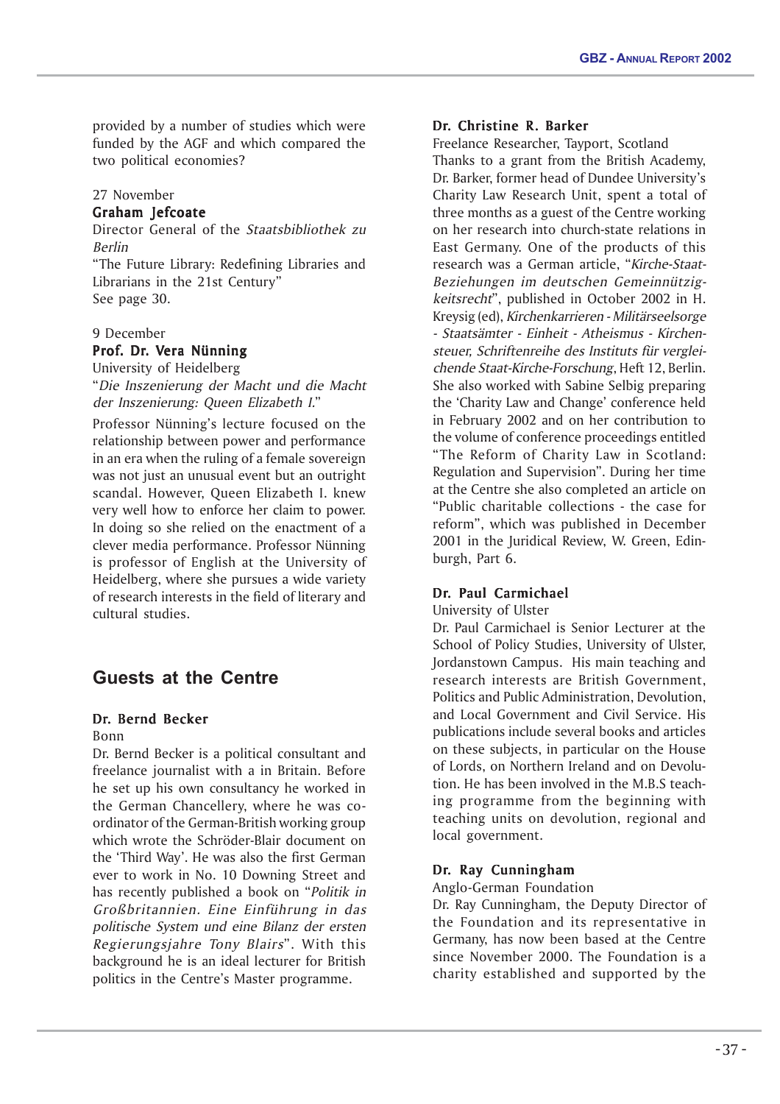provided by a number of studies which were funded by the AGF and which compared the two political economies?

# 27 November

# Graham Jefcoate

Director General of the Staatsbibliothek zu Berlin

"The Future Library: Redefining Libraries and Librarians in the 21st Century" See page 30.

# 9 December

# Prof. Dr. Vera Nünning

University of Heidelberg "Die Inszenierung der Macht und die Macht der Inszenierung: Queen Elizabeth I."

Professor Nünning's lecture focused on the relationship between power and performance in an era when the ruling of a female sovereign was not just an unusual event but an outright scandal. However, Queen Elizabeth I. knew very well how to enforce her claim to power. In doing so she relied on the enactment of a clever media performance. Professor Nünning is professor of English at the University of Heidelberg, where she pursues a wide variety of research interests in the field of literary and cultural studies.

# **Guests at the Centre**

# Dr. Bernd Becker

Bonn

Dr. Bernd Becker is a political consultant and freelance journalist with a in Britain. Before he set up his own consultancy he worked in the German Chancellery, where he was coordinator of the German-British working group which wrote the Schröder-Blair document on the 'Third Way'. He was also the first German ever to work in No. 10 Downing Street and has recently published a book on "Politik in Großbritannien. Eine Einführung in das politische System und eine Bilanz der ersten Regierungsjahre Tony Blairs". With this background he is an ideal lecturer for British politics in the Centre's Master programme.

# Dr. Christine R. Barker

Freelance Researcher, Tayport, Scotland Thanks to a grant from the British Academy, Dr. Barker, former head of Dundee University's Charity Law Research Unit, spent a total of three months as a guest of the Centre working on her research into church-state relations in East Germany. One of the products of this research was a German article, "Kirche-Staat-Beziehungen im deutschen Gemeinnützigkeitsrecht", published in October 2002 in H. Kreysig (ed), Kirchenkarrieren - Militärseelsorge - Staatsämter - Einheit - Atheismus - Kirchensteuer, Schriftenreihe des Instituts für vergleichende Staat-Kirche-Forschung, Heft 12, Berlin. She also worked with Sabine Selbig preparing the 'Charity Law and Change' conference held in February 2002 and on her contribution to the volume of conference proceedings entitled "The Reform of Charity Law in Scotland: Regulation and Supervision". During her time at the Centre she also completed an article on "Public charitable collections - the case for reform", which was published in December 2001 in the Juridical Review, W. Green, Edinburgh, Part 6.

# Dr. Paul Carmichael

University of Ulster

Dr. Paul Carmichael is Senior Lecturer at the School of Policy Studies, University of Ulster, Jordanstown Campus. His main teaching and research interests are British Government, Politics and Public Administration, Devolution, and Local Government and Civil Service. His publications include several books and articles on these subjects, in particular on the House of Lords, on Northern Ireland and on Devolution. He has been involved in the M.B.S teaching programme from the beginning with teaching units on devolution, regional and local government.

# Dr. Ray Cunningham

# Anglo-German Foundation

Dr. Ray Cunningham, the Deputy Director of the Foundation and its representative in Germany, has now been based at the Centre since November 2000. The Foundation is a charity established and supported by the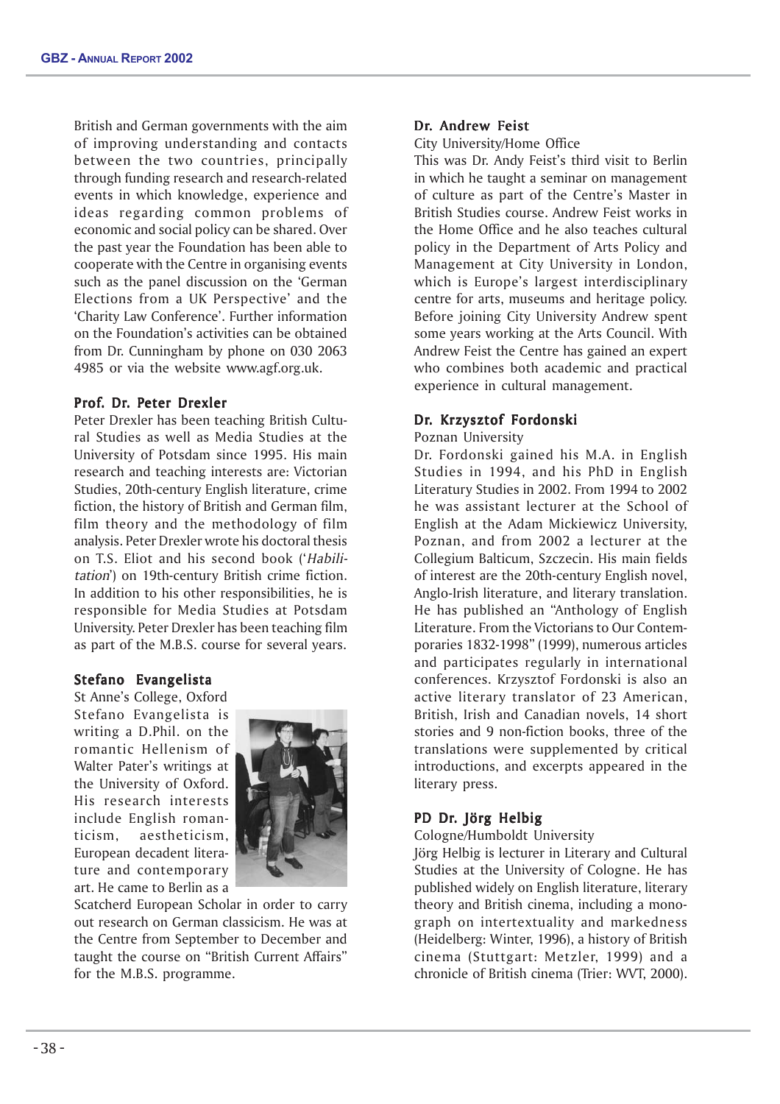British and German governments with the aim of improving understanding and contacts between the two countries, principally through funding research and research-related events in which knowledge, experience and ideas regarding common problems of economic and social policy can be shared. Over the past year the Foundation has been able to cooperate with the Centre in organising events such as the panel discussion on the 'German Elections from a UK Perspective' and the 'Charity Law Conference'. Further information on the Foundation's activities can be obtained from Dr. Cunningham by phone on 030 2063 4985 or via the website www.agf.org.uk.

# Prof. Dr. Peter Drexler

Peter Drexler has been teaching British Cultural Studies as well as Media Studies at the University of Potsdam since 1995. His main research and teaching interests are: Victorian Studies, 20th-century English literature, crime fiction, the history of British and German film, film theory and the methodology of film analysis. Peter Drexler wrote his doctoral thesis on T.S. Eliot and his second book ('Habilitation') on 19th-century British crime fiction. In addition to his other responsibilities, he is responsible for Media Studies at Potsdam University. Peter Drexler has been teaching film as part of the M.B.S. course for several years.

# Stefano Evangelista

St Anne's College, Oxford Stefano Evangelista is writing a D.Phil. on the romantic Hellenism of Walter Pater's writings at the University of Oxford. His research interests include English romanticism, aestheticism, European decadent literature and contemporary art. He came to Berlin as a



Scatcherd European Scholar in order to carry out research on German classicism. He was at the Centre from September to December and taught the course on "British Current Affairs" for the M.B.S. programme.

# Dr. Andrew Feist

City University/Home Office

This was Dr. Andy Feist's third visit to Berlin in which he taught a seminar on management of culture as part of the Centre's Master in British Studies course. Andrew Feist works in the Home Office and he also teaches cultural policy in the Department of Arts Policy and Management at City University in London, which is Europe's largest interdisciplinary centre for arts, museums and heritage policy. Before joining City University Andrew spent some years working at the Arts Council. With Andrew Feist the Centre has gained an expert who combines both academic and practical experience in cultural management.

# Dr. Krzysztof Fordonski

Poznan University

Dr. Fordonski gained his M.A. in English Studies in 1994, and his PhD in English Literatury Studies in 2002. From 1994 to 2002 he was assistant lecturer at the School of English at the Adam Mickiewicz University, Poznan, and from 2002 a lecturer at the Collegium Balticum, Szczecin. His main fields of interest are the 20th-century English novel, Anglo-Irish literature, and literary translation. He has published an "Anthology of English Literature. From the Victorians to Our Contemporaries 1832-1998" (1999), numerous articles and participates regularly in international conferences. Krzysztof Fordonski is also an active literary translator of 23 American, British, Irish and Canadian novels, 14 short stories and 9 non-fiction books, three of the translations were supplemented by critical introductions, and excerpts appeared in the literary press.

# PD Dr. Jörg Helbig

Cologne/Humboldt University

Jörg Helbig is lecturer in Literary and Cultural Studies at the University of Cologne. He has published widely on English literature, literary theory and British cinema, including a monograph on intertextuality and markedness (Heidelberg: Winter, 1996), a history of British cinema (Stuttgart: Metzler, 1999) and a chronicle of British cinema (Trier: WVT, 2000).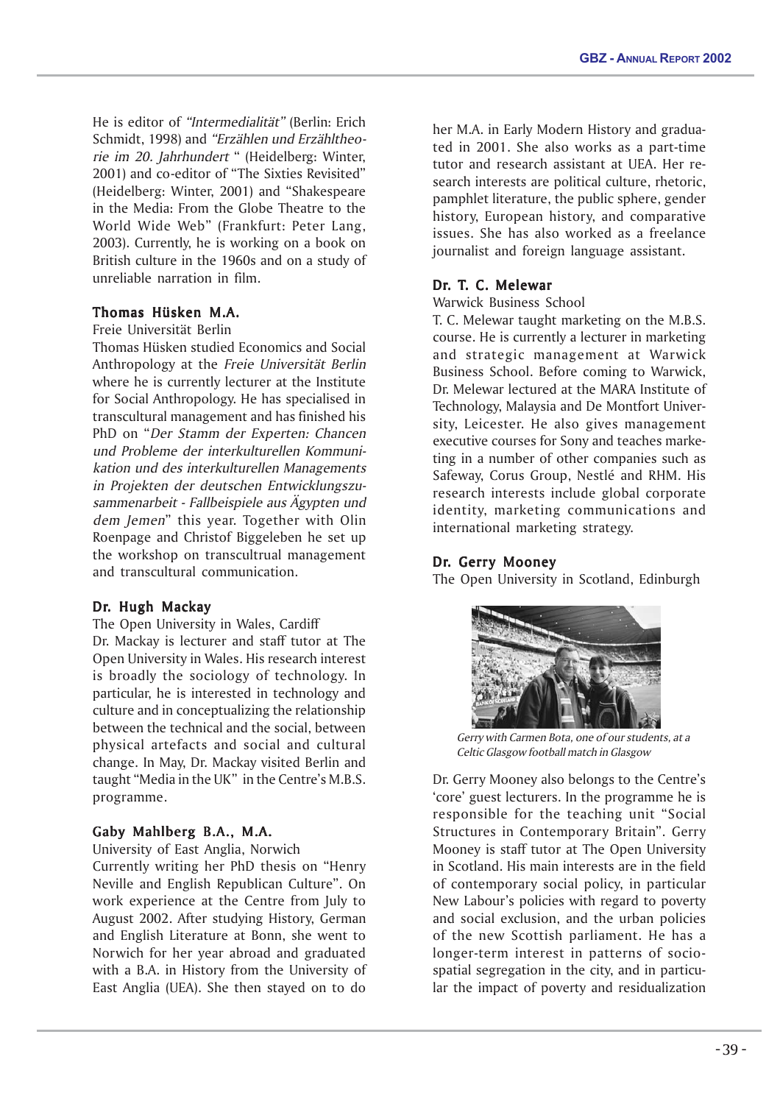He is editor of "Intermedialität" (Berlin: Erich Schmidt, 1998) and "Erzählen und Erzähltheorie im 20. Jahrhundert " (Heidelberg: Winter, 2001) and co-editor of "The Sixties Revisited" (Heidelberg: Winter, 2001) and "Shakespeare in the Media: From the Globe Theatre to the World Wide Web" (Frankfurt: Peter Lang, 2003). Currently, he is working on a book on British culture in the 1960s and on a study of unreliable narration in film.

# Thomas Hüsken M.A.

Freie Universität Berlin

Thomas Hüsken studied Economics and Social Anthropology at the Freie Universität Berlin where he is currently lecturer at the Institute for Social Anthropology. He has specialised in transcultural management and has finished his PhD on "Der Stamm der Experten: Chancen und Probleme der interkulturellen Kommunikation und des interkulturellen Managements in Projekten der deutschen Entwicklungszusammenarbeit - Fallbeispiele aus Ägypten und dem Jemen" this year. Together with Olin Roenpage and Christof Biggeleben he set up the workshop on transcultrual management and transcultural communication.

# Dr. Hugh Mackay

The Open University in Wales, Cardiff Dr. Mackay is lecturer and staff tutor at The Open University in Wales. His research interest is broadly the sociology of technology. In particular, he is interested in technology and culture and in conceptualizing the relationship between the technical and the social, between physical artefacts and social and cultural change. In May, Dr. Mackay visited Berlin and taught "Media in the UK" in the Centre's M.B.S. programme.

# Gaby Mahlberg B.A., M.A.

University of East Anglia, Norwich

Currently writing her PhD thesis on "Henry Neville and English Republican Culture". On work experience at the Centre from July to August 2002. After studying History, German and English Literature at Bonn, she went to Norwich for her year abroad and graduated with a B.A. in History from the University of East Anglia (UEA). She then stayed on to do her M.A. in Early Modern History and graduated in 2001. She also works as a part-time tutor and research assistant at UEA. Her research interests are political culture, rhetoric, pamphlet literature, the public sphere, gender history, European history, and comparative issues. She has also worked as a freelance journalist and foreign language assistant.

# Dr. T. C. Melewar

Warwick Business School

T. C. Melewar taught marketing on the M.B.S. course. He is currently a lecturer in marketing and strategic management at Warwick Business School. Before coming to Warwick, Dr. Melewar lectured at the MARA Institute of Technology, Malaysia and De Montfort University, Leicester. He also gives management executive courses for Sony and teaches marketing in a number of other companies such as Safeway, Corus Group, Nestlé and RHM. His research interests include global corporate identity, marketing communications and international marketing strategy.

# Dr. Gerry Mooney

The Open University in Scotland, Edinburgh



Gerry with Carmen Bota, one of our students, at a Celtic Glasgow football match in Glasgow

Dr. Gerry Mooney also belongs to the Centre's 'core' guest lecturers. In the programme he is responsible for the teaching unit "Social Structures in Contemporary Britain". Gerry Mooney is staff tutor at The Open University in Scotland. His main interests are in the field of contemporary social policy, in particular New Labour's policies with regard to poverty and social exclusion, and the urban policies of the new Scottish parliament. He has a longer-term interest in patterns of sociospatial segregation in the city, and in particular the impact of poverty and residualization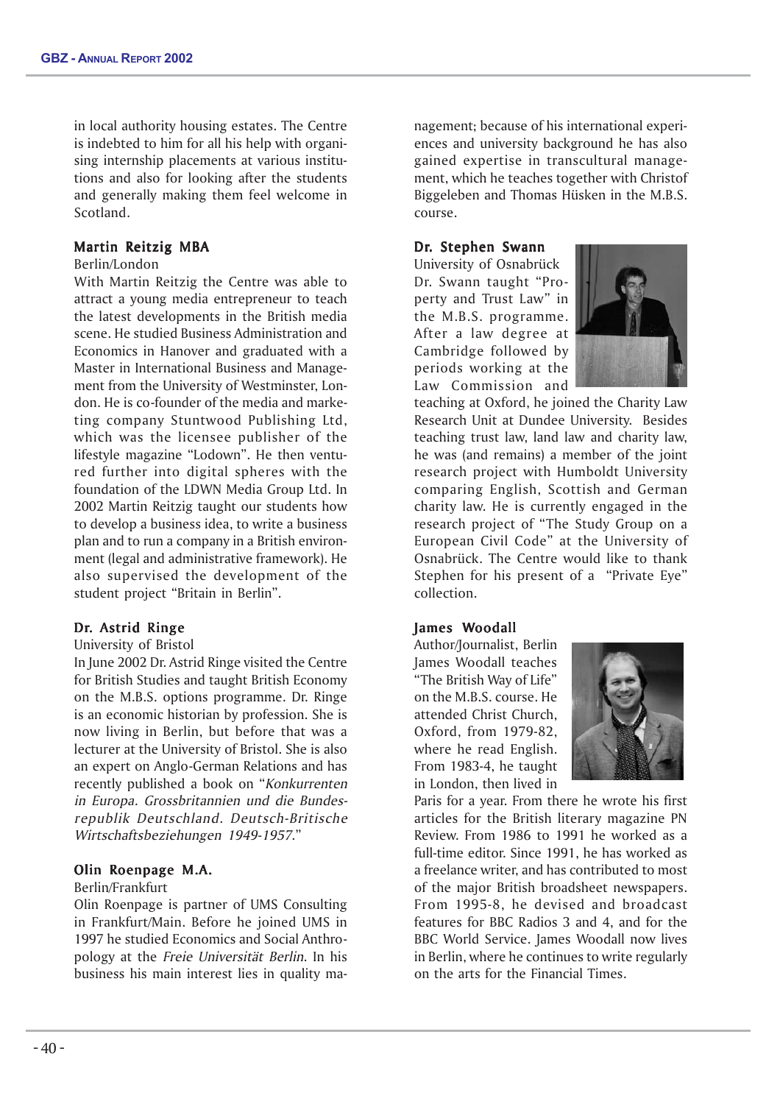in local authority housing estates. The Centre is indebted to him for all his help with organising internship placements at various institutions and also for looking after the students and generally making them feel welcome in Scotland.

# Martin Reitzig MBA

#### Berlin/London

With Martin Reitzig the Centre was able to attract a young media entrepreneur to teach the latest developments in the British media scene. He studied Business Administration and Economics in Hanover and graduated with a Master in International Business and Management from the University of Westminster, London. He is co-founder of the media and marketing company Stuntwood Publishing Ltd, which was the licensee publisher of the lifestyle magazine "Lodown". He then ventured further into digital spheres with the foundation of the LDWN Media Group Ltd. In 2002 Martin Reitzig taught our students how to develop a business idea, to write a business plan and to run a company in a British environment (legal and administrative framework). He also supervised the development of the student project "Britain in Berlin".

# Dr. Astrid Ringe

# University of Bristol

In June 2002 Dr. Astrid Ringe visited the Centre for British Studies and taught British Economy on the M.B.S. options programme. Dr. Ringe is an economic historian by profession. She is now living in Berlin, but before that was a lecturer at the University of Bristol. She is also an expert on Anglo-German Relations and has recently published a book on "Konkurrenten in Europa. Grossbritannien und die Bundesrepublik Deutschland. Deutsch-Britische Wirtschaftsbeziehungen 1949-1957."

# Olin Roenpage M.A.

#### Berlin/Frankfurt

Olin Roenpage is partner of UMS Consulting in Frankfurt/Main. Before he joined UMS in 1997 he studied Economics and Social Anthropology at the Freie Universität Berlin. In his business his main interest lies in quality management; because of his international experiences and university background he has also gained expertise in transcultural management, which he teaches together with Christof Biggeleben and Thomas Hüsken in the M.B.S. course.

#### Dr. Stephen Swann

University of Osnabrück Dr. Swann taught "Property and Trust Law" in the M.B.S. programme. After a law degree at Cambridge followed by periods working at the Law Commission and



teaching at Oxford, he joined the Charity Law Research Unit at Dundee University. Besides teaching trust law, land law and charity law, he was (and remains) a member of the joint research project with Humboldt University comparing English, Scottish and German charity law. He is currently engaged in the research project of "The Study Group on a European Civil Code" at the University of Osnabrück. The Centre would like to thank Stephen for his present of a "Private Eye" collection.

# James Woodall

Author/Journalist, Berlin James Woodall teaches "The British Way of Life" on the M.B.S. course. He attended Christ Church, Oxford, from 1979-82, where he read English. From 1983-4, he taught in London, then lived in



Paris for a year. From there he wrote his first articles for the British literary magazine PN Review. From 1986 to 1991 he worked as a full-time editor. Since 1991, he has worked as a freelance writer, and has contributed to most of the major British broadsheet newspapers. From 1995-8, he devised and broadcast features for BBC Radios 3 and 4, and for the BBC World Service. James Woodall now lives in Berlin, where he continues to write regularly on the arts for the Financial Times.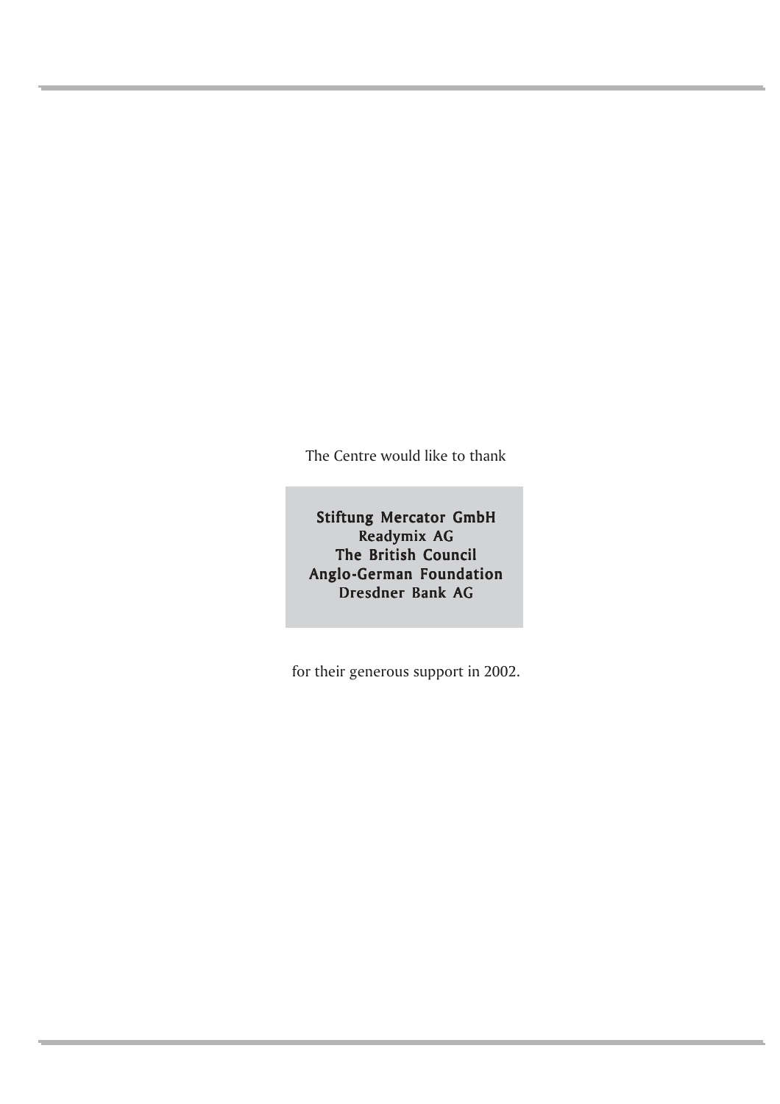The Centre would like to thank

Stiftung Mercator GmbH Readymix AG The British Council Anglo-German Foundation Dresdner Bank AG

for their generous support in 2002.